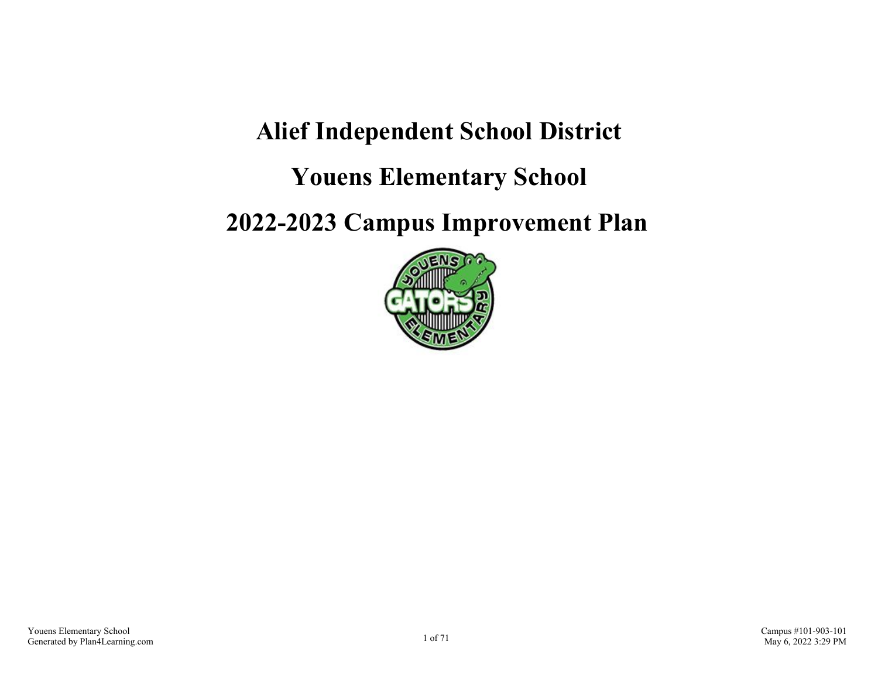# **Alief Independent School District**

# **Youens Elementary School**

# **2022-2023 Campus Improvement Plan**

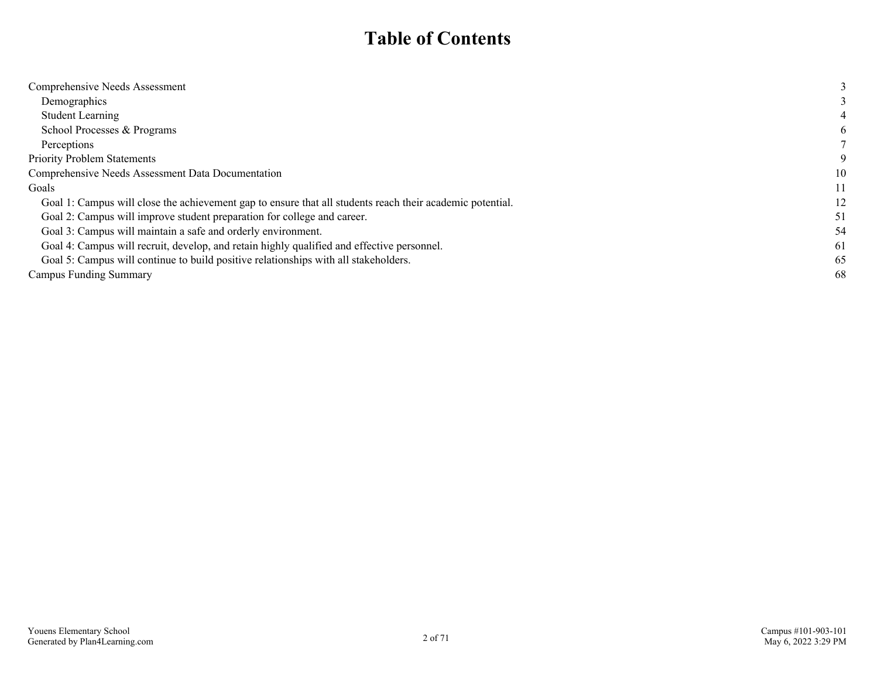# **Table of Contents**

| Comprehensive Needs Assessment                                                                            |              |
|-----------------------------------------------------------------------------------------------------------|--------------|
| Demographics                                                                                              |              |
| <b>Student Learning</b>                                                                                   |              |
| School Processes & Programs                                                                               | <sub>0</sub> |
| Perceptions                                                                                               |              |
| <b>Priority Problem Statements</b>                                                                        |              |
| Comprehensive Needs Assessment Data Documentation                                                         | 10           |
| Goals                                                                                                     | 11           |
| Goal 1: Campus will close the achievement gap to ensure that all students reach their academic potential. | 12           |
| Goal 2: Campus will improve student preparation for college and career.                                   | 51           |
| Goal 3: Campus will maintain a safe and orderly environment.                                              | 54           |
| Goal 4: Campus will recruit, develop, and retain highly qualified and effective personnel.                | 61           |
| Goal 5: Campus will continue to build positive relationships with all stakeholders.                       | 65           |
| Campus Funding Summary                                                                                    | 68           |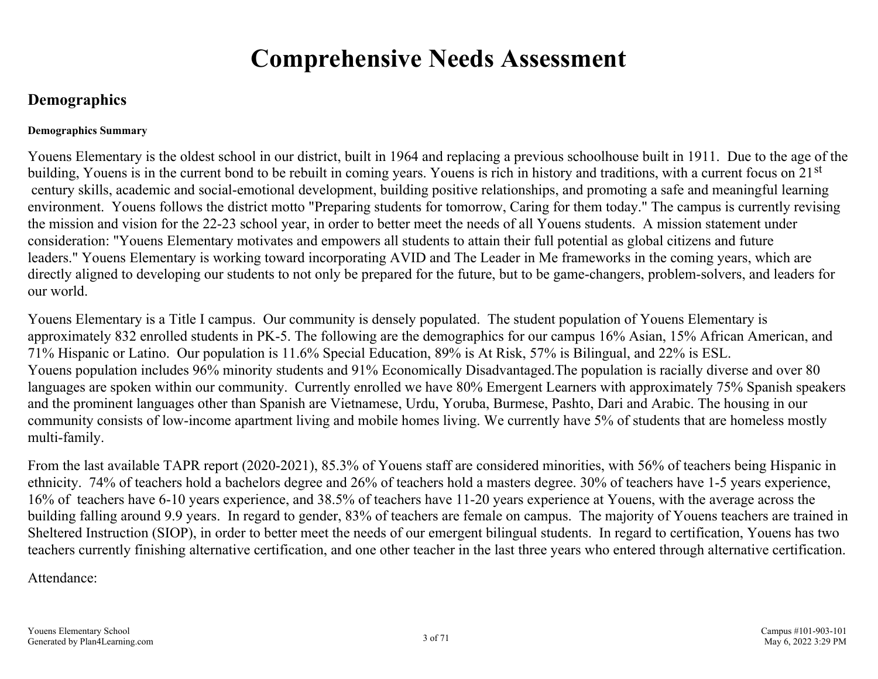# **Comprehensive Needs Assessment**

# <span id="page-2-0"></span>**Demographics**

# **Demographics Summary**

Youens Elementary is the oldest school in our district, built in 1964 and replacing a previous schoolhouse built in 1911. Due to the age of the building, Youens is in the current bond to be rebuilt in coming years. Youens is rich in history and traditions, with a current focus on 21<sup>st</sup> century skills, academic and social-emotional development, building positive relationships, and promoting a safe and meaningful learning environment. Youens follows the district motto "Preparing students for tomorrow, Caring for them today." The campus is currently revising the mission and vision for the 22-23 school year, in order to better meet the needs of all Youens students. A mission statement under consideration: "Youens Elementary motivates and empowers all students to attain their full potential as global citizens and future leaders." Youens Elementary is working toward incorporating AVID and The Leader in Me frameworks in the coming years, which are directly aligned to developing our students to not only be prepared for the future, but to be game-changers, problem-solvers, and leaders for our world.

Youens Elementary is a Title I campus. Our community is densely populated. The student population of Youens Elementary is approximately 832 enrolled students in PK-5. The following are the demographics for our campus 16% Asian, 15% African American, and 71% Hispanic or Latino. Our population is 11.6% Special Education, 89% is At Risk, 57% is Bilingual, and 22% is ESL. Youens population includes 96% minority students and 91% Economically Disadvantaged.The population is racially diverse and over 80 languages are spoken within our community. Currently enrolled we have 80% Emergent Learners with approximately 75% Spanish speakers and the prominent languages other than Spanish are Vietnamese, Urdu, Yoruba, Burmese, Pashto, Dari and Arabic. The housing in our community consists of low-income apartment living and mobile homes living. We currently have 5% of students that are homeless mostly multi-family.

From the last available TAPR report (2020-2021), 85.3% of Youens staff are considered minorities, with 56% of teachers being Hispanic in ethnicity. 74% of teachers hold a bachelors degree and 26% of teachers hold a masters degree. 30% of teachers have 1-5 years experience, 16% of teachers have 6-10 years experience, and 38.5% of teachers have 11-20 years experience at Youens, with the average across the building falling around 9.9 years. In regard to gender, 83% of teachers are female on campus. The majority of Youens teachers are trained in Sheltered Instruction (SIOP), in order to better meet the needs of our emergent bilingual students. In regard to certification, Youens has two teachers currently finishing alternative certification, and one other teacher in the last three years who entered through alternative certification.

Attendance: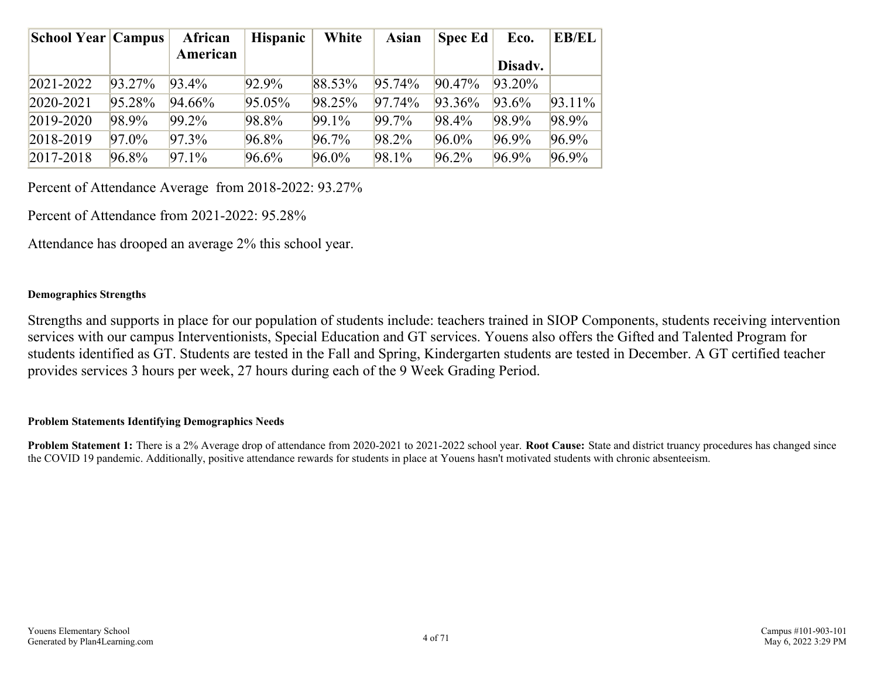| School Year   Campus |          | African  | <b>Hispanic</b> | White    | <b>Asian</b> | <b>Spec Ed</b> | Eco.      | <b>EB/EL</b> |
|----------------------|----------|----------|-----------------|----------|--------------|----------------|-----------|--------------|
|                      |          | American |                 |          |              |                | Disadv.   |              |
| 2021-2022            | 93.27%   | $93.4\%$ | 92.9%           | 88.53%   | 95.74%       | 90.47%         | $93.20\%$ |              |
| 2020-2021            | 95.28%   | 94.66%   | 95.05%          | 98.25%   | 97.74%       | 93.36%         | 93.6%     | 93.11%       |
| 2019-2020            | 98.9%    | 99.2%    | 98.8%           | 99.1%    | $99.7\%$     | 98.4%          | 98.9%     | 98.9%        |
| 2018-2019            | $97.0\%$ | $97.3\%$ | 96.8%           | $96.7\%$ | 98.2%        | $96.0\%$       | 96.9%     | 96.9%        |
| 2017-2018            | 96.8%    | 97.1%    | 96.6%           | $96.0\%$ | 98.1%        | 96.2%          | 96.9%     | 96.9%        |

Percent of Attendance Average from 2018-2022: 93.27%

Percent of Attendance from 2021-2022: 95.28%

Attendance has drooped an average 2% this school year.

### **Demographics Strengths**

Strengths and supports in place for our population of students include: teachers trained in SIOP Components, students receiving intervention services with our campus Interventionists, Special Education and GT services. Youens also offers the Gifted and Talented Program for students identified as GT. Students are tested in the Fall and Spring, Kindergarten students are tested in December. A GT certified teacher provides services 3 hours per week, 27 hours during each of the 9 Week Grading Period.

### **Problem Statements Identifying Demographics Needs**

**Problem Statement 1:** There is a 2% Average drop of attendance from 2020-2021 to 2021-2022 school year. **Root Cause:** State and district truancy procedures has changed since the COVID 19 pandemic. Additionally, positive attendance rewards for students in place at Youens hasn't motivated students with chronic absenteeism.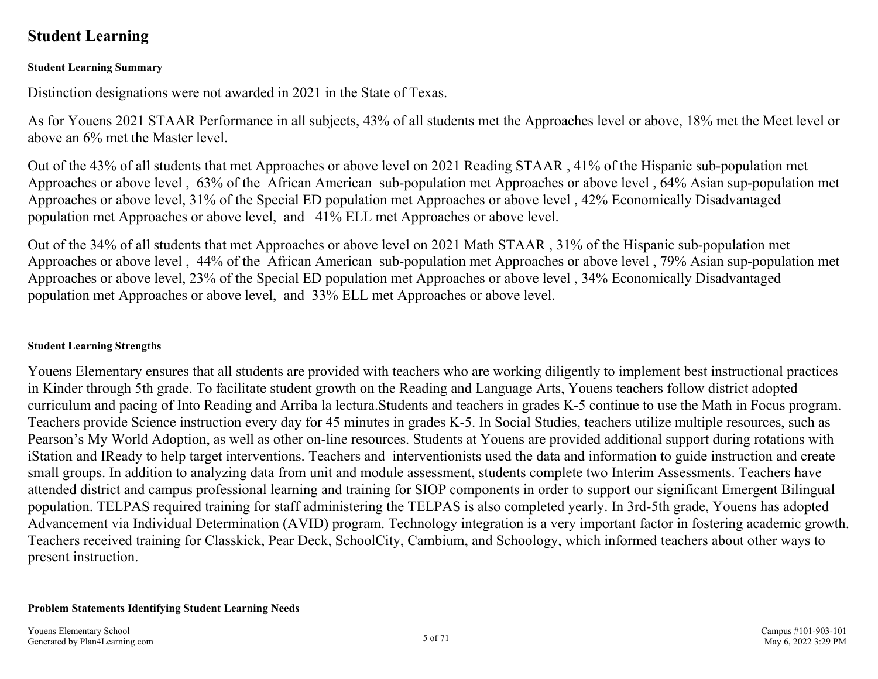# <span id="page-4-0"></span>**Student Learning**

# **Student Learning Summary**

Distinction designations were not awarded in 2021 in the State of Texas.

As for Youens 2021 STAAR Performance in all subjects, 43% of all students met the Approaches level or above, 18% met the Meet level or above an 6% met the Master level.

Out of the 43% of all students that met Approaches or above level on 2021 Reading STAAR , 41% of the Hispanic sub-population met Approaches or above level , 63% of the African American sub-population met Approaches or above level , 64% Asian sup-population met Approaches or above level, 31% of the Special ED population met Approaches or above level , 42% Economically Disadvantaged population met Approaches or above level, and 41% ELL met Approaches or above level.

Out of the 34% of all students that met Approaches or above level on 2021 Math STAAR , 31% of the Hispanic sub-population met Approaches or above level , 44% of the African American sub-population met Approaches or above level , 79% Asian sup-population met Approaches or above level, 23% of the Special ED population met Approaches or above level , 34% Economically Disadvantaged population met Approaches or above level, and 33% ELL met Approaches or above level.

# **Student Learning Strengths**

Youens Elementary ensures that all students are provided with teachers who are working diligently to implement best instructional practices in Kinder through 5th grade. To facilitate student growth on the Reading and Language Arts, Youens teachers follow district adopted curriculum and pacing of Into Reading and Arriba la lectura.Students and teachers in grades K-5 continue to use the Math in Focus program. Teachers provide Science instruction every day for 45 minutes in grades K-5. In Social Studies, teachers utilize multiple resources, such as Pearson's My World Adoption, as well as other on-line resources. Students at Youens are provided additional support during rotations with iStation and IReady to help target interventions. Teachers and interventionists used the data and information to guide instruction and create small groups. In addition to analyzing data from unit and module assessment, students complete two Interim Assessments. Teachers have attended district and campus professional learning and training for SIOP components in order to support our significant Emergent Bilingual population. TELPAS required training for staff administering the TELPAS is also completed yearly. In 3rd-5th grade, Youens has adopted Advancement via Individual Determination (AVID) program. Technology integration is a very important factor in fostering academic growth. Teachers received training for Classkick, Pear Deck, SchoolCity, Cambium, and Schoology, which informed teachers about other ways to present instruction.

## **Problem Statements Identifying Student Learning Needs**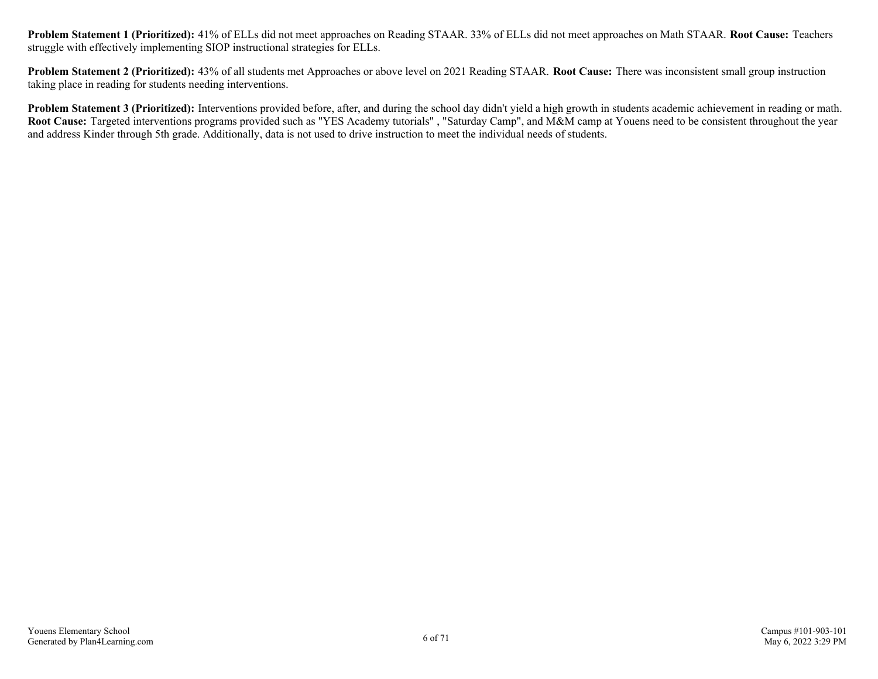**Problem Statement 1 (Prioritized):** 41% of ELLs did not meet approaches on Reading STAAR. 33% of ELLs did not meet approaches on Math STAAR. **Root Cause:** Teachers struggle with effectively implementing SIOP instructional strategies for ELLs.

**Problem Statement 2 (Prioritized):** 43% of all students met Approaches or above level on 2021 Reading STAAR. **Root Cause:** There was inconsistent small group instruction taking place in reading for students needing interventions.

**Problem Statement 3 (Prioritized):** Interventions provided before, after, and during the school day didn't yield a high growth in students academic achievement in reading or math. **Root Cause:** Targeted interventions programs provided such as "YES Academy tutorials" , "Saturday Camp", and M&M camp at Youens need to be consistent throughout the year and address Kinder through 5th grade. Additionally, data is not used to drive instruction to meet the individual needs of students.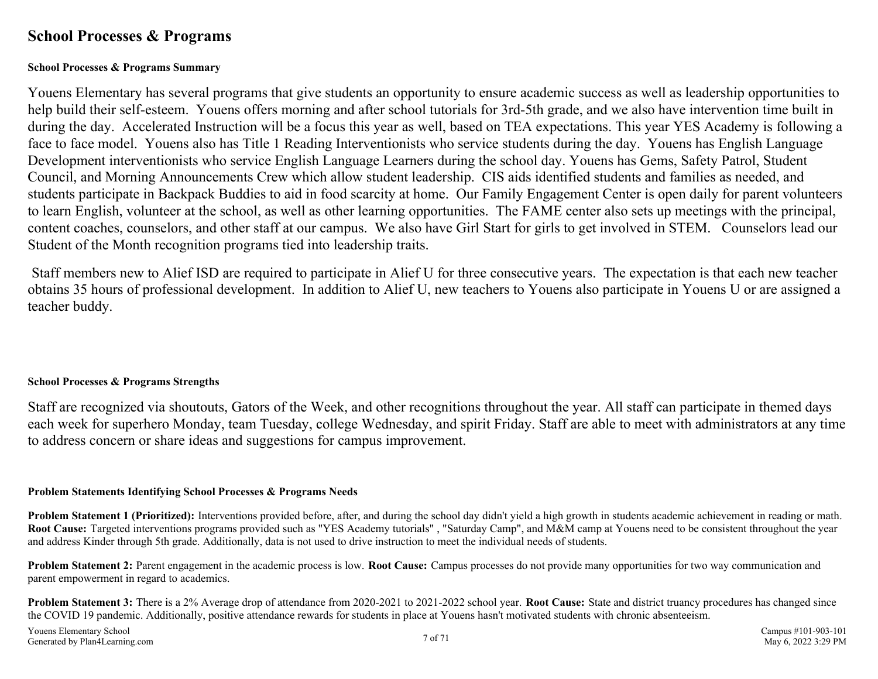# <span id="page-6-0"></span>**School Processes & Programs**

## **School Processes & Programs Summary**

Youens Elementary has several programs that give students an opportunity to ensure academic success as well as leadership opportunities to help build their self-esteem. Youens offers morning and after school tutorials for 3rd-5th grade, and we also have intervention time built in during the day. Accelerated Instruction will be a focus this year as well, based on TEA expectations. This year YES Academy is following a face to face model. Youens also has Title 1 Reading Interventionists who service students during the day. Youens has English Language Development interventionists who service English Language Learners during the school day. Youens has Gems, Safety Patrol, Student Council, and Morning Announcements Crew which allow student leadership. CIS aids identified students and families as needed, and students participate in Backpack Buddies to aid in food scarcity at home. Our Family Engagement Center is open daily for parent volunteers to learn English, volunteer at the school, as well as other learning opportunities. The FAME center also sets up meetings with the principal, content coaches, counselors, and other staff at our campus. We also have Girl Start for girls to get involved in STEM. Counselors lead our Student of the Month recognition programs tied into leadership traits.

Staff members new to Alief ISD are required to participate in Alief U for three consecutive years. The expectation is that each new teacher obtains 35 hours of professional development. In addition to Alief U, new teachers to Youens also participate in Youens U or are assigned a teacher buddy.

## **School Processes & Programs Strengths**

Staff are recognized via shoutouts, Gators of the Week, and other recognitions throughout the year. All staff can participate in themed days each week for superhero Monday, team Tuesday, college Wednesday, and spirit Friday. Staff are able to meet with administrators at any time to address concern or share ideas and suggestions for campus improvement.

### **Problem Statements Identifying School Processes & Programs Needs**

**Problem Statement 1 (Prioritized):** Interventions provided before, after, and during the school day didn't yield a high growth in students academic achievement in reading or math. **Root Cause:** Targeted interventions programs provided such as "YES Academy tutorials" , "Saturday Camp", and M&M camp at Youens need to be consistent throughout the year and address Kinder through 5th grade. Additionally, data is not used to drive instruction to meet the individual needs of students.

**Problem Statement 2:** Parent engagement in the academic process is low. **Root Cause:** Campus processes do not provide many opportunities for two way communication and parent empowerment in regard to academics.

**Problem Statement 3:** There is a 2% Average drop of attendance from 2020-2021 to 2021-2022 school year. **Root Cause:** State and district truancy procedures has changed since the COVID 19 pandemic. Additionally, positive attendance rewards for students in place at Youens hasn't motivated students with chronic absenteeism.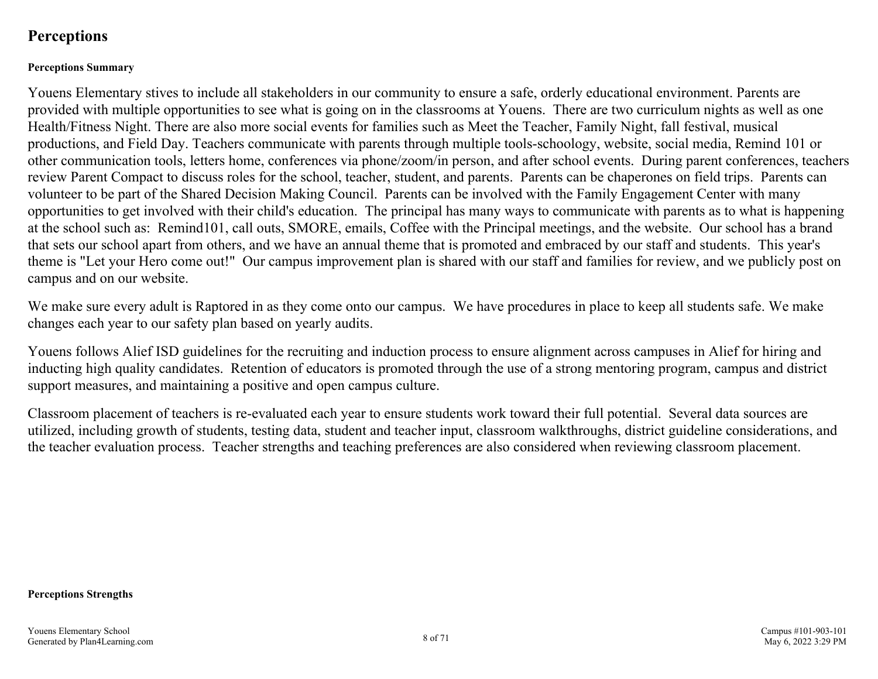# <span id="page-7-0"></span>**Perceptions**

# **Perceptions Summary**

Youens Elementary stives to include all stakeholders in our community to ensure a safe, orderly educational environment. Parents are provided with multiple opportunities to see what is going on in the classrooms at Youens. There are two curriculum nights as well as one Health/Fitness Night. There are also more social events for families such as Meet the Teacher, Family Night, fall festival, musical productions, and Field Day. Teachers communicate with parents through multiple tools-schoology, website, social media, Remind 101 or other communication tools, letters home, conferences via phone/zoom/in person, and after school events. During parent conferences, teachers review Parent Compact to discuss roles for the school, teacher, student, and parents. Parents can be chaperones on field trips. Parents can volunteer to be part of the Shared Decision Making Council. Parents can be involved with the Family Engagement Center with many opportunities to get involved with their child's education. The principal has many ways to communicate with parents as to what is happening at the school such as: Remind101, call outs, SMORE, emails, Coffee with the Principal meetings, and the website. Our school has a brand that sets our school apart from others, and we have an annual theme that is promoted and embraced by our staff and students. This year's theme is "Let your Hero come out!" Our campus improvement plan is shared with our staff and families for review, and we publicly post on campus and on our website.

We make sure every adult is Raptored in as they come onto our campus. We have procedures in place to keep all students safe. We make changes each year to our safety plan based on yearly audits.

Youens follows Alief ISD guidelines for the recruiting and induction process to ensure alignment across campuses in Alief for hiring and inducting high quality candidates. Retention of educators is promoted through the use of a strong mentoring program, campus and district support measures, and maintaining a positive and open campus culture.

Classroom placement of teachers is re-evaluated each year to ensure students work toward their full potential. Several data sources are utilized, including growth of students, testing data, student and teacher input, classroom walkthroughs, district guideline considerations, and the teacher evaluation process. Teacher strengths and teaching preferences are also considered when reviewing classroom placement.

#### **Perceptions Strengths**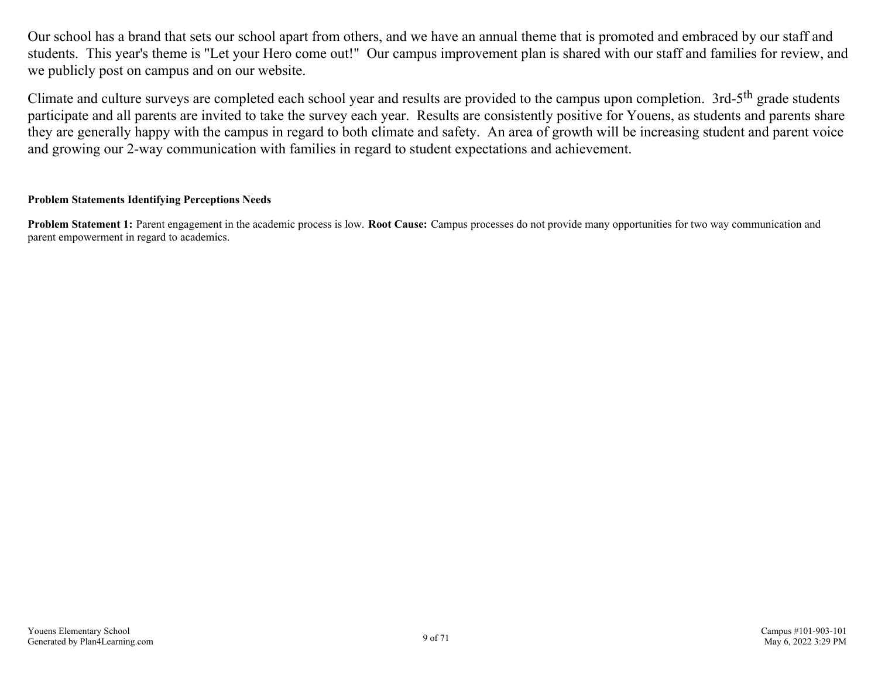Our school has a brand that sets our school apart from others, and we have an annual theme that is promoted and embraced by our staff and students. This year's theme is "Let your Hero come out!" Our campus improvement plan is shared with our staff and families for review, and we publicly post on campus and on our website.

Climate and culture surveys are completed each school year and results are provided to the campus upon completion. 3rd-5<sup>th</sup> grade students participate and all parents are invited to take the survey each year. Results are consistently positive for Youens, as students and parents share they are generally happy with the campus in regard to both climate and safety. An area of growth will be increasing student and parent voice and growing our 2-way communication with families in regard to student expectations and achievement.

#### **Problem Statements Identifying Perceptions Needs**

**Problem Statement 1:** Parent engagement in the academic process is low. **Root Cause:** Campus processes do not provide many opportunities for two way communication and parent empowerment in regard to academics.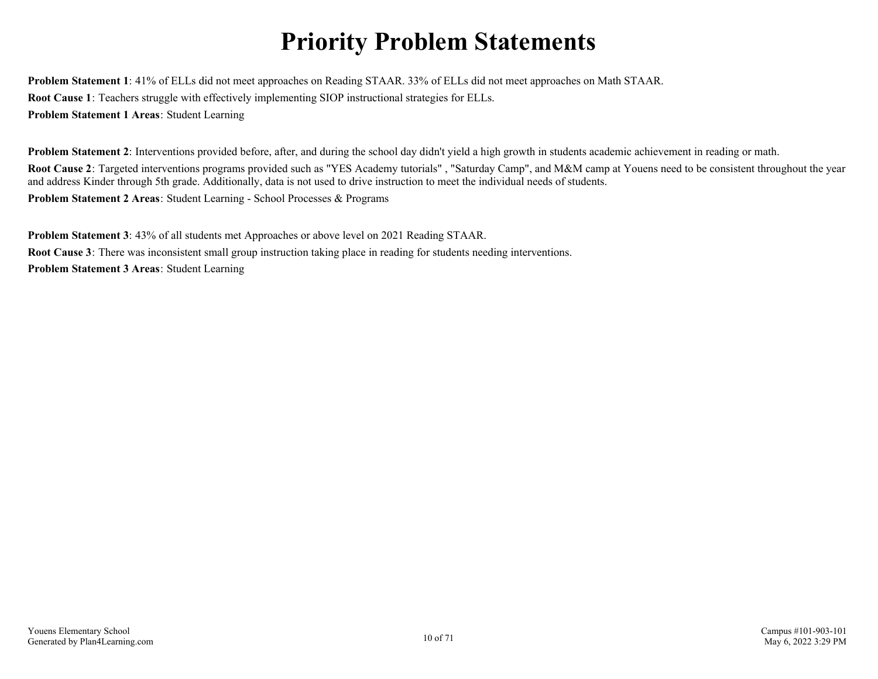# **Priority Problem Statements**

<span id="page-9-0"></span>**Problem Statement 1**: 41% of ELLs did not meet approaches on Reading STAAR. 33% of ELLs did not meet approaches on Math STAAR. **Root Cause 1**: Teachers struggle with effectively implementing SIOP instructional strategies for ELLs. **Problem Statement 1 Areas**: Student Learning

**Problem Statement 2**: Interventions provided before, after, and during the school day didn't yield a high growth in students academic achievement in reading or math. **Root Cause 2**: Targeted interventions programs provided such as "YES Academy tutorials" , "Saturday Camp", and M&M camp at Youens need to be consistent throughout the year and address Kinder through 5th grade. Additionally, data is not used to drive instruction to meet the individual needs of students. **Problem Statement 2 Areas**: Student Learning - School Processes & Programs

**Problem Statement 3**: 43% of all students met Approaches or above level on 2021 Reading STAAR. **Root Cause 3**: There was inconsistent small group instruction taking place in reading for students needing interventions. **Problem Statement 3 Areas**: Student Learning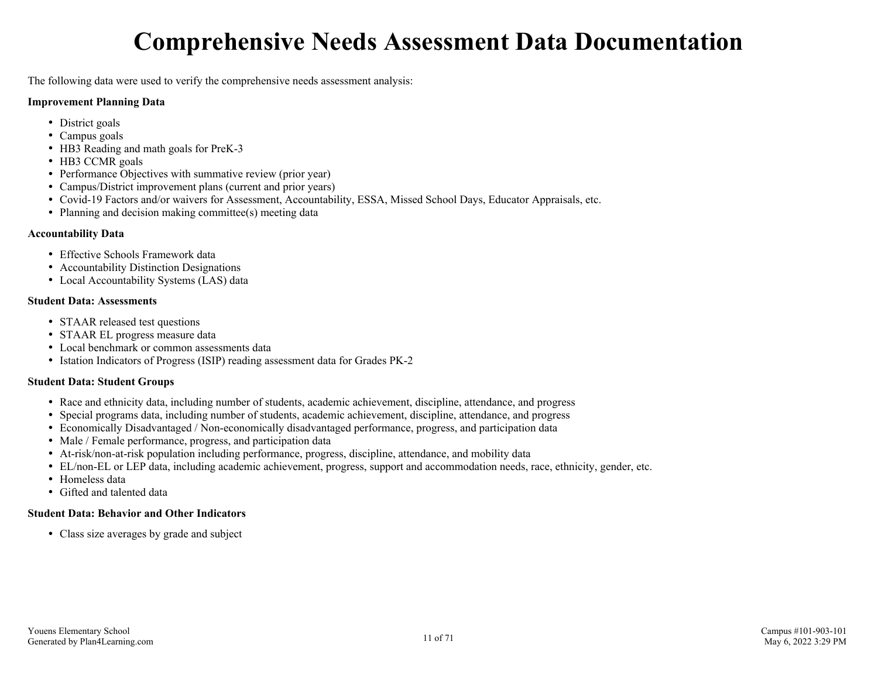# **Comprehensive Needs Assessment Data Documentation**

<span id="page-10-0"></span>The following data were used to verify the comprehensive needs assessment analysis:

#### **Improvement Planning Data**

- District goals
- Campus goals
- HB3 Reading and math goals for PreK-3
- HB3 CCMR goals
- Performance Objectives with summative review (prior year)
- Campus/District improvement plans (current and prior years)
- Covid-19 Factors and/or waivers for Assessment, Accountability, ESSA, Missed School Days, Educator Appraisals, etc.
- Planning and decision making committee(s) meeting data

#### **Accountability Data**

- Effective Schools Framework data
- Accountability Distinction Designations
- Local Accountability Systems (LAS) data

#### **Student Data: Assessments**

- STAAR released test questions
- STAAR EL progress measure data
- Local benchmark or common assessments data
- Istation Indicators of Progress (ISIP) reading assessment data for Grades PK-2

#### **Student Data: Student Groups**

- Race and ethnicity data, including number of students, academic achievement, discipline, attendance, and progress
- Special programs data, including number of students, academic achievement, discipline, attendance, and progress
- Economically Disadvantaged / Non-economically disadvantaged performance, progress, and participation data
- Male / Female performance, progress, and participation data
- At-risk/non-at-risk population including performance, progress, discipline, attendance, and mobility data
- EL/non-EL or LEP data, including academic achievement, progress, support and accommodation needs, race, ethnicity, gender, etc.
- Homeless data
- Gifted and talented data

#### **Student Data: Behavior and Other Indicators**

Class size averages by grade and subject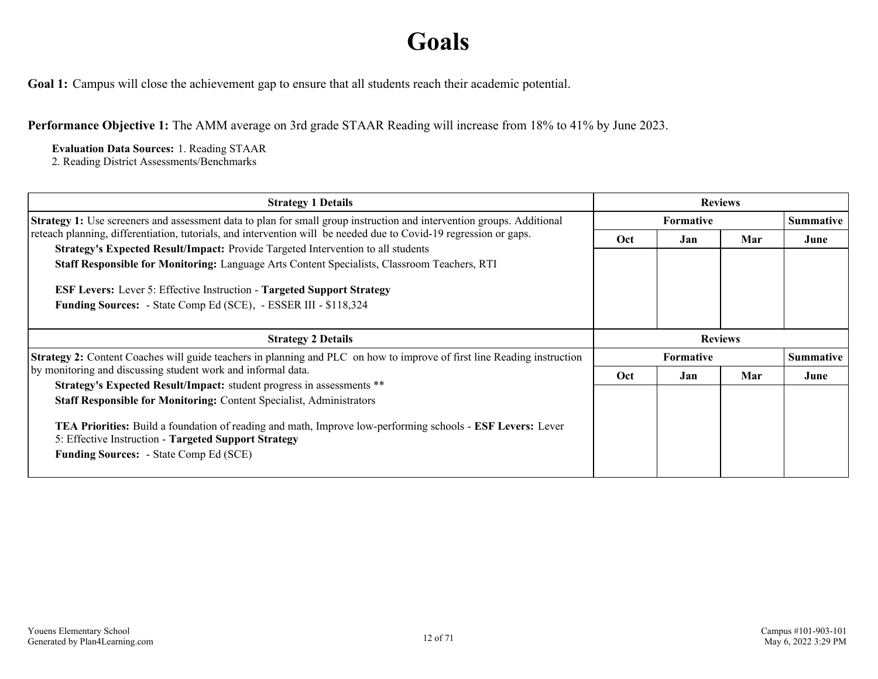# **Goals**

<span id="page-11-0"></span>**Goal 1:** Campus will close the achievement gap to ensure that all students reach their academic potential.

**Performance Objective 1:** The AMM average on 3rd grade STAAR Reading will increase from 18% to 41% by June 2023.

**Evaluation Data Sources:** 1. Reading STAAR

2. Reading District Assessments/Benchmarks

| <b>Strategy 1 Details</b>                                                                                                                                                                                                                                                                                                                                                                                                                                               | <b>Reviews</b>   |                  |     |                  |
|-------------------------------------------------------------------------------------------------------------------------------------------------------------------------------------------------------------------------------------------------------------------------------------------------------------------------------------------------------------------------------------------------------------------------------------------------------------------------|------------------|------------------|-----|------------------|
| <b>Strategy 1:</b> Use screeners and assessment data to plan for small group instruction and intervention groups. Additional                                                                                                                                                                                                                                                                                                                                            |                  | <b>Summative</b> |     |                  |
| reteach planning, differentiation, tutorials, and intervention will be needed due to Covid-19 regression or gaps.<br>Strategy's Expected Result/Impact: Provide Targeted Intervention to all students<br><b>Staff Responsible for Monitoring:</b> Language Arts Content Specialists, Classroom Teachers, RTI<br><b>ESF Levers: Lever 5: Effective Instruction - Targeted Support Strategy</b><br><b>Funding Sources:</b> - State Comp Ed (SCE), - ESSER III - \$118,324 | Oct              | Jan              | Mar | June             |
| <b>Strategy 2 Details</b>                                                                                                                                                                                                                                                                                                                                                                                                                                               | <b>Reviews</b>   |                  |     |                  |
| <b>Strategy 2:</b> Content Coaches will guide teachers in planning and PLC on how to improve of first line Reading instruction                                                                                                                                                                                                                                                                                                                                          | <b>Formative</b> |                  |     | <b>Summative</b> |
| by monitoring and discussing student work and informal data.                                                                                                                                                                                                                                                                                                                                                                                                            | Oct.             | Jan              | Mar | June             |
| Strategy's Expected Result/Impact: student progress in assessments **<br><b>Staff Responsible for Monitoring: Content Specialist, Administrators</b><br><b>TEA Priorities:</b> Build a foundation of reading and math, Improve low-performing schools - <b>ESF Levers:</b> Lever<br>5: Effective Instruction - Targeted Support Strategy<br><b>Funding Sources:</b> - State Comp Ed (SCE)                                                                               |                  |                  |     |                  |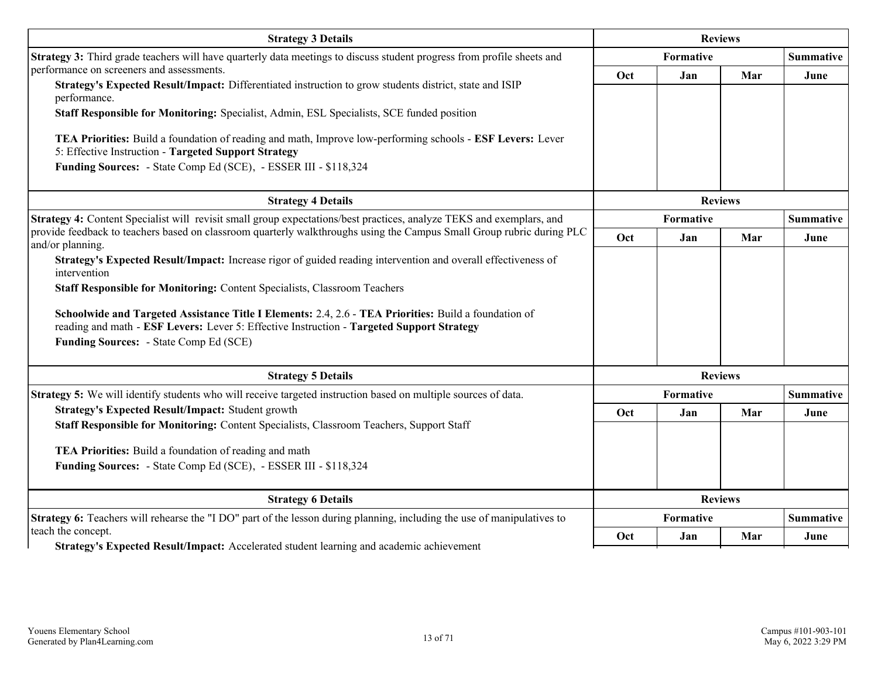| <b>Strategy 3 Details</b>                                                                                                                                                                          |                | <b>Reviews</b> |                |                  |
|----------------------------------------------------------------------------------------------------------------------------------------------------------------------------------------------------|----------------|----------------|----------------|------------------|
| Strategy 3: Third grade teachers will have quarterly data meetings to discuss student progress from profile sheets and                                                                             |                | Formative      |                |                  |
| performance on screeners and assessments.<br>Strategy's Expected Result/Impact: Differentiated instruction to grow students district, state and ISIP<br>performance.                               | Oct            | Jan            | Mar            | June             |
| Staff Responsible for Monitoring: Specialist, Admin, ESL Specialists, SCE funded position                                                                                                          |                |                |                |                  |
| TEA Priorities: Build a foundation of reading and math, Improve low-performing schools - ESF Levers: Lever<br>5: Effective Instruction - Targeted Support Strategy                                 |                |                |                |                  |
| Funding Sources: - State Comp Ed (SCE), - ESSER III - \$118,324                                                                                                                                    |                |                |                |                  |
| <b>Strategy 4 Details</b>                                                                                                                                                                          |                |                | <b>Reviews</b> |                  |
| Strategy 4: Content Specialist will revisit small group expectations/best practices, analyze TEKS and exemplars, and                                                                               |                | Formative      |                |                  |
| provide feedback to teachers based on classroom quarterly walkthroughs using the Campus Small Group rubric during PLC<br>and/or planning.                                                          | Oct            | Jan            | Mar            | June             |
| Strategy's Expected Result/Impact: Increase rigor of guided reading intervention and overall effectiveness of<br>intervention                                                                      |                |                |                |                  |
| Staff Responsible for Monitoring: Content Specialists, Classroom Teachers                                                                                                                          |                |                |                |                  |
| Schoolwide and Targeted Assistance Title I Elements: 2.4, 2.6 - TEA Priorities: Build a foundation of<br>reading and math - ESF Levers: Lever 5: Effective Instruction - Targeted Support Strategy |                |                |                |                  |
| Funding Sources: - State Comp Ed (SCE)                                                                                                                                                             |                |                |                |                  |
| <b>Strategy 5 Details</b>                                                                                                                                                                          |                | <b>Reviews</b> |                |                  |
| Strategy 5: We will identify students who will receive targeted instruction based on multiple sources of data.                                                                                     |                | Formative      |                | <b>Summative</b> |
| <b>Strategy's Expected Result/Impact: Student growth</b><br>Staff Responsible for Monitoring: Content Specialists, Classroom Teachers, Support Staff                                               | Oct            | Jan            | Mar            | June             |
|                                                                                                                                                                                                    |                |                |                |                  |
| TEA Priorities: Build a foundation of reading and math                                                                                                                                             |                |                |                |                  |
| Funding Sources: - State Comp Ed (SCE), - ESSER III - \$118,324                                                                                                                                    |                |                |                |                  |
| <b>Strategy 6 Details</b>                                                                                                                                                                          | <b>Reviews</b> |                |                |                  |
| <b>Strategy 6:</b> Teachers will rehearse the "I DO" part of the lesson during planning, including the use of manipulatives to                                                                     |                | Formative      |                | <b>Summative</b> |
| teach the concept.<br>Strategy's Expected Result/Impact: Accelerated student learning and academic achievement                                                                                     | Oct            | Jan            | Mar            | June             |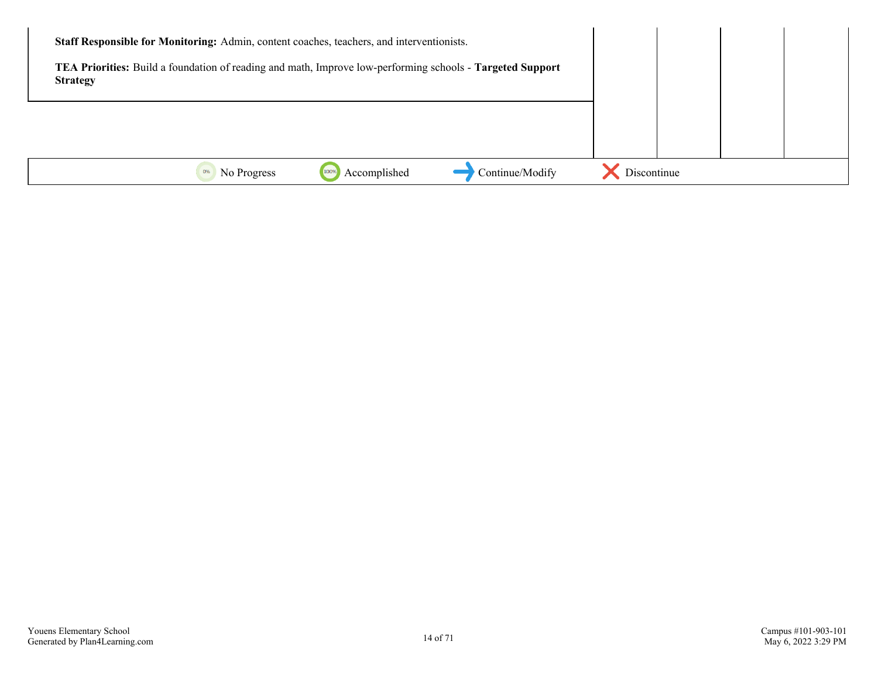| Staff Responsible for Monitoring: Admin, content coaches, teachers, and interventionists.<br><b>Strategy</b> |                   |                      | TEA Priorities: Build a foundation of reading and math, Improve low-performing schools - Targeted Support |             |  |  |
|--------------------------------------------------------------------------------------------------------------|-------------------|----------------------|-----------------------------------------------------------------------------------------------------------|-------------|--|--|
|                                                                                                              |                   |                      |                                                                                                           |             |  |  |
|                                                                                                              | 0%<br>No Progress | Accomplished<br>100% | Continue/Modify                                                                                           | Discontinue |  |  |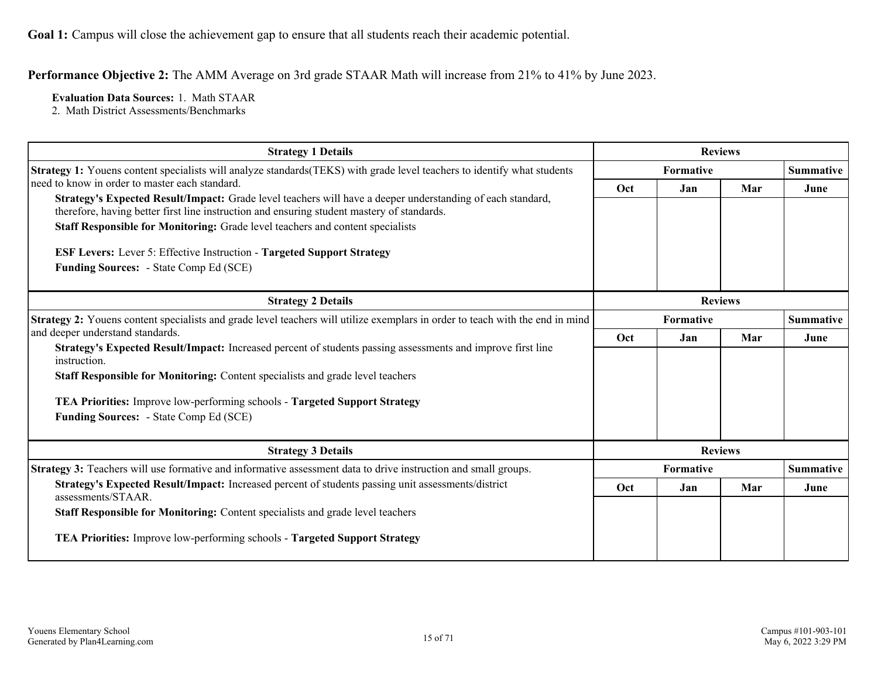**Performance Objective 2:** The AMM Average on 3rd grade STAAR Math will increase from 21% to 41% by June 2023.

**Evaluation Data Sources:** 1. Math STAAR

2. Math District Assessments/Benchmarks

| <b>Strategy 1 Details</b>                                                                                                                                                                                | <b>Reviews</b>   |                  |     |                  |
|----------------------------------------------------------------------------------------------------------------------------------------------------------------------------------------------------------|------------------|------------------|-----|------------------|
| Strategy 1: Youens content specialists will analyze standards (TEKS) with grade level teachers to identify what students                                                                                 |                  | <b>Formative</b> |     | <b>Summative</b> |
| need to know in order to master each standard.                                                                                                                                                           | Oct              | Jan              | Mar | June             |
| Strategy's Expected Result/Impact: Grade level teachers will have a deeper understanding of each standard,<br>therefore, having better first line instruction and ensuring student mastery of standards. |                  |                  |     |                  |
| Staff Responsible for Monitoring: Grade level teachers and content specialists                                                                                                                           |                  |                  |     |                  |
| <b>ESF Levers:</b> Lever 5: Effective Instruction - Targeted Support Strategy                                                                                                                            |                  |                  |     |                  |
| Funding Sources: - State Comp Ed (SCE)                                                                                                                                                                   |                  |                  |     |                  |
| <b>Strategy 2 Details</b>                                                                                                                                                                                |                  | <b>Reviews</b>   |     |                  |
| Strategy 2: Youens content specialists and grade level teachers will utilize exemplars in order to teach with the end in mind                                                                            | Formative        |                  |     | <b>Summative</b> |
| and deeper understand standards.                                                                                                                                                                         | <b>Oct</b>       | Jan              | Mar | June             |
| Strategy's Expected Result/Impact: Increased percent of students passing assessments and improve first line<br>instruction.                                                                              |                  |                  |     |                  |
| Staff Responsible for Monitoring: Content specialists and grade level teachers                                                                                                                           |                  |                  |     |                  |
| <b>TEA Priorities:</b> Improve low-performing schools - Targeted Support Strategy                                                                                                                        |                  |                  |     |                  |
| Funding Sources: - State Comp Ed (SCE)                                                                                                                                                                   |                  |                  |     |                  |
| <b>Strategy 3 Details</b>                                                                                                                                                                                | <b>Reviews</b>   |                  |     |                  |
| Strategy 3: Teachers will use formative and informative assessment data to drive instruction and small groups.                                                                                           | <b>Formative</b> |                  |     | <b>Summative</b> |
| Strategy's Expected Result/Impact: Increased percent of students passing unit assessments/district<br>assessments/STAAR.                                                                                 | <b>Oct</b>       | Jan              | Mar | June             |
| Staff Responsible for Monitoring: Content specialists and grade level teachers                                                                                                                           |                  |                  |     |                  |
| TEA Priorities: Improve low-performing schools - Targeted Support Strategy                                                                                                                               |                  |                  |     |                  |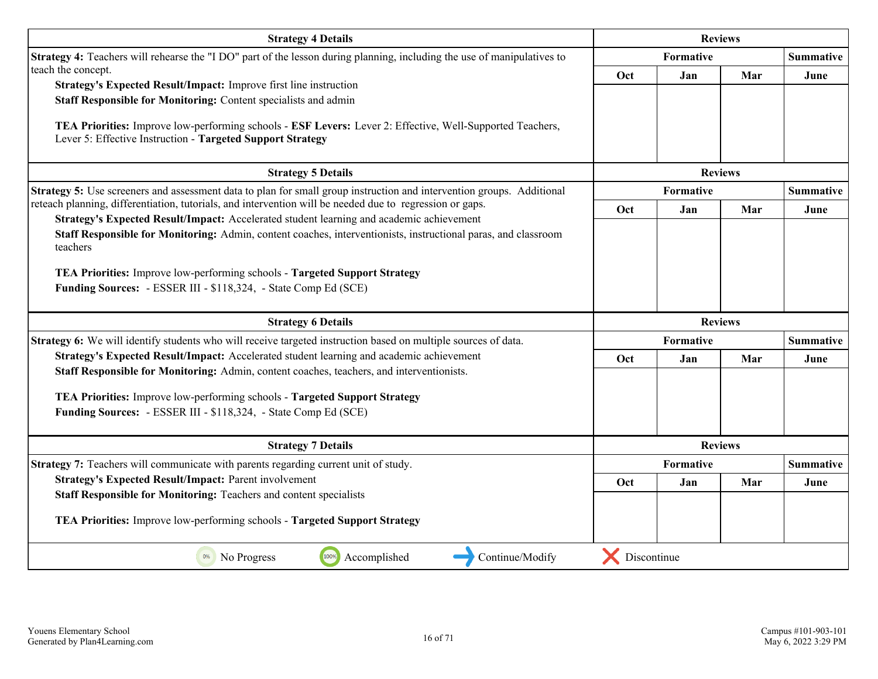| <b>Strategy 4 Details</b>                                                                                                                                                                                                                                                                                                                                                                                                                                |             | <b>Reviews</b>   |                |                          |
|----------------------------------------------------------------------------------------------------------------------------------------------------------------------------------------------------------------------------------------------------------------------------------------------------------------------------------------------------------------------------------------------------------------------------------------------------------|-------------|------------------|----------------|--------------------------|
| <b>Strategy 4:</b> Teachers will rehearse the "I DO" part of the lesson during planning, including the use of manipulatives to                                                                                                                                                                                                                                                                                                                           |             | Formative        |                | <b>Summative</b>         |
| teach the concept.<br>Strategy's Expected Result/Impact: Improve first line instruction<br>Staff Responsible for Monitoring: Content specialists and admin<br>TEA Priorities: Improve low-performing schools - ESF Levers: Lever 2: Effective, Well-Supported Teachers,<br>Lever 5: Effective Instruction - Targeted Support Strategy                                                                                                                    | Oct         | Jan              | Mar            | June                     |
| <b>Strategy 5 Details</b>                                                                                                                                                                                                                                                                                                                                                                                                                                |             | <b>Reviews</b>   |                |                          |
| Strategy 5: Use screeners and assessment data to plan for small group instruction and intervention groups. Additional<br>reteach planning, differentiation, tutorials, and intervention will be needed due to regression or gaps.<br>Strategy's Expected Result/Impact: Accelerated student learning and academic achievement<br>Staff Responsible for Monitoring: Admin, content coaches, interventionists, instructional paras, and classroom          | Oct         | Formative<br>Jan | Mar            | <b>Summative</b><br>June |
| teachers<br>TEA Priorities: Improve low-performing schools - Targeted Support Strategy<br>Funding Sources: - ESSER III - \$118,324, - State Comp Ed (SCE)                                                                                                                                                                                                                                                                                                |             |                  |                |                          |
| <b>Strategy 6 Details</b>                                                                                                                                                                                                                                                                                                                                                                                                                                |             |                  | <b>Reviews</b> |                          |
| Strategy 6: We will identify students who will receive targeted instruction based on multiple sources of data.<br>Strategy's Expected Result/Impact: Accelerated student learning and academic achievement<br>Staff Responsible for Monitoring: Admin, content coaches, teachers, and interventionists.<br>TEA Priorities: Improve low-performing schools - Targeted Support Strategy<br>Funding Sources: - ESSER III - \$118,324, - State Comp Ed (SCE) | Oct         | Formative<br>Jan | Mar            | <b>Summative</b><br>June |
| <b>Strategy 7 Details</b>                                                                                                                                                                                                                                                                                                                                                                                                                                |             | <b>Reviews</b>   |                |                          |
| Strategy 7: Teachers will communicate with parents regarding current unit of study.<br><b>Strategy's Expected Result/Impact: Parent involvement</b><br>Staff Responsible for Monitoring: Teachers and content specialists<br>TEA Priorities: Improve low-performing schools - Targeted Support Strategy                                                                                                                                                  | Oct         | Formative<br>Jan | Mar            | <b>Summative</b><br>June |
| 100%<br>Continue/Modify<br>Accomplished<br>0%<br>No Progress                                                                                                                                                                                                                                                                                                                                                                                             | Discontinue |                  |                |                          |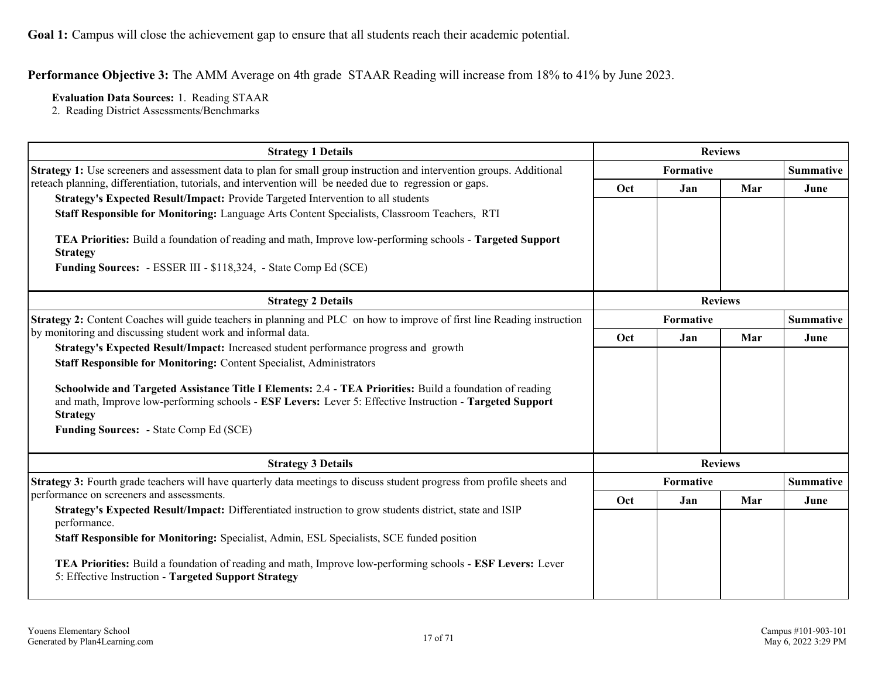**Performance Objective 3:** The AMM Average on 4th grade STAAR Reading will increase from 18% to 41% by June 2023.

**Evaluation Data Sources:** 1. Reading STAAR

2. Reading District Assessments/Benchmarks

| <b>Strategy 1 Details</b>                                                                                                                                                                                                               |                | <b>Reviews</b> |                  |                  |
|-----------------------------------------------------------------------------------------------------------------------------------------------------------------------------------------------------------------------------------------|----------------|----------------|------------------|------------------|
| Strategy 1: Use screeners and assessment data to plan for small group instruction and intervention groups. Additional                                                                                                                   |                | Formative      |                  | <b>Summative</b> |
| reteach planning, differentiation, tutorials, and intervention will be needed due to regression or gaps.                                                                                                                                | Oct            | Jan            | Mar              | June             |
| Strategy's Expected Result/Impact: Provide Targeted Intervention to all students                                                                                                                                                        |                |                |                  |                  |
| Staff Responsible for Monitoring: Language Arts Content Specialists, Classroom Teachers, RTI                                                                                                                                            |                |                |                  |                  |
| TEA Priorities: Build a foundation of reading and math, Improve low-performing schools - Targeted Support<br><b>Strategy</b>                                                                                                            |                |                |                  |                  |
| Funding Sources: - ESSER III - \$118,324, - State Comp Ed (SCE)                                                                                                                                                                         |                |                |                  |                  |
| <b>Strategy 2 Details</b>                                                                                                                                                                                                               | <b>Reviews</b> |                |                  |                  |
| <b>Strategy 2:</b> Content Coaches will guide teachers in planning and PLC on how to improve of first line Reading instruction                                                                                                          |                |                | <b>Summative</b> |                  |
| by monitoring and discussing student work and informal data.                                                                                                                                                                            | Oct            | Jan            | Mar              | June             |
| Strategy's Expected Result/Impact: Increased student performance progress and growth                                                                                                                                                    |                |                |                  |                  |
| <b>Staff Responsible for Monitoring: Content Specialist, Administrators</b>                                                                                                                                                             |                |                |                  |                  |
| Schoolwide and Targeted Assistance Title I Elements: 2.4 - TEA Priorities: Build a foundation of reading<br>and math, Improve low-performing schools - ESF Levers: Lever 5: Effective Instruction - Targeted Support<br><b>Strategy</b> |                |                |                  |                  |
| <b>Funding Sources:</b> - State Comp Ed (SCE)                                                                                                                                                                                           |                |                |                  |                  |
| <b>Strategy 3 Details</b>                                                                                                                                                                                                               | <b>Reviews</b> |                |                  |                  |
| Strategy 3: Fourth grade teachers will have quarterly data meetings to discuss student progress from profile sheets and                                                                                                                 |                | Formative      |                  | <b>Summative</b> |
| performance on screeners and assessments.                                                                                                                                                                                               | Oct            | Jan            | Mar              | June             |
| Strategy's Expected Result/Impact: Differentiated instruction to grow students district, state and ISIP<br>performance.                                                                                                                 |                |                |                  |                  |
| Staff Responsible for Monitoring: Specialist, Admin, ESL Specialists, SCE funded position                                                                                                                                               |                |                |                  |                  |
| TEA Priorities: Build a foundation of reading and math, Improve low-performing schools - ESF Levers: Lever<br>5: Effective Instruction - Targeted Support Strategy                                                                      |                |                |                  |                  |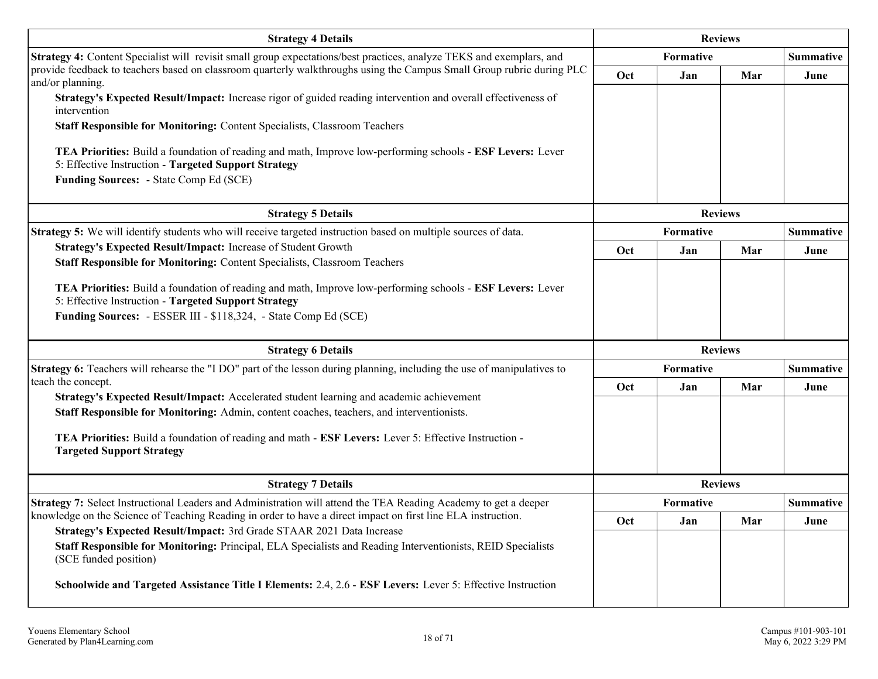| <b>Strategy 4 Details</b>                                                                                                                                                             |           | <b>Reviews</b>   |                |                  |
|---------------------------------------------------------------------------------------------------------------------------------------------------------------------------------------|-----------|------------------|----------------|------------------|
| Strategy 4: Content Specialist will revisit small group expectations/best practices, analyze TEKS and exemplars, and                                                                  |           | Formative        |                | <b>Summative</b> |
| provide feedback to teachers based on classroom quarterly walkthroughs using the Campus Small Group rubric during PLC<br>and/or planning.                                             | Oct       | Jan              | Mar            | June             |
| Strategy's Expected Result/Impact: Increase rigor of guided reading intervention and overall effectiveness of<br>intervention                                                         |           |                  |                |                  |
| Staff Responsible for Monitoring: Content Specialists, Classroom Teachers                                                                                                             |           |                  |                |                  |
| TEA Priorities: Build a foundation of reading and math, Improve low-performing schools - ESF Levers: Lever<br>5: Effective Instruction - Targeted Support Strategy                    |           |                  |                |                  |
| Funding Sources: - State Comp Ed (SCE)                                                                                                                                                |           |                  |                |                  |
| <b>Strategy 5 Details</b>                                                                                                                                                             |           |                  | <b>Reviews</b> |                  |
| Strategy 5: We will identify students who will receive targeted instruction based on multiple sources of data.                                                                        |           | Formative        |                | <b>Summative</b> |
| Strategy's Expected Result/Impact: Increase of Student Growth                                                                                                                         | Oct       | Jan              | Mar            | June             |
| Staff Responsible for Monitoring: Content Specialists, Classroom Teachers                                                                                                             |           |                  |                |                  |
| TEA Priorities: Build a foundation of reading and math, Improve low-performing schools - ESF Levers: Lever<br>5: Effective Instruction - Targeted Support Strategy                    |           |                  |                |                  |
| Funding Sources: - ESSER III - \$118,324, - State Comp Ed (SCE)                                                                                                                       |           |                  |                |                  |
| <b>Strategy 6 Details</b>                                                                                                                                                             |           |                  | <b>Reviews</b> |                  |
| Strategy 6: Teachers will rehearse the "I DO" part of the lesson during planning, including the use of manipulatives to                                                               |           | <b>Formative</b> |                | <b>Summative</b> |
| teach the concept.<br>Strategy's Expected Result/Impact: Accelerated student learning and academic achievement                                                                        | Oct       | Jan              | Mar            | June             |
| Staff Responsible for Monitoring: Admin, content coaches, teachers, and interventionists.                                                                                             |           |                  |                |                  |
| TEA Priorities: Build a foundation of reading and math - ESF Levers: Lever 5: Effective Instruction -<br><b>Targeted Support Strategy</b>                                             |           |                  |                |                  |
| <b>Strategy 7 Details</b>                                                                                                                                                             |           | <b>Reviews</b>   |                |                  |
| Strategy 7: Select Instructional Leaders and Administration will attend the TEA Reading Academy to get a deeper                                                                       | Formative |                  |                | <b>Summative</b> |
| knowledge on the Science of Teaching Reading in order to have a direct impact on first line ELA instruction.<br>Strategy's Expected Result/Impact: 3rd Grade STAAR 2021 Data Increase | Oct       | Jan              | Mar            | June             |
| Staff Responsible for Monitoring: Principal, ELA Specialists and Reading Interventionists, REID Specialists<br>(SCE funded position)                                                  |           |                  |                |                  |
| Schoolwide and Targeted Assistance Title I Elements: 2.4, 2.6 - ESF Levers: Lever 5: Effective Instruction                                                                            |           |                  |                |                  |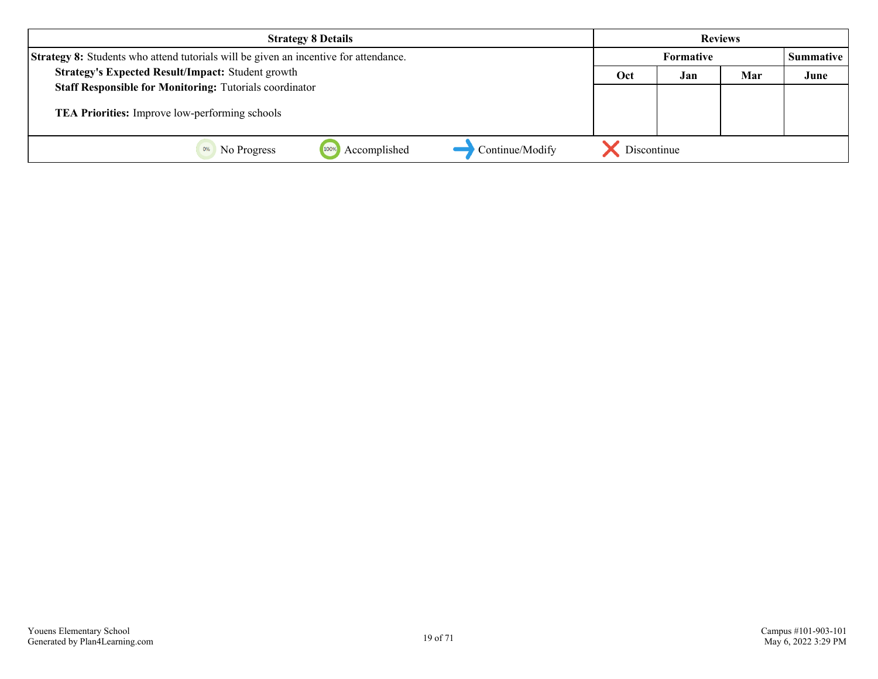| <b>Strategy 8 Details</b>                                                                   | <b>Reviews</b> |                  |     |                  |
|---------------------------------------------------------------------------------------------|----------------|------------------|-----|------------------|
| <b>Strategy 8:</b> Students who attend tutorials will be given an incentive for attendance. |                | <b>Formative</b> |     | <b>Summative</b> |
| Strategy's Expected Result/Impact: Student growth                                           | Oct            | Jan              | Mar | June             |
| <b>Staff Responsible for Monitoring: Tutorials coordinator</b>                              |                |                  |     |                  |
| TEA Priorities: Improve low-performing schools                                              |                |                  |     |                  |
| Continue/Modify<br>Accomplished<br>No Progress                                              | Discontinue    |                  |     |                  |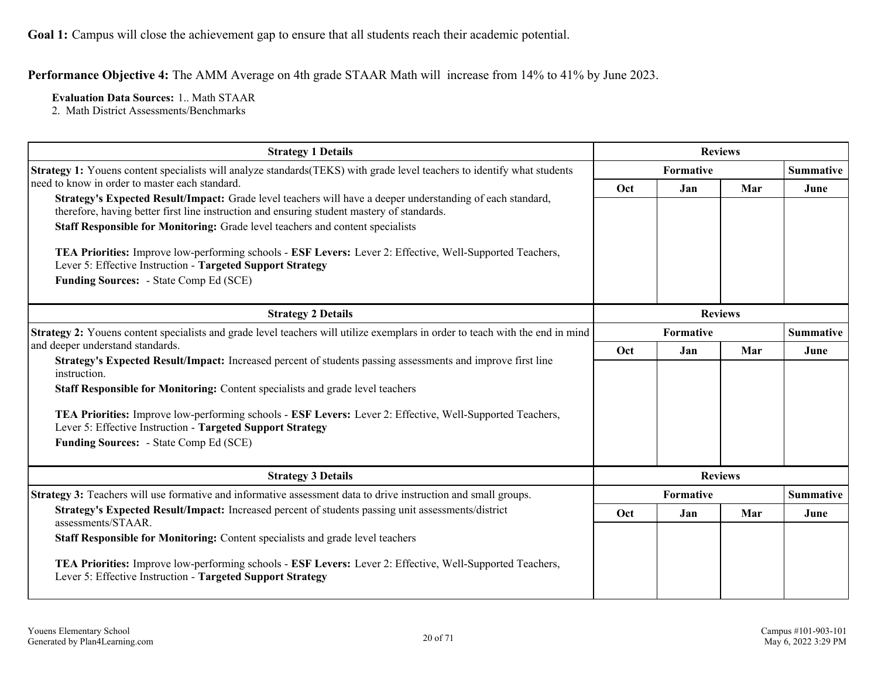**Performance Objective 4:** The AMM Average on 4th grade STAAR Math will increase from 14% to 41% by June 2023.

**Evaluation Data Sources:** 1.. Math STAAR

2. Math District Assessments/Benchmarks

| <b>Strategy 1 Details</b>                                                                                                                                                                                | <b>Reviews</b> |                |     |                  |
|----------------------------------------------------------------------------------------------------------------------------------------------------------------------------------------------------------|----------------|----------------|-----|------------------|
| Strategy 1: Youens content specialists will analyze standards (TEKS) with grade level teachers to identify what students                                                                                 | Formative      |                |     | <b>Summative</b> |
| need to know in order to master each standard.                                                                                                                                                           | Oct            | Jan            | Mar | June             |
| Strategy's Expected Result/Impact: Grade level teachers will have a deeper understanding of each standard,<br>therefore, having better first line instruction and ensuring student mastery of standards. |                |                |     |                  |
| Staff Responsible for Monitoring: Grade level teachers and content specialists                                                                                                                           |                |                |     |                  |
| <b>TEA Priorities:</b> Improve low-performing schools - <b>ESF Levers:</b> Lever 2: Effective, Well-Supported Teachers,<br>Lever 5: Effective Instruction - Targeted Support Strategy                    |                |                |     |                  |
| Funding Sources: - State Comp Ed (SCE)                                                                                                                                                                   |                |                |     |                  |
| <b>Strategy 2 Details</b>                                                                                                                                                                                | <b>Reviews</b> |                |     |                  |
| Strategy 2: Youens content specialists and grade level teachers will utilize exemplars in order to teach with the end in mind                                                                            |                | Formative      |     |                  |
| and deeper understand standards.<br>Strategy's Expected Result/Impact: Increased percent of students passing assessments and improve first line<br>instruction.                                          | Oct            | Jan            | Mar | June             |
|                                                                                                                                                                                                          |                |                |     |                  |
| Staff Responsible for Monitoring: Content specialists and grade level teachers                                                                                                                           |                |                |     |                  |
| TEA Priorities: Improve low-performing schools - ESF Levers: Lever 2: Effective, Well-Supported Teachers,<br>Lever 5: Effective Instruction - Targeted Support Strategy                                  |                |                |     |                  |
| <b>Funding Sources:</b> - State Comp Ed (SCE)                                                                                                                                                            |                |                |     |                  |
| <b>Strategy 3 Details</b>                                                                                                                                                                                |                | <b>Reviews</b> |     |                  |
| Strategy 3: Teachers will use formative and informative assessment data to drive instruction and small groups.                                                                                           |                | Formative      |     | <b>Summative</b> |
| Strategy's Expected Result/Impact: Increased percent of students passing unit assessments/district<br>assessments/STAAR.                                                                                 | Oct            | Jan            | Mar | June             |
| Staff Responsible for Monitoring: Content specialists and grade level teachers                                                                                                                           |                |                |     |                  |
| TEA Priorities: Improve low-performing schools - ESF Levers: Lever 2: Effective, Well-Supported Teachers,<br>Lever 5: Effective Instruction - Targeted Support Strategy                                  |                |                |     |                  |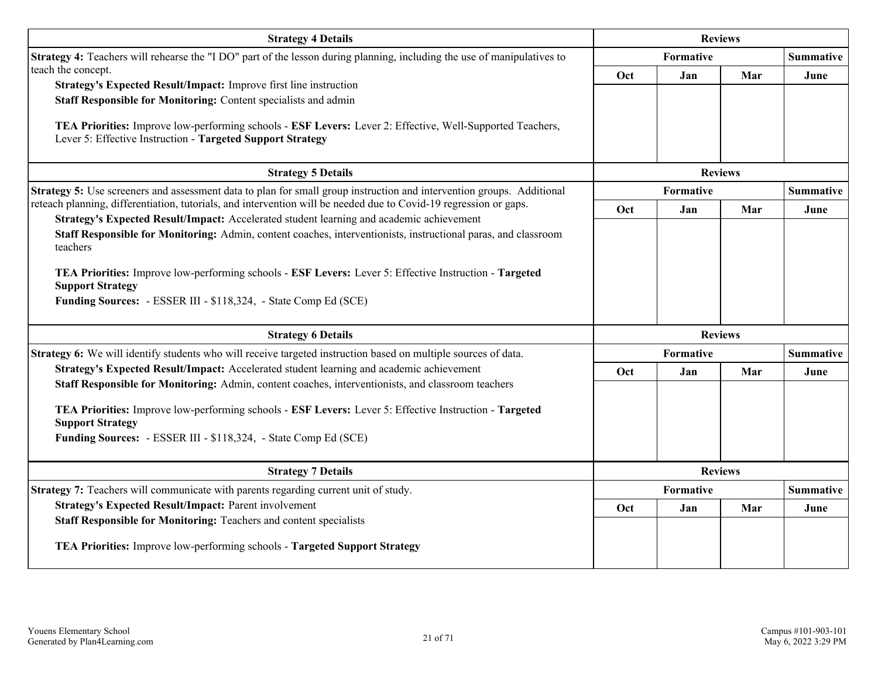| <b>Strategy 4 Details</b>                                                                                                                                                                                                                                                                                                                                                                                                      |                | <b>Reviews</b>   |                |                          |
|--------------------------------------------------------------------------------------------------------------------------------------------------------------------------------------------------------------------------------------------------------------------------------------------------------------------------------------------------------------------------------------------------------------------------------|----------------|------------------|----------------|--------------------------|
| Strategy 4: Teachers will rehearse the "I DO" part of the lesson during planning, including the use of manipulatives to                                                                                                                                                                                                                                                                                                        |                | Formative        |                | <b>Summative</b>         |
| teach the concept.<br>Strategy's Expected Result/Impact: Improve first line instruction<br>Staff Responsible for Monitoring: Content specialists and admin<br>TEA Priorities: Improve low-performing schools - ESF Levers: Lever 2: Effective, Well-Supported Teachers,<br>Lever 5: Effective Instruction - Targeted Support Strategy                                                                                          | Oct            | Jan              | Mar            | June                     |
| <b>Strategy 5 Details</b>                                                                                                                                                                                                                                                                                                                                                                                                      |                |                  | <b>Reviews</b> |                          |
| Strategy 5: Use screeners and assessment data to plan for small group instruction and intervention groups. Additional<br>reteach planning, differentiation, tutorials, and intervention will be needed due to Covid-19 regression or gaps.                                                                                                                                                                                     |                | Formative        |                | <b>Summative</b>         |
| Strategy's Expected Result/Impact: Accelerated student learning and academic achievement<br>Staff Responsible for Monitoring: Admin, content coaches, interventionists, instructional paras, and classroom<br>teachers<br>TEA Priorities: Improve low-performing schools - ESF Levers: Lever 5: Effective Instruction - Targeted<br><b>Support Strategy</b><br>Funding Sources: - ESSER III - \$118,324, - State Comp Ed (SCE) | Oct            | Jan              | Mar            | June                     |
| <b>Strategy 6 Details</b>                                                                                                                                                                                                                                                                                                                                                                                                      |                |                  | <b>Reviews</b> |                          |
| Strategy 6: We will identify students who will receive targeted instruction based on multiple sources of data.                                                                                                                                                                                                                                                                                                                 |                | Formative        |                | <b>Summative</b>         |
| Strategy's Expected Result/Impact: Accelerated student learning and academic achievement<br>Staff Responsible for Monitoring: Admin, content coaches, interventionists, and classroom teachers<br>TEA Priorities: Improve low-performing schools - ESF Levers: Lever 5: Effective Instruction - Targeted<br><b>Support Strategy</b><br>Funding Sources: - ESSER III - \$118,324, - State Comp Ed (SCE)                         | Oct            | Jan              | Mar            | June                     |
| <b>Strategy 7 Details</b>                                                                                                                                                                                                                                                                                                                                                                                                      | <b>Reviews</b> |                  |                |                          |
| Strategy 7: Teachers will communicate with parents regarding current unit of study.<br><b>Strategy's Expected Result/Impact: Parent involvement</b><br>Staff Responsible for Monitoring: Teachers and content specialists<br>TEA Priorities: Improve low-performing schools - Targeted Support Strategy                                                                                                                        | Oct            | Formative<br>Jan | Mar            | <b>Summative</b><br>June |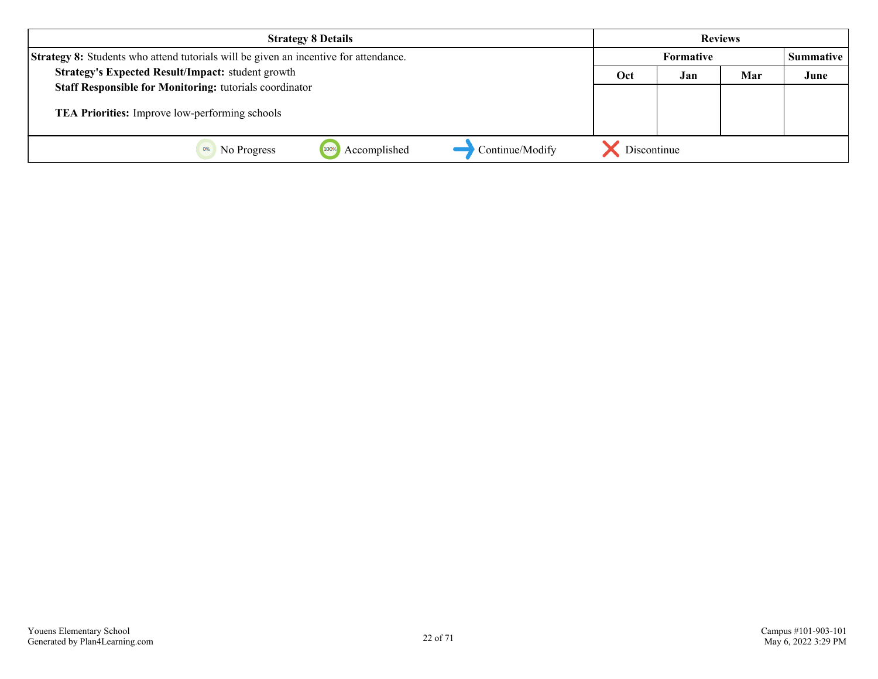| <b>Strategy 8 Details</b>                                                                   | <b>Reviews</b>   |     |     |                  |
|---------------------------------------------------------------------------------------------|------------------|-----|-----|------------------|
| <b>Strategy 8:</b> Students who attend tutorials will be given an incentive for attendance. | <b>Formative</b> |     |     | <b>Summative</b> |
| Strategy's Expected Result/Impact: student growth                                           | Oct              | Jan | Mar | June             |
| <b>Staff Responsible for Monitoring: tutorials coordinator</b>                              |                  |     |     |                  |
| TEA Priorities: Improve low-performing schools                                              |                  |     |     |                  |
| Continue/Modify<br>Accomplished<br>No Progress                                              | Discontinue      |     |     |                  |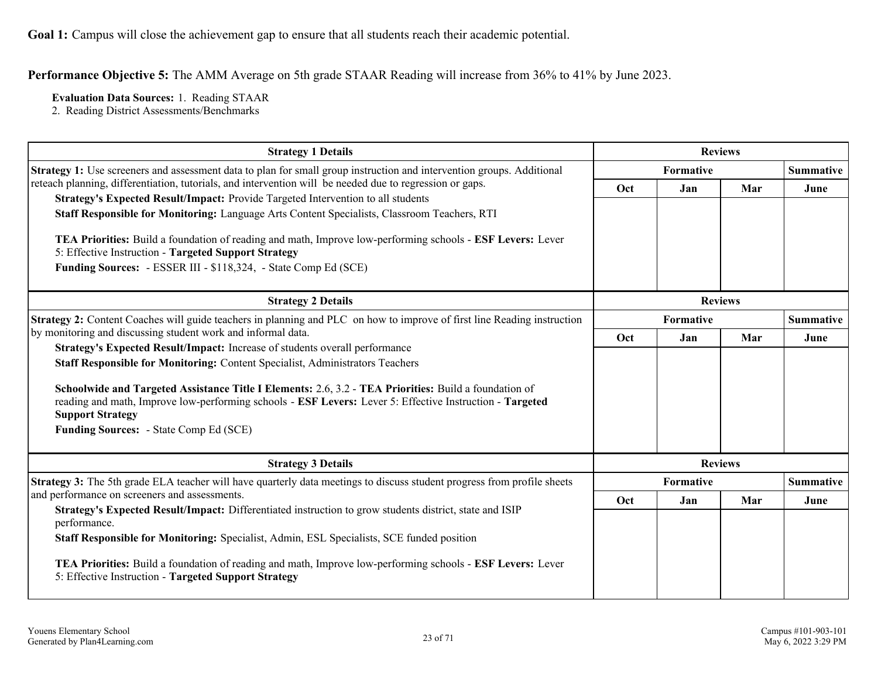**Performance Objective 5:** The AMM Average on 5th grade STAAR Reading will increase from 36% to 41% by June 2023.

**Evaluation Data Sources:** 1. Reading STAAR

2. Reading District Assessments/Benchmarks

| <b>Strategy 1 Details</b>                                                                                                                                          |     | <b>Reviews</b>   |     |                  |  |
|--------------------------------------------------------------------------------------------------------------------------------------------------------------------|-----|------------------|-----|------------------|--|
| Strategy 1: Use screeners and assessment data to plan for small group instruction and intervention groups. Additional                                              |     | Formative        |     | <b>Summative</b> |  |
| reteach planning, differentiation, tutorials, and intervention will be needed due to regression or gaps.                                                           | Oct | Jan              | Mar | June             |  |
| Strategy's Expected Result/Impact: Provide Targeted Intervention to all students                                                                                   |     |                  |     |                  |  |
| Staff Responsible for Monitoring: Language Arts Content Specialists, Classroom Teachers, RTI                                                                       |     |                  |     |                  |  |
| TEA Priorities: Build a foundation of reading and math, Improve low-performing schools - ESF Levers: Lever                                                         |     |                  |     |                  |  |
| 5: Effective Instruction - Targeted Support Strategy                                                                                                               |     |                  |     |                  |  |
| Funding Sources: - ESSER III - \$118,324, - State Comp Ed (SCE)                                                                                                    |     |                  |     |                  |  |
| <b>Strategy 2 Details</b>                                                                                                                                          |     |                  |     |                  |  |
| Strategy 2: Content Coaches will guide teachers in planning and PLC on how to improve of first line Reading instruction                                            |     | <b>Summative</b> |     |                  |  |
| by monitoring and discussing student work and informal data.                                                                                                       | Oct | Jan              | Mar | June             |  |
| Strategy's Expected Result/Impact: Increase of students overall performance                                                                                        |     |                  |     |                  |  |
| Staff Responsible for Monitoring: Content Specialist, Administrators Teachers                                                                                      |     |                  |     |                  |  |
| Schoolwide and Targeted Assistance Title I Elements: 2.6, 3.2 - TEA Priorities: Build a foundation of                                                              |     |                  |     |                  |  |
| reading and math, Improve low-performing schools - ESF Levers: Lever 5: Effective Instruction - Targeted                                                           |     |                  |     |                  |  |
| <b>Support Strategy</b>                                                                                                                                            |     |                  |     |                  |  |
| Funding Sources: - State Comp Ed (SCE)                                                                                                                             |     |                  |     |                  |  |
| <b>Strategy 3 Details</b>                                                                                                                                          |     |                  |     |                  |  |
| <b>Strategy 3:</b> The 5th grade ELA teacher will have quarterly data meetings to discuss student progress from profile sheets                                     |     | Formative        |     | <b>Summative</b> |  |
| and performance on screeners and assessments.                                                                                                                      | Oct | Jan              | Mar | June             |  |
| Strategy's Expected Result/Impact: Differentiated instruction to grow students district, state and ISIP<br>performance.                                            |     |                  |     |                  |  |
| Staff Responsible for Monitoring: Specialist, Admin, ESL Specialists, SCE funded position                                                                          |     |                  |     |                  |  |
| TEA Priorities: Build a foundation of reading and math, Improve low-performing schools - ESF Levers: Lever<br>5: Effective Instruction - Targeted Support Strategy |     |                  |     |                  |  |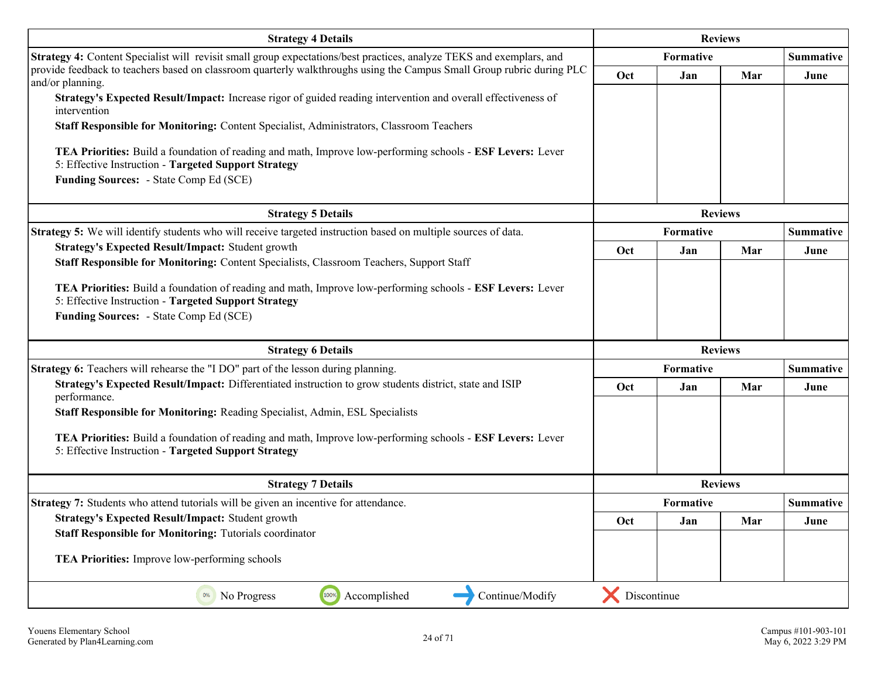| <b>Strategy 4 Details</b>                                                                                                                                          |             | <b>Reviews</b> |                |                  |  |
|--------------------------------------------------------------------------------------------------------------------------------------------------------------------|-------------|----------------|----------------|------------------|--|
| Strategy 4: Content Specialist will revisit small group expectations/best practices, analyze TEKS and exemplars, and                                               | Formative   |                |                | <b>Summative</b> |  |
| provide feedback to teachers based on classroom quarterly walkthroughs using the Campus Small Group rubric during PLC                                              | Oct         | Jan            | Mar            | June             |  |
| and/or planning.<br>Strategy's Expected Result/Impact: Increase rigor of guided reading intervention and overall effectiveness of<br>intervention                  |             |                |                |                  |  |
| Staff Responsible for Monitoring: Content Specialist, Administrators, Classroom Teachers                                                                           |             |                |                |                  |  |
| TEA Priorities: Build a foundation of reading and math, Improve low-performing schools - ESF Levers: Lever<br>5: Effective Instruction - Targeted Support Strategy |             |                |                |                  |  |
| <b>Funding Sources:</b> - State Comp Ed (SCE)                                                                                                                      |             |                |                |                  |  |
| <b>Strategy 5 Details</b>                                                                                                                                          |             |                | <b>Reviews</b> |                  |  |
| Strategy 5: We will identify students who will receive targeted instruction based on multiple sources of data.                                                     |             | Formative      |                | <b>Summative</b> |  |
| <b>Strategy's Expected Result/Impact: Student growth</b>                                                                                                           | Oct         | Jan            | Mar            | June             |  |
| Staff Responsible for Monitoring: Content Specialists, Classroom Teachers, Support Staff                                                                           |             |                |                |                  |  |
| TEA Priorities: Build a foundation of reading and math, Improve low-performing schools - ESF Levers: Lever<br>5: Effective Instruction - Targeted Support Strategy |             |                |                |                  |  |
| Funding Sources: - State Comp Ed (SCE)                                                                                                                             |             |                |                |                  |  |
| <b>Strategy 6 Details</b>                                                                                                                                          |             |                | <b>Reviews</b> |                  |  |
| Strategy 6: Teachers will rehearse the "I DO" part of the lesson during planning.                                                                                  |             | Formative      |                | <b>Summative</b> |  |
| Strategy's Expected Result/Impact: Differentiated instruction to grow students district, state and ISIP<br>performance.                                            | Oct         | Jan            | Mar            | June             |  |
| Staff Responsible for Monitoring: Reading Specialist, Admin, ESL Specialists                                                                                       |             |                |                |                  |  |
| TEA Priorities: Build a foundation of reading and math, Improve low-performing schools - ESF Levers: Lever<br>5: Effective Instruction - Targeted Support Strategy |             |                |                |                  |  |
| <b>Strategy 7 Details</b>                                                                                                                                          |             |                | <b>Reviews</b> |                  |  |
| Strategy 7: Students who attend tutorials will be given an incentive for attendance.                                                                               |             | Formative      |                | <b>Summative</b> |  |
| Strategy's Expected Result/Impact: Student growth                                                                                                                  | Oct         | Jan            | Mar            | June             |  |
| <b>Staff Responsible for Monitoring: Tutorials coordinator</b>                                                                                                     |             |                |                |                  |  |
| TEA Priorities: Improve low-performing schools                                                                                                                     |             |                |                |                  |  |
| 100%<br>Continue/Modify<br>0%<br>No Progress<br>Accomplished                                                                                                       | Discontinue |                |                |                  |  |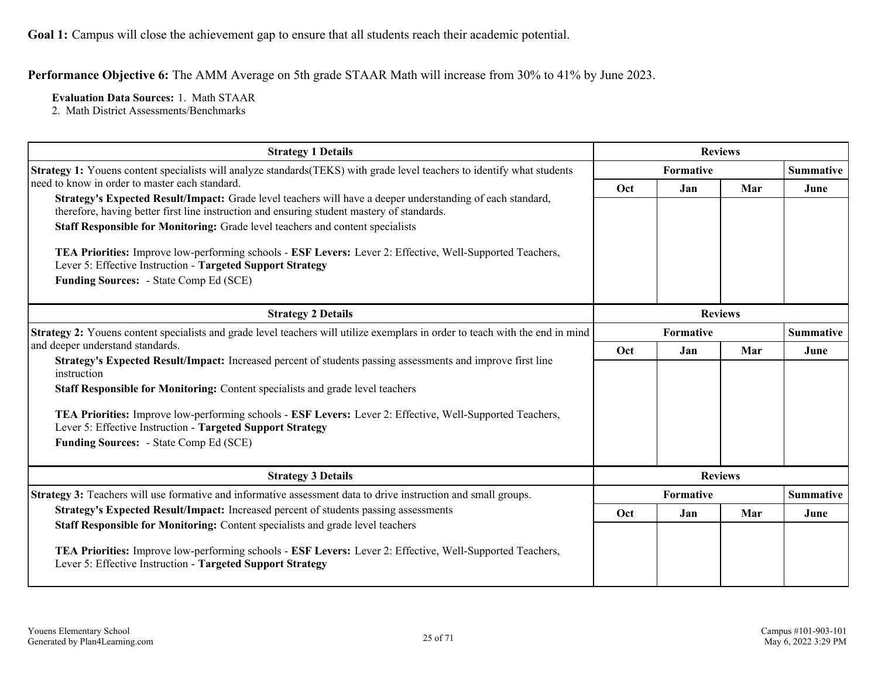**Performance Objective 6:** The AMM Average on 5th grade STAAR Math will increase from 30% to 41% by June 2023.

**Evaluation Data Sources:** 1. Math STAAR

2. Math District Assessments/Benchmarks

| <b>Strategy 1 Details</b>                                                                                                                                                                                |                | <b>Reviews</b> |                  |                  |  |
|----------------------------------------------------------------------------------------------------------------------------------------------------------------------------------------------------------|----------------|----------------|------------------|------------------|--|
| Strategy 1: Youens content specialists will analyze standards (TEKS) with grade level teachers to identify what students                                                                                 |                |                | <b>Summative</b> |                  |  |
| need to know in order to master each standard.                                                                                                                                                           | Oct            | Jan            | Mar              | June             |  |
| Strategy's Expected Result/Impact: Grade level teachers will have a deeper understanding of each standard,<br>therefore, having better first line instruction and ensuring student mastery of standards. |                |                |                  |                  |  |
| Staff Responsible for Monitoring: Grade level teachers and content specialists                                                                                                                           |                |                |                  |                  |  |
| TEA Priorities: Improve low-performing schools - ESF Levers: Lever 2: Effective, Well-Supported Teachers,<br>Lever 5: Effective Instruction - Targeted Support Strategy                                  |                |                |                  |                  |  |
| <b>Funding Sources:</b> - State Comp Ed (SCE)                                                                                                                                                            |                |                |                  |                  |  |
| <b>Strategy 2 Details</b>                                                                                                                                                                                | <b>Reviews</b> |                |                  |                  |  |
| Strategy 2: Youens content specialists and grade level teachers will utilize exemplars in order to teach with the end in mind<br>and deeper understand standards.                                        | Formative      |                |                  | <b>Summative</b> |  |
|                                                                                                                                                                                                          | <b>Oct</b>     | Jan            | Mar              | June             |  |
| Strategy's Expected Result/Impact: Increased percent of students passing assessments and improve first line<br>instruction                                                                               |                |                |                  |                  |  |
| Staff Responsible for Monitoring: Content specialists and grade level teachers                                                                                                                           |                |                |                  |                  |  |
| <b>TEA Priorities:</b> Improve low-performing schools - <b>ESF Levers:</b> Lever 2: Effective, Well-Supported Teachers,<br>Lever 5: Effective Instruction - Targeted Support Strategy                    |                |                |                  |                  |  |
| Funding Sources: - State Comp Ed (SCE)                                                                                                                                                                   |                |                |                  |                  |  |
| <b>Strategy 3 Details</b>                                                                                                                                                                                |                |                | <b>Reviews</b>   |                  |  |
| Strategy 3: Teachers will use formative and informative assessment data to drive instruction and small groups.                                                                                           |                | Formative      |                  | <b>Summative</b> |  |
| <b>Strategy's Expected Result/Impact:</b> Increased percent of students passing assessments                                                                                                              | Oct            | Jan            | Mar              | June             |  |
| Staff Responsible for Monitoring: Content specialists and grade level teachers                                                                                                                           |                |                |                  |                  |  |
| TEA Priorities: Improve low-performing schools - ESF Levers: Lever 2: Effective, Well-Supported Teachers,<br>Lever 5: Effective Instruction - Targeted Support Strategy                                  |                |                |                  |                  |  |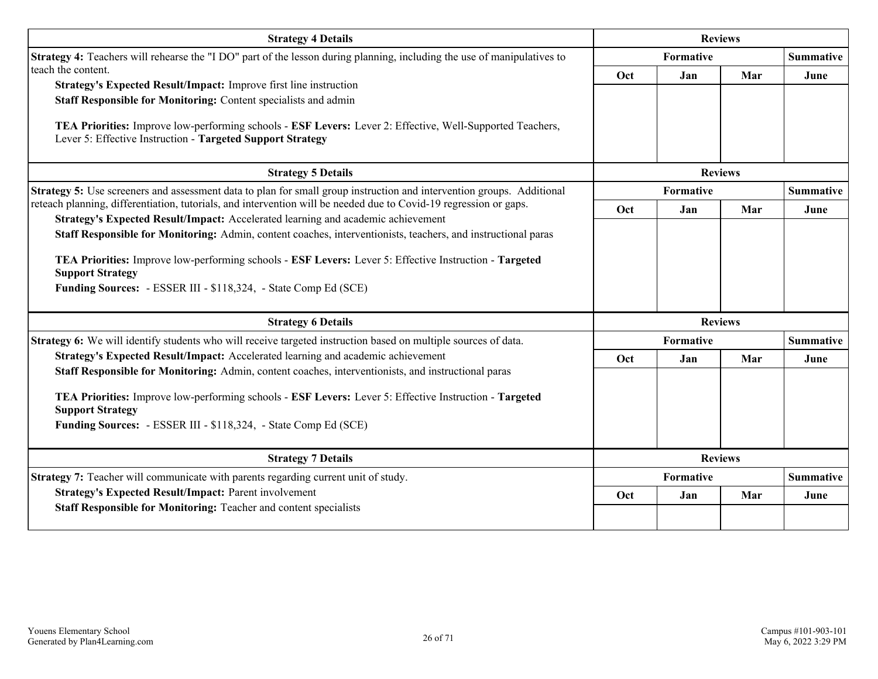| <b>Strategy 4 Details</b>                                                                                                                                                                             |           | <b>Reviews</b>                |                |                  |  |
|-------------------------------------------------------------------------------------------------------------------------------------------------------------------------------------------------------|-----------|-------------------------------|----------------|------------------|--|
| Strategy 4: Teachers will rehearse the "I DO" part of the lesson during planning, including the use of manipulatives to                                                                               |           | Formative                     |                |                  |  |
| teach the content.                                                                                                                                                                                    | Oct       | Jan                           | Mar            | June             |  |
| Strategy's Expected Result/Impact: Improve first line instruction<br>Staff Responsible for Monitoring: Content specialists and admin                                                                  |           |                               |                |                  |  |
| TEA Priorities: Improve low-performing schools - ESF Levers: Lever 2: Effective, Well-Supported Teachers,<br>Lever 5: Effective Instruction - Targeted Support Strategy                               |           |                               |                |                  |  |
| <b>Strategy 5 Details</b>                                                                                                                                                                             |           |                               |                |                  |  |
| <b>Strategy 5:</b> Use screeners and assessment data to plan for small group instruction and intervention groups. Additional                                                                          | Formative |                               |                | <b>Summative</b> |  |
| reteach planning, differentiation, tutorials, and intervention will be needed due to Covid-19 regression or gaps.<br>Strategy's Expected Result/Impact: Accelerated learning and academic achievement | Oct       | Jan                           | Mar            | June             |  |
| Staff Responsible for Monitoring: Admin, content coaches, interventionists, teachers, and instructional paras                                                                                         |           |                               |                |                  |  |
| TEA Priorities: Improve low-performing schools - ESF Levers: Lever 5: Effective Instruction - Targeted<br><b>Support Strategy</b><br>Funding Sources: - ESSER III - \$118,324, - State Comp Ed (SCE)  |           |                               |                |                  |  |
| <b>Strategy 6 Details</b>                                                                                                                                                                             |           |                               | <b>Reviews</b> |                  |  |
| Strategy 6: We will identify students who will receive targeted instruction based on multiple sources of data.                                                                                        |           | Formative                     |                | <b>Summative</b> |  |
| Strategy's Expected Result/Impact: Accelerated learning and academic achievement                                                                                                                      | Oct       | Jan                           | Mar            | June             |  |
| Staff Responsible for Monitoring: Admin, content coaches, interventionists, and instructional paras                                                                                                   |           |                               |                |                  |  |
| TEA Priorities: Improve low-performing schools - ESF Levers: Lever 5: Effective Instruction - Targeted<br><b>Support Strategy</b>                                                                     |           |                               |                |                  |  |
| Funding Sources: - ESSER III - \$118,324, - State Comp Ed (SCE)                                                                                                                                       |           |                               |                |                  |  |
| <b>Strategy 7 Details</b>                                                                                                                                                                             |           |                               | <b>Reviews</b> |                  |  |
| Strategy 7: Teacher will communicate with parents regarding current unit of study.                                                                                                                    |           | Formative<br><b>Summative</b> |                |                  |  |
| <b>Strategy's Expected Result/Impact: Parent involvement</b>                                                                                                                                          | Oct       | Jan                           | Mar            | June             |  |
| Staff Responsible for Monitoring: Teacher and content specialists                                                                                                                                     |           |                               |                |                  |  |
|                                                                                                                                                                                                       |           |                               |                |                  |  |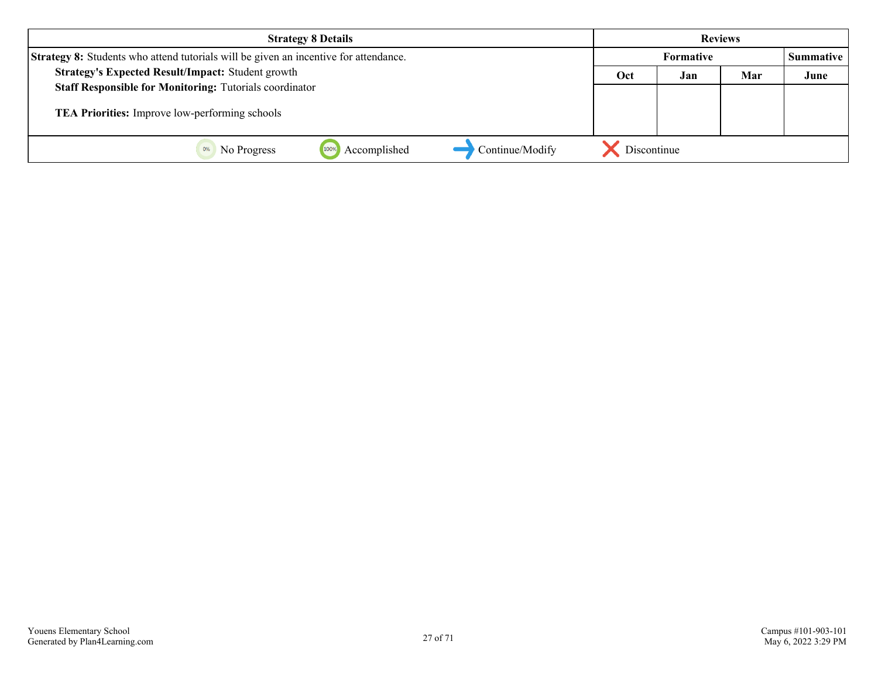| <b>Strategy 8 Details</b>                                                                   | <b>Reviews</b>   |     |     |                  |
|---------------------------------------------------------------------------------------------|------------------|-----|-----|------------------|
| <b>Strategy 8:</b> Students who attend tutorials will be given an incentive for attendance. | <b>Formative</b> |     |     | <b>Summative</b> |
| Strategy's Expected Result/Impact: Student growth                                           | Oct              | Jan | Mar | June             |
| <b>Staff Responsible for Monitoring: Tutorials coordinator</b>                              |                  |     |     |                  |
| TEA Priorities: Improve low-performing schools                                              |                  |     |     |                  |
| Continue/Modify<br>Accomplished<br>No Progress                                              | Discontinue      |     |     |                  |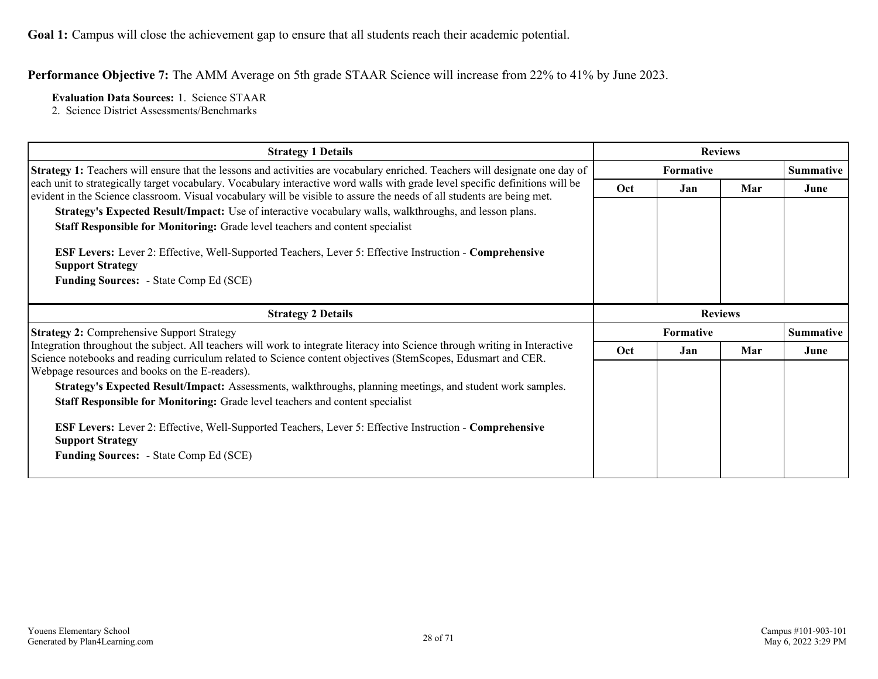**Performance Objective 7:** The AMM Average on 5th grade STAAR Science will increase from 22% to 41% by June 2023.

**Evaluation Data Sources:** 1. Science STAAR

2. Science District Assessments/Benchmarks

| <b>Strategy 1 Details</b>                                                                                                                                                                                                                                                                                                                                          |            | <b>Reviews</b>   |     |                  |  |
|--------------------------------------------------------------------------------------------------------------------------------------------------------------------------------------------------------------------------------------------------------------------------------------------------------------------------------------------------------------------|------------|------------------|-----|------------------|--|
| <b>Strategy 1:</b> Teachers will ensure that the lessons and activities are vocabulary enriched. Teachers will designate one day of                                                                                                                                                                                                                                |            | <b>Formative</b> |     | <b>Summative</b> |  |
| each unit to strategically target vocabulary. Vocabulary interactive word walls with grade level specific definitions will be<br>evident in the Science classroom. Visual vocabulary will be visible to assure the needs of all students are being met.<br>Strategy's Expected Result/Impact: Use of interactive vocabulary walls, walkthroughs, and lesson plans. | <b>Oct</b> | Jan              | Mar | June             |  |
| Staff Responsible for Monitoring: Grade level teachers and content specialist<br><b>ESF Levers:</b> Lever 2: Effective, Well-Supported Teachers, Lever 5: Effective Instruction - Comprehensive<br><b>Support Strategy</b><br><b>Funding Sources:</b> - State Comp Ed (SCE)                                                                                        |            |                  |     |                  |  |
| <b>Strategy 2 Details</b>                                                                                                                                                                                                                                                                                                                                          |            | <b>Reviews</b>   |     |                  |  |
| <b>Strategy 2: Comprehensive Support Strategy</b>                                                                                                                                                                                                                                                                                                                  |            | <b>Formative</b> |     | <b>Summative</b> |  |
| Integration throughout the subject. All teachers will work to integrate literacy into Science through writing in Interactive<br>Science notebooks and reading curriculum related to Science content objectives (StemScopes, Edusmart and CER.<br>Webpage resources and books on the E-readers).                                                                    | <b>Oct</b> | Jan              | Mar | June             |  |
| Strategy's Expected Result/Impact: Assessments, walkthroughs, planning meetings, and student work samples.                                                                                                                                                                                                                                                         |            |                  |     |                  |  |
| Staff Responsible for Monitoring: Grade level teachers and content specialist                                                                                                                                                                                                                                                                                      |            |                  |     |                  |  |
| <b>ESF Levers:</b> Lever 2: Effective, Well-Supported Teachers, Lever 5: Effective Instruction - Comprehensive<br><b>Support Strategy</b>                                                                                                                                                                                                                          |            |                  |     |                  |  |
| <b>Funding Sources:</b> - State Comp Ed (SCE)                                                                                                                                                                                                                                                                                                                      |            |                  |     |                  |  |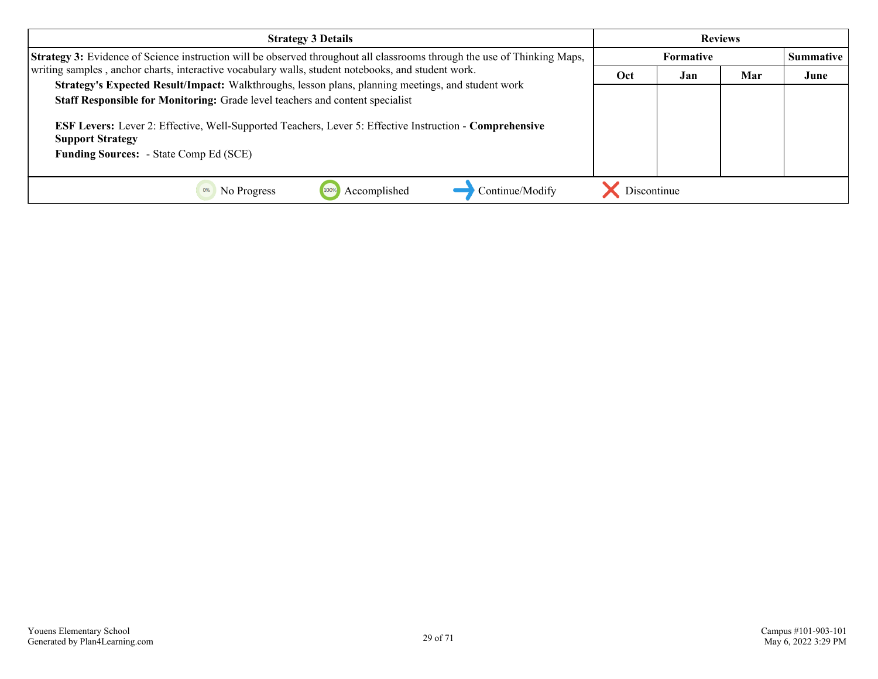| <b>Strategy 3 Details</b>                                                                                                                                                                                                                                            | <b>Reviews</b> |           |           |      |
|----------------------------------------------------------------------------------------------------------------------------------------------------------------------------------------------------------------------------------------------------------------------|----------------|-----------|-----------|------|
| <b>Strategy 3:</b> Evidence of Science instruction will be observed throughout all classrooms through the use of Thinking Maps,                                                                                                                                      |                | Formative | Summative |      |
| writing samples, anchor charts, interactive vocabulary walls, student notebooks, and student work.                                                                                                                                                                   | Oct            | Jan       | Mar       | June |
| Strategy's Expected Result/Impact: Walkthroughs, lesson plans, planning meetings, and student work                                                                                                                                                                   |                |           |           |      |
| Staff Responsible for Monitoring: Grade level teachers and content specialist<br>ESF Levers: Lever 2: Effective, Well-Supported Teachers, Lever 5: Effective Instruction - Comprehensive<br><b>Support Strategy</b><br><b>Funding Sources:</b> - State Comp Ed (SCE) |                |           |           |      |
| Continue/Modify<br>No Progress<br>Accomplished                                                                                                                                                                                                                       | Discontinue    |           |           |      |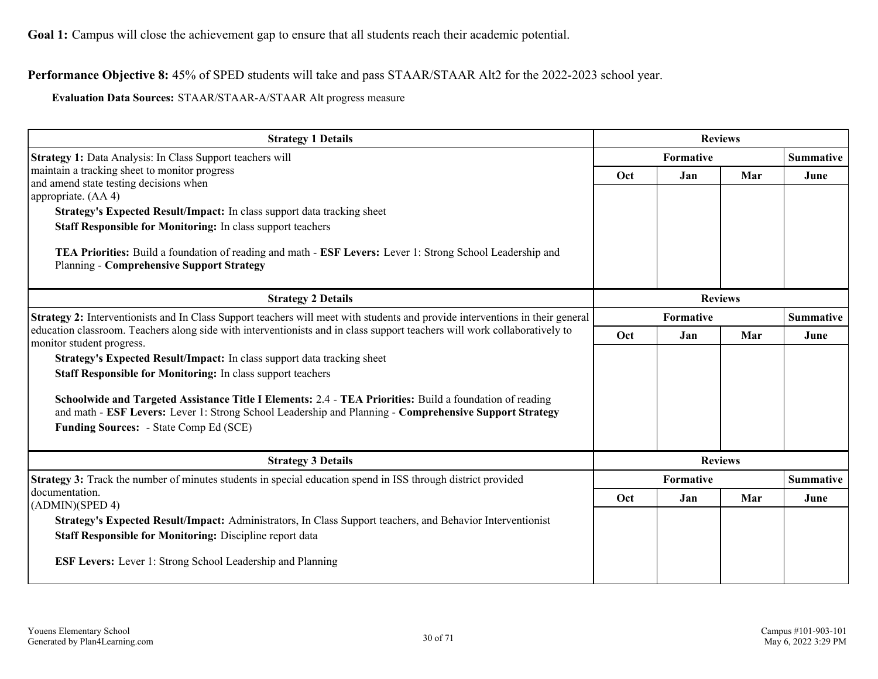# **Performance Objective 8:** 45% of SPED students will take and pass STAAR/STAAR Alt2 for the 2022-2023 school year.

## **Evaluation Data Sources:** STAAR/STAAR-A/STAAR Alt progress measure

| <b>Strategy 1 Details</b>                                                                                                                                                                                                                                                               |                | <b>Reviews</b> |                |                  |
|-----------------------------------------------------------------------------------------------------------------------------------------------------------------------------------------------------------------------------------------------------------------------------------------|----------------|----------------|----------------|------------------|
| Strategy 1: Data Analysis: In Class Support teachers will                                                                                                                                                                                                                               |                | Formative      |                |                  |
| maintain a tracking sheet to monitor progress                                                                                                                                                                                                                                           | Oct            | Jan            | Mar            | June             |
| and amend state testing decisions when                                                                                                                                                                                                                                                  |                |                |                |                  |
| appropriate. (AA 4)                                                                                                                                                                                                                                                                     |                |                |                |                  |
| Strategy's Expected Result/Impact: In class support data tracking sheet                                                                                                                                                                                                                 |                |                |                |                  |
| Staff Responsible for Monitoring: In class support teachers                                                                                                                                                                                                                             |                |                |                |                  |
| TEA Priorities: Build a foundation of reading and math - ESF Levers: Lever 1: Strong School Leadership and<br><b>Planning - Comprehensive Support Strategy</b>                                                                                                                          |                |                |                |                  |
| <b>Strategy 2 Details</b>                                                                                                                                                                                                                                                               | <b>Reviews</b> |                |                |                  |
| Strategy 2: Interventionists and In Class Support teachers will meet with students and provide interventions in their general<br>education classroom. Teachers along side with interventionists and in class support teachers will work collaboratively to<br>monitor student progress. | Formative      |                |                | <b>Summative</b> |
|                                                                                                                                                                                                                                                                                         | Oct            | Jan            | Mar            | June             |
| Strategy's Expected Result/Impact: In class support data tracking sheet                                                                                                                                                                                                                 |                |                |                |                  |
| Staff Responsible for Monitoring: In class support teachers                                                                                                                                                                                                                             |                |                |                |                  |
| Schoolwide and Targeted Assistance Title I Elements: 2.4 - TEA Priorities: Build a foundation of reading<br>and math - ESF Levers: Lever 1: Strong School Leadership and Planning - Comprehensive Support Strategy<br><b>Funding Sources:</b> - State Comp Ed (SCE)                     |                |                |                |                  |
| <b>Strategy 3 Details</b>                                                                                                                                                                                                                                                               |                |                | <b>Reviews</b> |                  |
| Strategy 3: Track the number of minutes students in special education spend in ISS through district provided                                                                                                                                                                            |                | Formative      |                | <b>Summative</b> |
| documentation.<br>(ADMIN)(SPED 4)                                                                                                                                                                                                                                                       | Oct            | Jan            | Mar            | June             |
| Strategy's Expected Result/Impact: Administrators, In Class Support teachers, and Behavior Interventionist                                                                                                                                                                              |                |                |                |                  |
| Staff Responsible for Monitoring: Discipline report data                                                                                                                                                                                                                                |                |                |                |                  |
| <b>ESF Levers:</b> Lever 1: Strong School Leadership and Planning                                                                                                                                                                                                                       |                |                |                |                  |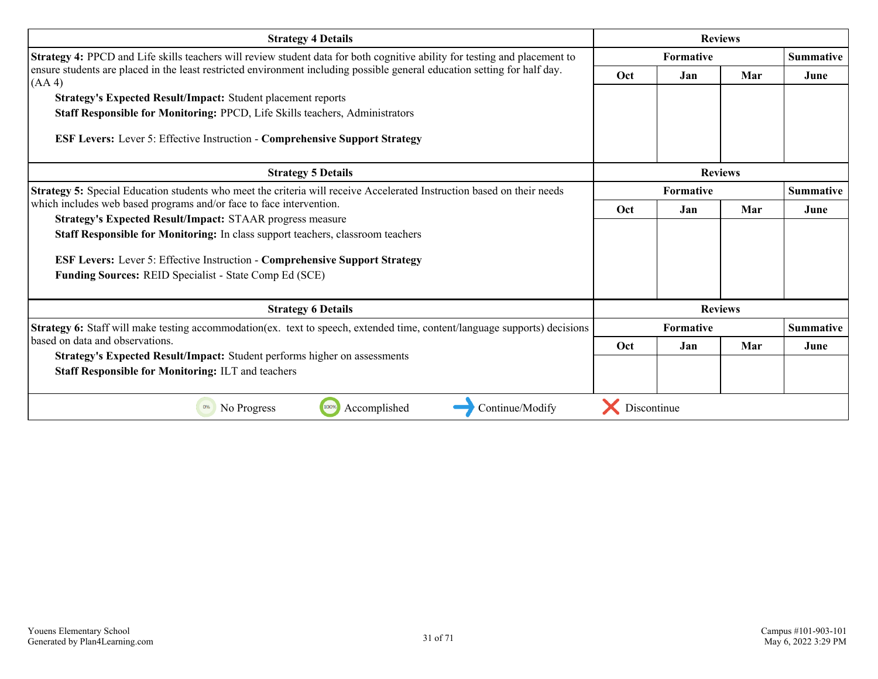| <b>Strategy 4 Details</b>                                                                                                           | <b>Reviews</b> |                                      |                |                  |
|-------------------------------------------------------------------------------------------------------------------------------------|----------------|--------------------------------------|----------------|------------------|
| <b>Strategy 4: PPCD</b> and Life skills teachers will review student data for both cognitive ability for testing and placement to   | Formative      |                                      |                | <b>Summative</b> |
| ensure students are placed in the least restricted environment including possible general education setting for half day.<br>(AA 4) | Oct            | Jan                                  | Mar            | June             |
| <b>Strategy's Expected Result/Impact: Student placement reports</b>                                                                 |                |                                      |                |                  |
| Staff Responsible for Monitoring: PPCD, Life Skills teachers, Administrators                                                        |                |                                      |                |                  |
| <b>ESF Levers: Lever 5: Effective Instruction - Comprehensive Support Strategy</b>                                                  |                |                                      |                |                  |
| <b>Strategy 5 Details</b>                                                                                                           | <b>Reviews</b> |                                      |                |                  |
| Strategy 5: Special Education students who meet the criteria will receive Accelerated Instruction based on their needs              |                | <b>Formative</b><br><b>Summative</b> |                |                  |
| which includes web based programs and/or face to face intervention.                                                                 | <b>Oct</b>     | Jan                                  | Mar            | June             |
| Strategy's Expected Result/Impact: STAAR progress measure                                                                           |                |                                      |                |                  |
| Staff Responsible for Monitoring: In class support teachers, classroom teachers                                                     |                |                                      |                |                  |
| ESF Levers: Lever 5: Effective Instruction - Comprehensive Support Strategy                                                         |                |                                      |                |                  |
| Funding Sources: REID Specialist - State Comp Ed (SCE)                                                                              |                |                                      |                |                  |
|                                                                                                                                     |                |                                      |                |                  |
| <b>Strategy 6 Details</b>                                                                                                           |                |                                      | <b>Reviews</b> |                  |
| Strategy 6: Staff will make testing accommodation (ex. text to speech, extended time, content/language supports) decisions          |                | Formative                            |                | <b>Summative</b> |
| based on data and observations.                                                                                                     | Oct            | Jan                                  | Mar            | June             |
| Strategy's Expected Result/Impact: Student performs higher on assessments                                                           |                |                                      |                |                  |
| <b>Staff Responsible for Monitoring: ILT and teachers</b>                                                                           |                |                                      |                |                  |
|                                                                                                                                     |                |                                      |                |                  |
| 1009<br>Accomplished<br>Continue/Modify<br>No Progress                                                                              | Discontinue    |                                      |                |                  |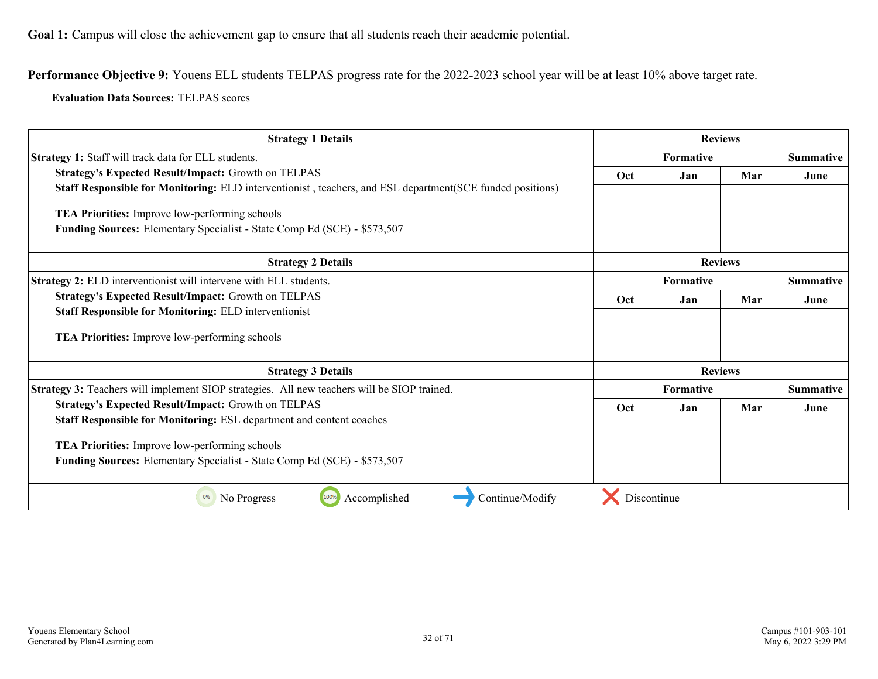**Performance Objective 9:** Youens ELL students TELPAS progress rate for the 2022-2023 school year will be at least 10% above target rate.

**Evaluation Data Sources:** TELPAS scores

| <b>Strategy 1 Details</b>                                                                                 |                  | <b>Reviews</b> |                |                  |
|-----------------------------------------------------------------------------------------------------------|------------------|----------------|----------------|------------------|
| Strategy 1: Staff will track data for ELL students.                                                       | <b>Formative</b> |                |                | <b>Summative</b> |
| Strategy's Expected Result/Impact: Growth on TELPAS                                                       | Oct              | Jan            | Mar            | June             |
| Staff Responsible for Monitoring: ELD interventionist, teachers, and ESL department(SCE funded positions) |                  |                |                |                  |
| TEA Priorities: Improve low-performing schools                                                            |                  |                |                |                  |
| Funding Sources: Elementary Specialist - State Comp Ed (SCE) - \$573,507                                  |                  |                |                |                  |
|                                                                                                           |                  |                |                |                  |
| <b>Strategy 2 Details</b>                                                                                 | <b>Reviews</b>   |                |                |                  |
| Strategy 2: ELD interventionist will intervene with ELL students.                                         | <b>Formative</b> |                |                | <b>Summative</b> |
| Strategy's Expected Result/Impact: Growth on TELPAS                                                       | Oct              | Jan            | Mar            | June             |
| <b>Staff Responsible for Monitoring: ELD interventionist</b>                                              |                  |                |                |                  |
| <b>TEA Priorities:</b> Improve low-performing schools                                                     |                  |                |                |                  |
| <b>Strategy 3 Details</b>                                                                                 |                  |                | <b>Reviews</b> |                  |
| Strategy 3: Teachers will implement SIOP strategies. All new teachers will be SIOP trained.               |                  | Formative      |                | <b>Summative</b> |
| Strategy's Expected Result/Impact: Growth on TELPAS                                                       | Oct              | Jan            | Mar            | June             |
| Staff Responsible for Monitoring: ESL department and content coaches                                      |                  |                |                |                  |
| TEA Priorities: Improve low-performing schools                                                            |                  |                |                |                  |
| <b>Funding Sources:</b> Elementary Specialist - State Comp Ed (SCE) - \$573,507                           |                  |                |                |                  |
|                                                                                                           |                  |                |                |                  |
| Accomplished<br>Continue/Modify<br>0%<br>No Progress<br>100%                                              | Discontinue      |                |                |                  |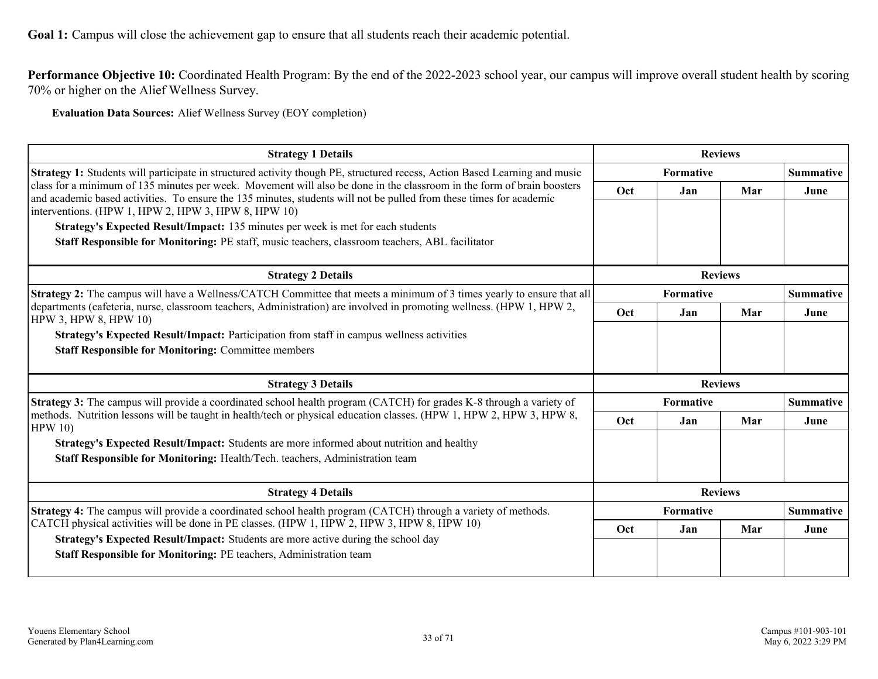**Performance Objective 10:** Coordinated Health Program: By the end of the 2022-2023 school year, our campus will improve overall student health by scoring 70% or higher on the Alief Wellness Survey.

**Evaluation Data Sources:** Alief Wellness Survey (EOY completion)

| <b>Strategy 1 Details</b>                                                                                                                                                                                                                     |                  | <b>Reviews</b> |                |                  |  |
|-----------------------------------------------------------------------------------------------------------------------------------------------------------------------------------------------------------------------------------------------|------------------|----------------|----------------|------------------|--|
| <b>Strategy 1:</b> Students will participate in structured activity though PE, structured recess, Action Based Learning and music                                                                                                             |                  | Formative      |                | <b>Summative</b> |  |
| class for a minimum of 135 minutes per week. Movement will also be done in the classroom in the form of brain boosters<br>and academic based activities. To ensure the 135 minutes, students will not be pulled from these times for academic | Oct              | Jan            | Mar            | June             |  |
| interventions. (HPW 1, HPW 2, HPW 3, HPW 8, HPW 10)                                                                                                                                                                                           |                  |                |                |                  |  |
| Strategy's Expected Result/Impact: 135 minutes per week is met for each students                                                                                                                                                              |                  |                |                |                  |  |
| Staff Responsible for Monitoring: PE staff, music teachers, classroom teachers, ABL facilitator                                                                                                                                               |                  |                |                |                  |  |
| <b>Strategy 2 Details</b>                                                                                                                                                                                                                     |                  | <b>Reviews</b> |                |                  |  |
| Strategy 2: The campus will have a Wellness/CATCH Committee that meets a minimum of 3 times yearly to ensure that all                                                                                                                         | Formative        |                |                | <b>Summative</b> |  |
| departments (cafeteria, nurse, classroom teachers, Administration) are involved in promoting wellness. (HPW 1, HPW 2,<br>HPW 3, HPW 8, HPW 10)                                                                                                | Oct              | Jan            | Mar            | June             |  |
| Strategy's Expected Result/Impact: Participation from staff in campus wellness activities                                                                                                                                                     |                  |                |                |                  |  |
| <b>Staff Responsible for Monitoring: Committee members</b>                                                                                                                                                                                    |                  |                |                |                  |  |
|                                                                                                                                                                                                                                               |                  |                |                |                  |  |
| <b>Strategy 3 Details</b>                                                                                                                                                                                                                     |                  |                | <b>Reviews</b> |                  |  |
| <b>Strategy 3:</b> The campus will provide a coordinated school health program (CATCH) for grades K-8 through a variety of                                                                                                                    | <b>Formative</b> |                |                | <b>Summative</b> |  |
| methods. Nutrition lessons will be taught in health/tech or physical education classes. (HPW 1, HPW 2, HPW 3, HPW 8,<br><b>HPW 10)</b>                                                                                                        | Oct              | Jan            | Mar            | June             |  |
| Strategy's Expected Result/Impact: Students are more informed about nutrition and healthy                                                                                                                                                     |                  |                |                |                  |  |
| Staff Responsible for Monitoring: Health/Tech. teachers, Administration team                                                                                                                                                                  |                  |                |                |                  |  |
| <b>Strategy 4 Details</b>                                                                                                                                                                                                                     |                  | <b>Reviews</b> |                |                  |  |
| <b>Strategy 4:</b> The campus will provide a coordinated school health program (CATCH) through a variety of methods.                                                                                                                          |                  | Formative      |                | <b>Summative</b> |  |
| CATCH physical activities will be done in PE classes. (HPW 1, HPW 2, HPW 3, HPW 8, HPW 10)                                                                                                                                                    | Oct              | Jan            | Mar            | June             |  |
| Strategy's Expected Result/Impact: Students are more active during the school day                                                                                                                                                             |                  |                |                |                  |  |
| <b>Staff Responsible for Monitoring: PE teachers, Administration team</b>                                                                                                                                                                     |                  |                |                |                  |  |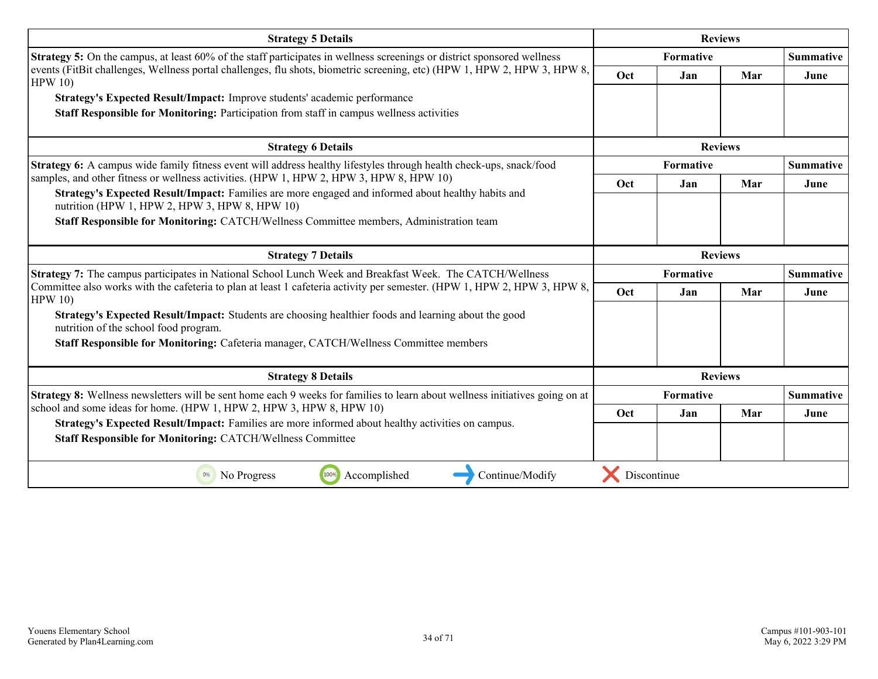| <b>Strategy 5 Details</b>                                                                                                                            |                | <b>Reviews</b>   |                |                  |
|------------------------------------------------------------------------------------------------------------------------------------------------------|----------------|------------------|----------------|------------------|
| <b>Strategy 5:</b> On the campus, at least 60% of the staff participates in wellness screenings or district sponsored wellness                       |                | <b>Formative</b> |                | <b>Summative</b> |
| events (FitBit challenges, Wellness portal challenges, flu shots, biometric screening, etc) (HPW 1, HPW 2, HPW 3, HPW 8,<br><b>HPW 10)</b>           | Oct            | Jan              | Mar            | June             |
| Strategy's Expected Result/Impact: Improve students' academic performance                                                                            |                |                  |                |                  |
| Staff Responsible for Monitoring: Participation from staff in campus wellness activities                                                             |                |                  |                |                  |
| <b>Strategy 6 Details</b>                                                                                                                            |                |                  | <b>Reviews</b> |                  |
| Strategy 6: A campus wide family fitness event will address healthy lifestyles through health check-ups, snack/food                                  | Formative      |                  |                | <b>Summative</b> |
| samples, and other fitness or wellness activities. (HPW 1, HPW 2, HPW 3, HPW 8, HPW 10)                                                              | Oct            | Jan              | Mar            | June             |
| Strategy's Expected Result/Impact: Families are more engaged and informed about healthy habits and<br>nutrition (HPW 1, HPW 2, HPW 3, HPW 8, HPW 10) |                |                  |                |                  |
| Staff Responsible for Monitoring: CATCH/Wellness Committee members, Administration team                                                              |                |                  |                |                  |
| <b>Strategy 7 Details</b>                                                                                                                            | <b>Reviews</b> |                  |                |                  |
| Strategy 7: The campus participates in National School Lunch Week and Breakfast Week. The CATCH/Wellness                                             |                | Formative        |                | <b>Summative</b> |
| Committee also works with the cafeteria to plan at least 1 cafeteria activity per semester. (HPW 1, HPW 2, HPW 3, HPW 8,<br><b>HPW 10)</b>           | Oct            | Jan              | Mar            | June             |
| Strategy's Expected Result/Impact: Students are choosing healthier foods and learning about the good<br>nutrition of the school food program.        |                |                  |                |                  |
| Staff Responsible for Monitoring: Cafeteria manager, CATCH/Wellness Committee members                                                                |                |                  |                |                  |
| <b>Strategy 8 Details</b>                                                                                                                            |                | <b>Reviews</b>   |                |                  |
| Strategy 8: Wellness newsletters will be sent home each 9 weeks for families to learn about wellness initiatives going on at                         |                | Formative        |                | <b>Summative</b> |
| school and some ideas for home. (HPW 1, HPW 2, HPW 3, HPW 8, HPW 10)                                                                                 | Oct            | Jan              | Mar            | June             |
| Strategy's Expected Result/Impact: Families are more informed about healthy activities on campus.                                                    |                |                  |                |                  |
| <b>Staff Responsible for Monitoring: CATCH/Wellness Committee</b>                                                                                    |                |                  |                |                  |
| 100%<br>Accomplished<br>Continue/Modify<br>0%<br>No Progress                                                                                         | Discontinue    |                  |                |                  |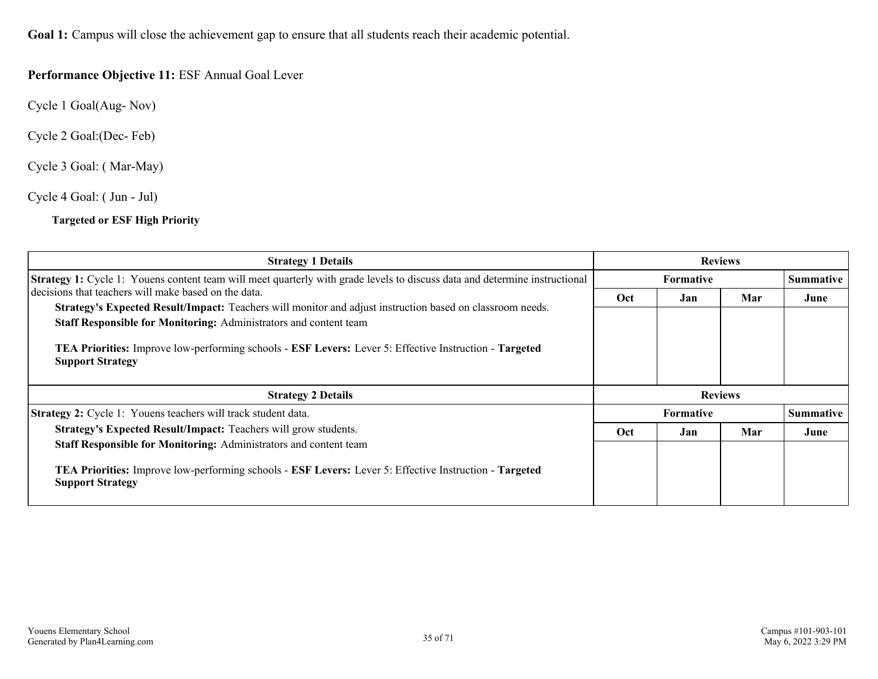# **Performance Objective 11:** ESF Annual Goal Lever

Cycle 1 Goal(Aug- Nov)

Cycle 2 Goal:(Dec- Feb)

Cycle 3 Goal: ( Mar-May)

Cycle 4 Goal: ( Jun - Jul)

### **Targeted or ESF High Priority**

| <b>Strategy 1 Details</b>                                                                                                                                                                                                                                                 |            | <b>Reviews</b>   |                |                  |
|---------------------------------------------------------------------------------------------------------------------------------------------------------------------------------------------------------------------------------------------------------------------------|------------|------------------|----------------|------------------|
| <b>Strategy 1:</b> Cycle 1: Youens content team will meet quarterly with grade levels to discuss data and determine instructional                                                                                                                                         |            | <b>Summative</b> |                |                  |
| decisions that teachers will make based on the data.<br>Strategy's Expected Result/Impact: Teachers will monitor and adjust instruction based on classroom needs.                                                                                                         | <b>Oct</b> | Jan              | Mar            | June             |
| Staff Responsible for Monitoring: Administrators and content team<br><b>TEA Priorities:</b> Improve low-performing schools - <b>ESF Levers:</b> Lever 5: Effective Instruction - <b>Targeted</b><br><b>Support Strategy</b>                                               |            |                  |                |                  |
| <b>Strategy 2 Details</b>                                                                                                                                                                                                                                                 |            |                  | <b>Reviews</b> |                  |
| <b>Strategy 2:</b> Cycle 1: Youens teachers will track student data.                                                                                                                                                                                                      |            | Formative        |                | <b>Summative</b> |
| Strategy's Expected Result/Impact: Teachers will grow students.<br>Staff Responsible for Monitoring: Administrators and content team<br>TEA Priorities: Improve low-performing schools - ESF Levers: Lever 5: Effective Instruction - Targeted<br><b>Support Strategy</b> | Oct.       | Jan              | Mar            | June             |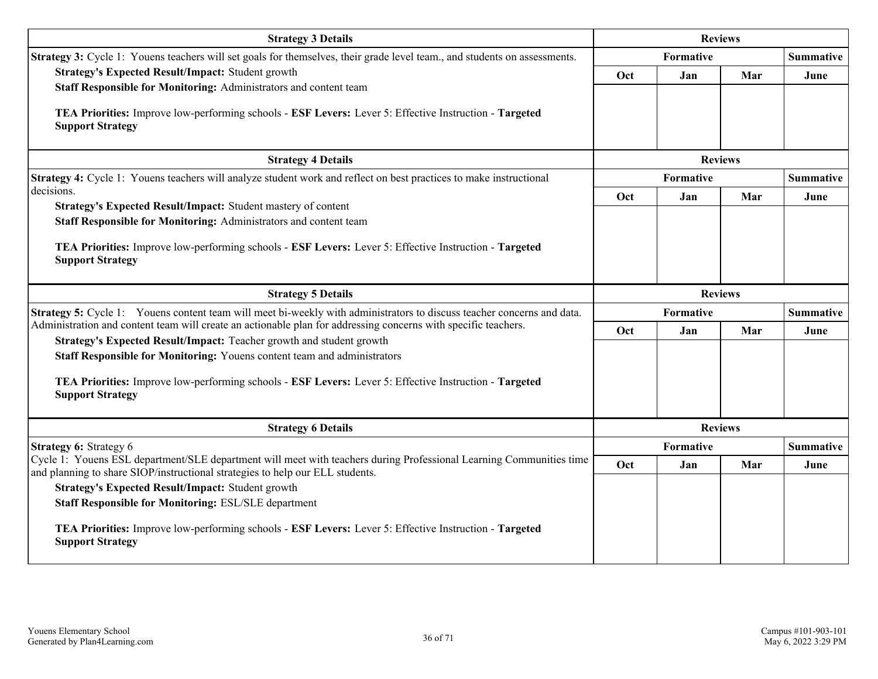| <b>Strategy 3 Details</b>                                                                                                                                                                                                                |                |           | <b>Reviews</b>   |                  |
|------------------------------------------------------------------------------------------------------------------------------------------------------------------------------------------------------------------------------------------|----------------|-----------|------------------|------------------|
| Strategy 3: Cycle 1: Youens teachers will set goals for themselves, their grade level team., and students on assessments.                                                                                                                |                | Formative |                  | <b>Summative</b> |
| Strategy's Expected Result/Impact: Student growth                                                                                                                                                                                        | Oct            | Jan       | Mar              | June             |
| Staff Responsible for Monitoring: Administrators and content team                                                                                                                                                                        |                |           |                  |                  |
| TEA Priorities: Improve low-performing schools - ESF Levers: Lever 5: Effective Instruction - Targeted                                                                                                                                   |                |           |                  |                  |
| <b>Support Strategy</b>                                                                                                                                                                                                                  |                |           |                  |                  |
| <b>Strategy 4 Details</b>                                                                                                                                                                                                                |                |           | <b>Reviews</b>   |                  |
| Strategy 4: Cycle 1: Youens teachers will analyze student work and reflect on best practices to make instructional                                                                                                                       |                |           | <b>Summative</b> |                  |
| decisions.                                                                                                                                                                                                                               | Oct            | Jan       | Mar              | June             |
| Strategy's Expected Result/Impact: Student mastery of content                                                                                                                                                                            |                |           |                  |                  |
| Staff Responsible for Monitoring: Administrators and content team                                                                                                                                                                        |                |           |                  |                  |
| TEA Priorities: Improve low-performing schools - ESF Levers: Lever 5: Effective Instruction - Targeted                                                                                                                                   |                |           |                  |                  |
| <b>Support Strategy</b>                                                                                                                                                                                                                  |                |           |                  |                  |
|                                                                                                                                                                                                                                          |                |           | <b>Reviews</b>   |                  |
| <b>Strategy 5 Details</b>                                                                                                                                                                                                                |                |           |                  |                  |
| Strategy 5: Cycle 1: Youens content team will meet bi-weekly with administrators to discuss teacher concerns and data.<br>Administration and content team will create an actionable plan for addressing concerns with specific teachers. |                | Formative |                  | <b>Summative</b> |
| Strategy's Expected Result/Impact: Teacher growth and student growth                                                                                                                                                                     | Oct            | Jan       | Mar              | June             |
| Staff Responsible for Monitoring: Youens content team and administrators                                                                                                                                                                 |                |           |                  |                  |
|                                                                                                                                                                                                                                          |                |           |                  |                  |
| TEA Priorities: Improve low-performing schools - ESF Levers: Lever 5: Effective Instruction - Targeted<br><b>Support Strategy</b>                                                                                                        |                |           |                  |                  |
|                                                                                                                                                                                                                                          |                |           |                  |                  |
| <b>Strategy 6 Details</b>                                                                                                                                                                                                                | <b>Reviews</b> |           |                  |                  |
| <b>Strategy 6: Strategy 6</b>                                                                                                                                                                                                            |                | Formative |                  | <b>Summative</b> |
| Cycle 1: Youens ESL department/SLE department will meet with teachers during Professional Learning Communities time<br>and planning to share SIOP/instructional strategies to help our ELL students.                                     | Oct            | Jan       | Mar              | June             |
| Strategy's Expected Result/Impact: Student growth                                                                                                                                                                                        |                |           |                  |                  |
| Staff Responsible for Monitoring: ESL/SLE department                                                                                                                                                                                     |                |           |                  |                  |
| TEA Priorities: Improve low-performing schools - ESF Levers: Lever 5: Effective Instruction - Targeted<br><b>Support Strategy</b>                                                                                                        |                |           |                  |                  |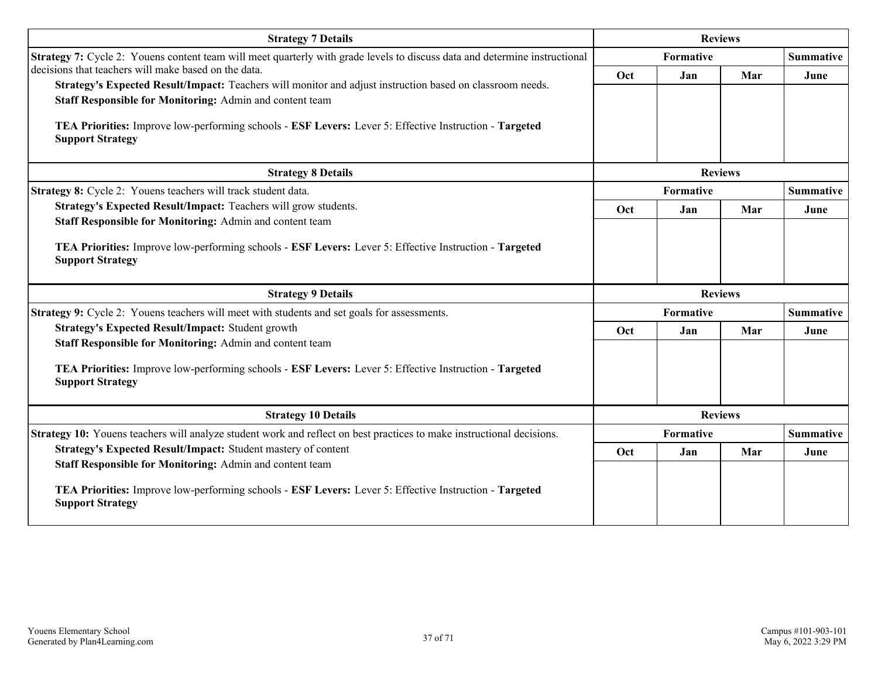| <b>Strategy 7 Details</b>                                                                                                         |                | <b>Reviews</b> |                |                  |
|-----------------------------------------------------------------------------------------------------------------------------------|----------------|----------------|----------------|------------------|
| Strategy 7: Cycle 2: Youens content team will meet quarterly with grade levels to discuss data and determine instructional        |                | Formative      |                | <b>Summative</b> |
| decisions that teachers will make based on the data.                                                                              | Oct            | Jan            | Mar            | June             |
| Strategy's Expected Result/Impact: Teachers will monitor and adjust instruction based on classroom needs.                         |                |                |                |                  |
| Staff Responsible for Monitoring: Admin and content team                                                                          |                |                |                |                  |
| TEA Priorities: Improve low-performing schools - ESF Levers: Lever 5: Effective Instruction - Targeted                            |                |                |                |                  |
| <b>Support Strategy</b>                                                                                                           |                |                |                |                  |
| <b>Strategy 8 Details</b>                                                                                                         |                |                | <b>Reviews</b> |                  |
| Strategy 8: Cycle 2: Youens teachers will track student data.                                                                     |                | Formative      |                | <b>Summative</b> |
| Strategy's Expected Result/Impact: Teachers will grow students.                                                                   | Oct            | Jan            | Mar            | June             |
| Staff Responsible for Monitoring: Admin and content team                                                                          |                |                |                |                  |
| TEA Priorities: Improve low-performing schools - ESF Levers: Lever 5: Effective Instruction - Targeted<br><b>Support Strategy</b> |                |                |                |                  |
| <b>Strategy 9 Details</b>                                                                                                         |                |                | <b>Reviews</b> |                  |
| Strategy 9: Cycle 2: Youens teachers will meet with students and set goals for assessments.                                       |                | Formative      |                | <b>Summative</b> |
| Strategy's Expected Result/Impact: Student growth                                                                                 | Oct            | Jan            | Mar            | June             |
| Staff Responsible for Monitoring: Admin and content team                                                                          |                |                |                |                  |
| TEA Priorities: Improve low-performing schools - ESF Levers: Lever 5: Effective Instruction - Targeted<br><b>Support Strategy</b> |                |                |                |                  |
| <b>Strategy 10 Details</b>                                                                                                        | <b>Reviews</b> |                |                |                  |
| Strategy 10: Youens teachers will analyze student work and reflect on best practices to make instructional decisions.             |                | Formative      |                | <b>Summative</b> |
| Strategy's Expected Result/Impact: Student mastery of content                                                                     | Oct            | Jan            | Mar            | June             |
| Staff Responsible for Monitoring: Admin and content team                                                                          |                |                |                |                  |
| TEA Priorities: Improve low-performing schools - ESF Levers: Lever 5: Effective Instruction - Targeted<br><b>Support Strategy</b> |                |                |                |                  |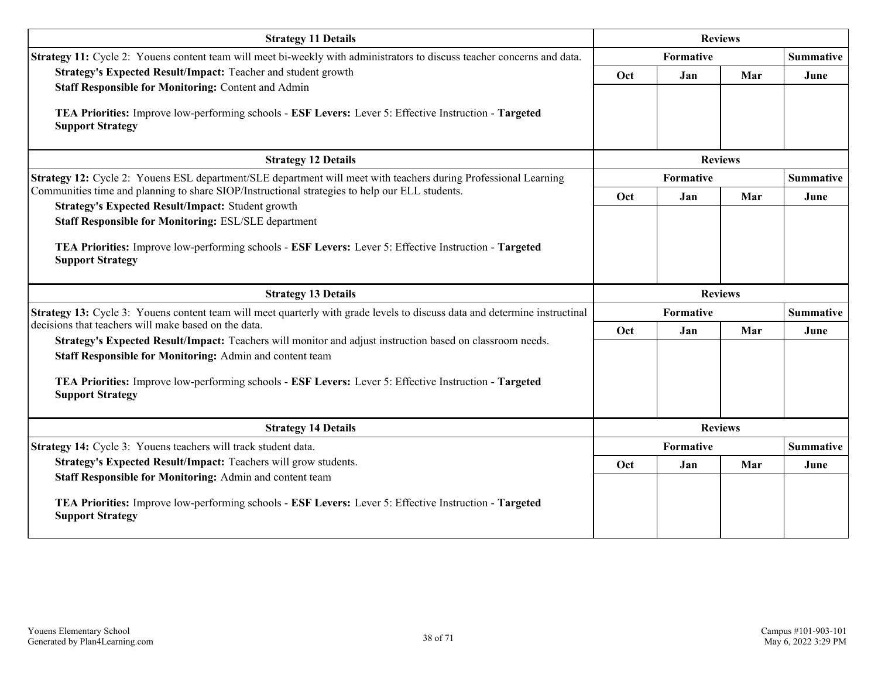| <b>Strategy 11 Details</b>                                                                                                                                            |     |                | <b>Reviews</b> |                  |
|-----------------------------------------------------------------------------------------------------------------------------------------------------------------------|-----|----------------|----------------|------------------|
| Strategy 11: Cycle 2: Youens content team will meet bi-weekly with administrators to discuss teacher concerns and data.                                               |     | Formative      |                | <b>Summative</b> |
| Strategy's Expected Result/Impact: Teacher and student growth<br><b>Staff Responsible for Monitoring: Content and Admin</b>                                           | Oct | Jan            | Mar            | June             |
| TEA Priorities: Improve low-performing schools - ESF Levers: Lever 5: Effective Instruction - Targeted<br><b>Support Strategy</b>                                     |     |                |                |                  |
| <b>Strategy 12 Details</b>                                                                                                                                            |     |                | <b>Reviews</b> |                  |
| Strategy 12: Cycle 2: Youens ESL department/SLE department will meet with teachers during Professional Learning                                                       |     | Formative      |                | <b>Summative</b> |
| Communities time and planning to share SIOP/Instructional strategies to help our ELL students.                                                                        | Oct | Jan            | Mar            | June             |
| Strategy's Expected Result/Impact: Student growth<br><b>Staff Responsible for Monitoring: ESL/SLE department</b>                                                      |     |                |                |                  |
| TEA Priorities: Improve low-performing schools - ESF Levers: Lever 5: Effective Instruction - Targeted<br><b>Support Strategy</b>                                     |     |                |                |                  |
| <b>Strategy 13 Details</b>                                                                                                                                            |     | <b>Reviews</b> |                |                  |
| Strategy 13: Cycle 3: Youens content team will meet quarterly with grade levels to discuss data and determine instructinal                                            |     | Formative      |                | <b>Summative</b> |
| decisions that teachers will make based on the data.                                                                                                                  | Oct | Jan            | Mar            | June             |
|                                                                                                                                                                       |     |                |                |                  |
| Strategy's Expected Result/Impact: Teachers will monitor and adjust instruction based on classroom needs.<br>Staff Responsible for Monitoring: Admin and content team |     |                |                |                  |
| TEA Priorities: Improve low-performing schools - ESF Levers: Lever 5: Effective Instruction - Targeted<br><b>Support Strategy</b>                                     |     |                |                |                  |
| <b>Strategy 14 Details</b>                                                                                                                                            |     | <b>Reviews</b> |                |                  |
| Strategy 14: Cycle 3: Youens teachers will track student data.                                                                                                        |     | Formative      |                | <b>Summative</b> |
| Strategy's Expected Result/Impact: Teachers will grow students.<br>Staff Responsible for Monitoring: Admin and content team                                           | Oct | Jan            | Mar            | June             |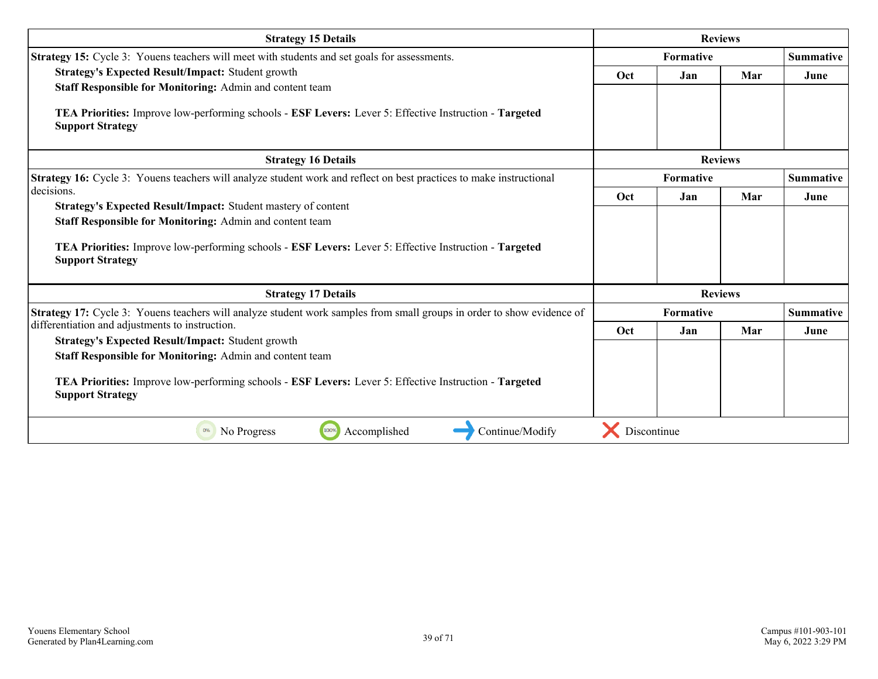| <b>Strategy 15 Details</b>                                                                                                                             |             | <b>Reviews</b> |                |                  |
|--------------------------------------------------------------------------------------------------------------------------------------------------------|-------------|----------------|----------------|------------------|
| <b>Strategy 15:</b> Cycle 3: Youens teachers will meet with students and set goals for assessments.                                                    |             | Formative      |                | <b>Summative</b> |
| <b>Strategy's Expected Result/Impact: Student growth</b>                                                                                               | <b>Oct</b>  | Jan            | Mar            | June             |
| Staff Responsible for Monitoring: Admin and content team                                                                                               |             |                |                |                  |
| TEA Priorities: Improve low-performing schools - ESF Levers: Lever 5: Effective Instruction - Targeted<br><b>Support Strategy</b>                      |             |                |                |                  |
| <b>Strategy 16 Details</b>                                                                                                                             |             |                | <b>Reviews</b> |                  |
| Strategy 16: Cycle 3: Youens teachers will analyze student work and reflect on best practices to make instructional                                    | Formative   |                |                | <b>Summative</b> |
| decisions.                                                                                                                                             | Oct         | Jan            | Mar            | June             |
| Strategy's Expected Result/Impact: Student mastery of content                                                                                          |             |                |                |                  |
| Staff Responsible for Monitoring: Admin and content team                                                                                               |             |                |                |                  |
| <b>TEA Priorities:</b> Improve low-performing schools - <b>ESF Levers:</b> Lever 5: Effective Instruction - <b>Targeted</b><br><b>Support Strategy</b> |             |                |                |                  |
| <b>Strategy 17 Details</b>                                                                                                                             |             |                | <b>Reviews</b> |                  |
| Strategy 17: Cycle 3: Youens teachers will analyze student work samples from small groups in order to show evidence of                                 |             | Formative      |                | <b>Summative</b> |
| differentiation and adjustments to instruction.                                                                                                        | Oct         | Jan            | Mar            | June             |
| <b>Strategy's Expected Result/Impact: Student growth</b>                                                                                               |             |                |                |                  |
| Staff Responsible for Monitoring: Admin and content team                                                                                               |             |                |                |                  |
| TEA Priorities: Improve low-performing schools - ESF Levers: Lever 5: Effective Instruction - Targeted<br><b>Support Strategy</b>                      |             |                |                |                  |
| Accomplished<br>Continue/Modify<br>0%<br>No Progress<br>1009                                                                                           | Discontinue |                |                |                  |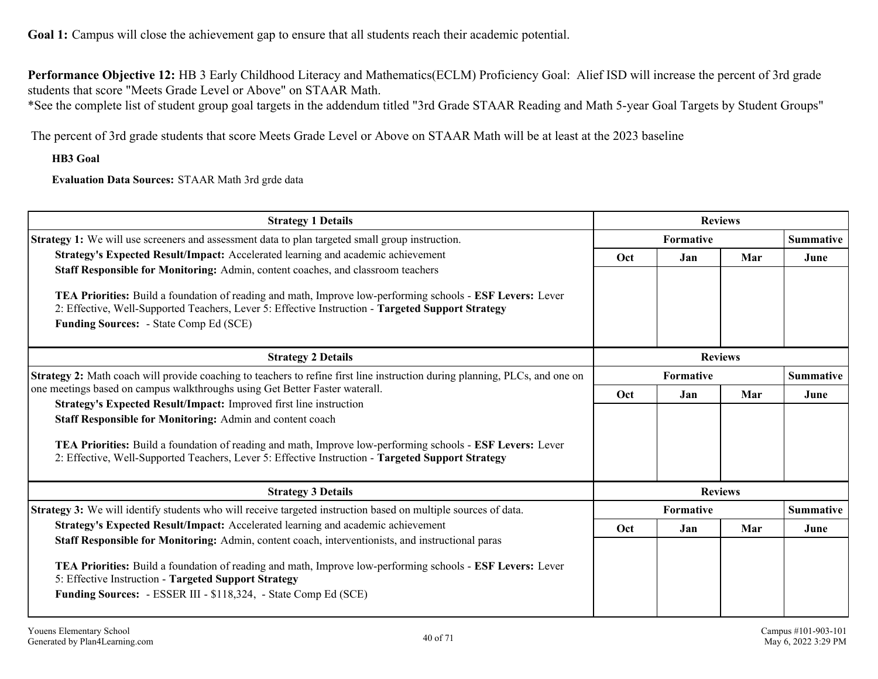**Performance Objective 12:** HB 3 Early Childhood Literacy and Mathematics(ECLM) Proficiency Goal: Alief ISD will increase the percent of 3rd grade students that score "Meets Grade Level or Above" on STAAR Math.

\*See the complete list of student group goal targets in the addendum titled "3rd Grade STAAR Reading and Math 5-year Goal Targets by Student Groups"

The percent of 3rd grade students that score Meets Grade Level or Above on STAAR Math will be at least at the 2023 baseline

**HB3 Goal**

**Evaluation Data Sources:** STAAR Math 3rd grde data

| <b>Strategy 1 Details</b>                                                                                                                                                                                                                                        |                |                  | <b>Reviews</b> |                  |  |
|------------------------------------------------------------------------------------------------------------------------------------------------------------------------------------------------------------------------------------------------------------------|----------------|------------------|----------------|------------------|--|
| <b>Strategy 1:</b> We will use screeners and assessment data to plan targeted small group instruction.                                                                                                                                                           |                | <b>Formative</b> |                | <b>Summative</b> |  |
| Strategy's Expected Result/Impact: Accelerated learning and academic achievement                                                                                                                                                                                 | Oct            | Jan              | Mar            | June             |  |
| Staff Responsible for Monitoring: Admin, content coaches, and classroom teachers                                                                                                                                                                                 |                |                  |                |                  |  |
| TEA Priorities: Build a foundation of reading and math, Improve low-performing schools - ESF Levers: Lever<br>2: Effective, Well-Supported Teachers, Lever 5: Effective Instruction - Targeted Support Strategy<br><b>Funding Sources:</b> - State Comp Ed (SCE) |                |                  |                |                  |  |
| <b>Strategy 2 Details</b>                                                                                                                                                                                                                                        | <b>Reviews</b> |                  |                |                  |  |
| Strategy 2: Math coach will provide coaching to teachers to refine first line instruction during planning, PLCs, and one on                                                                                                                                      | Formative      |                  |                | <b>Summative</b> |  |
| one meetings based on campus walkthroughs using Get Better Faster waterall.                                                                                                                                                                                      | Oct            | Jan              | Mar            | June             |  |
| Strategy's Expected Result/Impact: Improved first line instruction                                                                                                                                                                                               |                |                  |                |                  |  |
| Staff Responsible for Monitoring: Admin and content coach                                                                                                                                                                                                        |                |                  |                |                  |  |
| TEA Priorities: Build a foundation of reading and math, Improve low-performing schools - ESF Levers: Lever<br>2: Effective, Well-Supported Teachers, Lever 5: Effective Instruction - Targeted Support Strategy                                                  |                |                  |                |                  |  |
| <b>Strategy 3 Details</b>                                                                                                                                                                                                                                        |                | <b>Reviews</b>   |                |                  |  |
| Strategy 3: We will identify students who will receive targeted instruction based on multiple sources of data.                                                                                                                                                   |                | Formative        |                | <b>Summative</b> |  |
| Strategy's Expected Result/Impact: Accelerated learning and academic achievement                                                                                                                                                                                 | <b>Oct</b>     | Jan              | Mar            | June             |  |
| Staff Responsible for Monitoring: Admin, content coach, interventionists, and instructional paras                                                                                                                                                                |                |                  |                |                  |  |
| TEA Priorities: Build a foundation of reading and math, Improve low-performing schools - ESF Levers: Lever<br>5: Effective Instruction - Targeted Support Strategy<br><b>Funding Sources:</b> - ESSER III - \$118,324, - State Comp Ed (SCE)                     |                |                  |                |                  |  |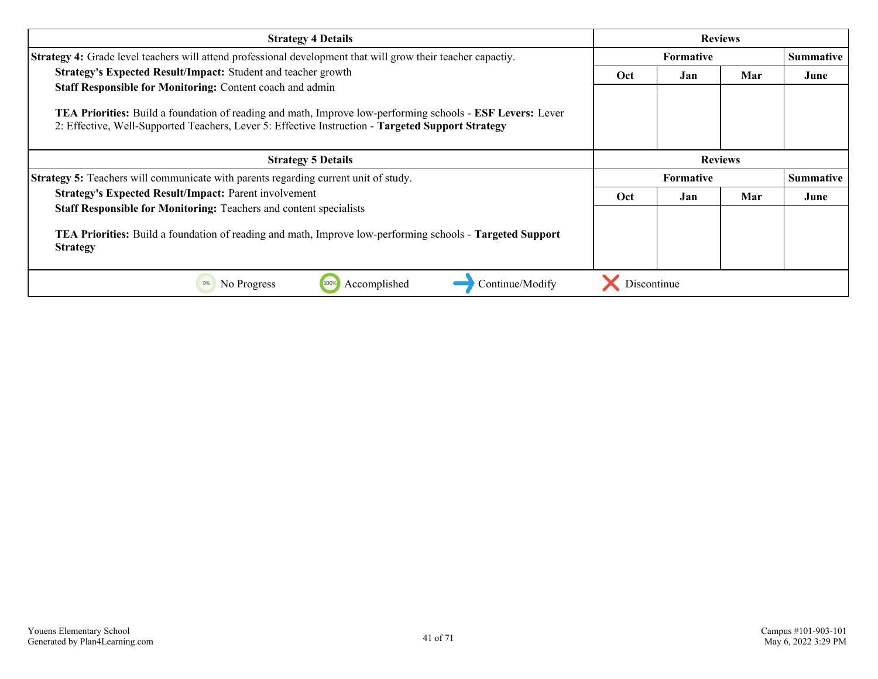| <b>Strategy 4 Details</b>                                                                                                                                                                                       |                  | <b>Reviews</b> |                |                  |  |
|-----------------------------------------------------------------------------------------------------------------------------------------------------------------------------------------------------------------|------------------|----------------|----------------|------------------|--|
| Strategy 4: Grade level teachers will attend professional development that will grow their teacher capactiy.                                                                                                    | <b>Formative</b> |                |                | <b>Summative</b> |  |
| Strategy's Expected Result/Impact: Student and teacher growth                                                                                                                                                   | Oct              | Jan            | Mar            | June             |  |
| Staff Responsible for Monitoring: Content coach and admin                                                                                                                                                       |                  |                |                |                  |  |
| TEA Priorities: Build a foundation of reading and math, Improve low-performing schools - ESF Levers: Lever<br>2: Effective, Well-Supported Teachers, Lever 5: Effective Instruction - Targeted Support Strategy |                  |                |                |                  |  |
| <b>Strategy 5 Details</b>                                                                                                                                                                                       |                  |                | <b>Reviews</b> |                  |  |
| Strategy 5: Teachers will communicate with parents regarding current unit of study.                                                                                                                             |                  | Formative      |                | <b>Summative</b> |  |
| <b>Strategy's Expected Result/Impact: Parent involvement</b>                                                                                                                                                    | <b>Oct</b>       | Jan            | Mar            | June             |  |
| <b>Staff Responsible for Monitoring: Teachers and content specialists</b>                                                                                                                                       |                  |                |                |                  |  |
| <b>TEA Priorities:</b> Build a foundation of reading and math, Improve low-performing schools - <b>Targeted Support</b><br><b>Strategy</b>                                                                      |                  |                |                |                  |  |
| 0%<br>No Progress<br>Accomplished<br>Continue/Modify                                                                                                                                                            | Discontinue      |                |                |                  |  |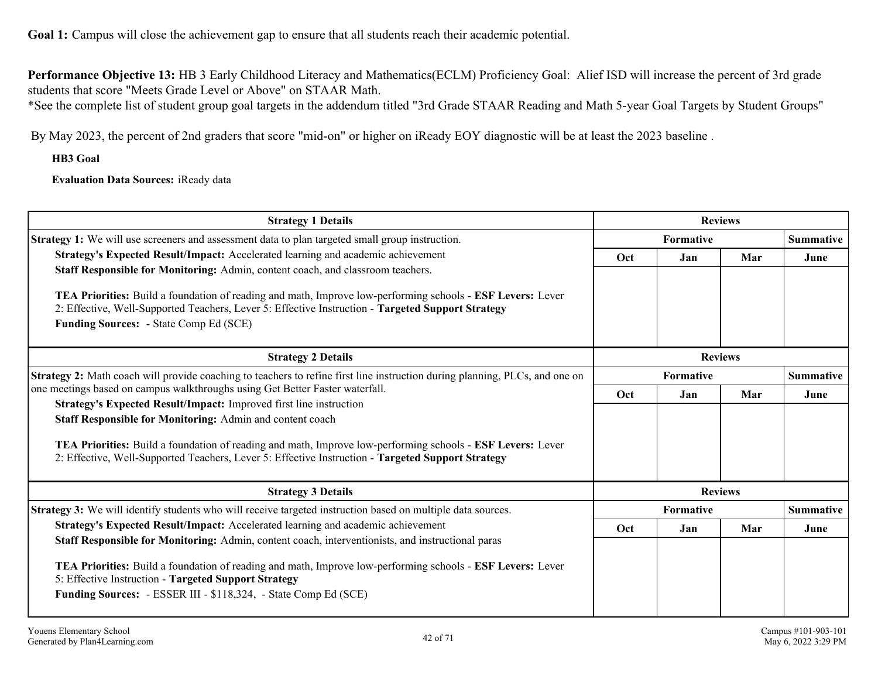**Performance Objective 13:** HB 3 Early Childhood Literacy and Mathematics(ECLM) Proficiency Goal: Alief ISD will increase the percent of 3rd grade students that score "Meets Grade Level or Above" on STAAR Math.

\*See the complete list of student group goal targets in the addendum titled "3rd Grade STAAR Reading and Math 5-year Goal Targets by Student Groups"

By May 2023, the percent of 2nd graders that score "mid-on" or higher on iReady EOY diagnostic will be at least the 2023 baseline .

**HB3 Goal**

**Evaluation Data Sources:** iReady data

| <b>Strategy 1 Details</b>                                                                                                                                                                                                                                        |                  |                  | <b>Reviews</b> |                  |
|------------------------------------------------------------------------------------------------------------------------------------------------------------------------------------------------------------------------------------------------------------------|------------------|------------------|----------------|------------------|
| <b>Strategy 1:</b> We will use screeners and assessment data to plan targeted small group instruction.                                                                                                                                                           |                  | Formative        |                | <b>Summative</b> |
| Strategy's Expected Result/Impact: Accelerated learning and academic achievement                                                                                                                                                                                 | Oct              | Jan              | Mar            | June             |
| Staff Responsible for Monitoring: Admin, content coach, and classroom teachers.                                                                                                                                                                                  |                  |                  |                |                  |
| TEA Priorities: Build a foundation of reading and math, Improve low-performing schools - ESF Levers: Lever<br>2: Effective, Well-Supported Teachers, Lever 5: Effective Instruction - Targeted Support Strategy<br><b>Funding Sources:</b> - State Comp Ed (SCE) |                  |                  |                |                  |
| <b>Strategy 2 Details</b>                                                                                                                                                                                                                                        | <b>Reviews</b>   |                  |                |                  |
| <b>Strategy 2:</b> Math coach will provide coaching to teachers to refine first line instruction during planning, PLCs, and one on                                                                                                                               | <b>Formative</b> |                  |                | <b>Summative</b> |
| one meetings based on campus walkthroughs using Get Better Faster waterfall.                                                                                                                                                                                     | Oct              | Jan              | Mar            | June             |
| Strategy's Expected Result/Impact: Improved first line instruction                                                                                                                                                                                               |                  |                  |                |                  |
| Staff Responsible for Monitoring: Admin and content coach                                                                                                                                                                                                        |                  |                  |                |                  |
| TEA Priorities: Build a foundation of reading and math, Improve low-performing schools - ESF Levers: Lever<br>2: Effective, Well-Supported Teachers, Lever 5: Effective Instruction - Targeted Support Strategy                                                  |                  |                  |                |                  |
| <b>Strategy 3 Details</b>                                                                                                                                                                                                                                        | <b>Reviews</b>   |                  |                |                  |
| Strategy 3: We will identify students who will receive targeted instruction based on multiple data sources.                                                                                                                                                      |                  | <b>Formative</b> |                | <b>Summative</b> |
| Strategy's Expected Result/Impact: Accelerated learning and academic achievement                                                                                                                                                                                 | Oct              | Jan              | Mar            | June             |
| Staff Responsible for Monitoring: Admin, content coach, interventionists, and instructional paras                                                                                                                                                                |                  |                  |                |                  |
| TEA Priorities: Build a foundation of reading and math, Improve low-performing schools - ESF Levers: Lever<br>5: Effective Instruction - Targeted Support Strategy                                                                                               |                  |                  |                |                  |
| Funding Sources: - ESSER III - \$118,324, - State Comp Ed (SCE)                                                                                                                                                                                                  |                  |                  |                |                  |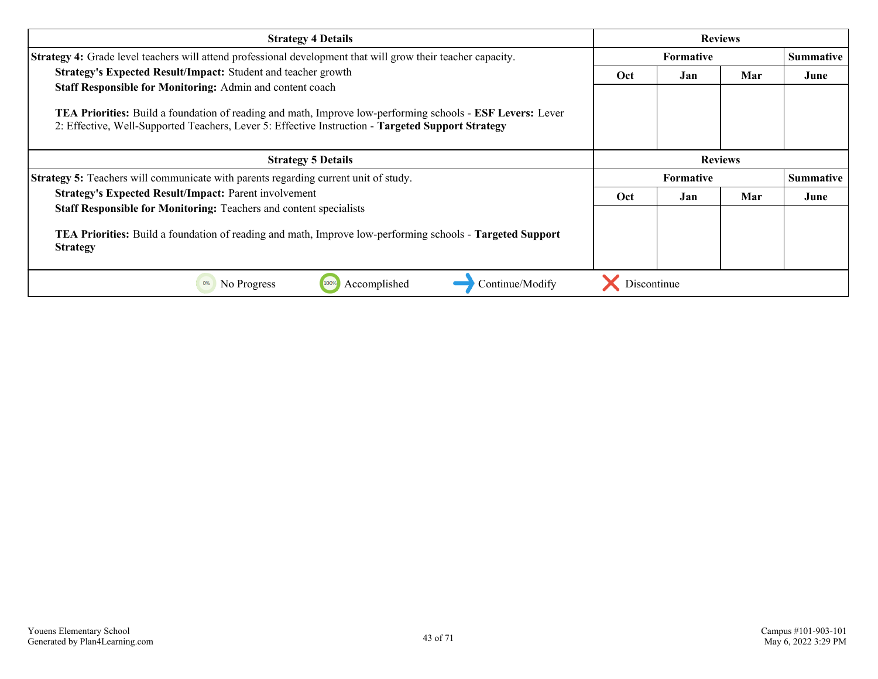| <b>Strategy 4 Details</b>                                                                                                                                                                                                                                                                                                                     |             | <b>Reviews</b>   |                |                  |
|-----------------------------------------------------------------------------------------------------------------------------------------------------------------------------------------------------------------------------------------------------------------------------------------------------------------------------------------------|-------------|------------------|----------------|------------------|
| Strategy 4: Grade level teachers will attend professional development that will grow their teacher capacity.                                                                                                                                                                                                                                  | Formative   |                  |                | <b>Summative</b> |
| Strategy's Expected Result/Impact: Student and teacher growth<br>Staff Responsible for Monitoring: Admin and content coach<br>TEA Priorities: Build a foundation of reading and math, Improve low-performing schools - ESF Levers: Lever<br>2: Effective, Well-Supported Teachers, Lever 5: Effective Instruction - Targeted Support Strategy | Oct         | Jan              | Mar            | June             |
| <b>Strategy 5 Details</b>                                                                                                                                                                                                                                                                                                                     |             |                  | <b>Reviews</b> |                  |
| Strategy 5: Teachers will communicate with parents regarding current unit of study.                                                                                                                                                                                                                                                           |             | <b>Formative</b> |                | <b>Summative</b> |
| Strategy's Expected Result/Impact: Parent involvement                                                                                                                                                                                                                                                                                         | Oct         | Jan              | Mar            | June             |
| <b>Staff Responsible for Monitoring: Teachers and content specialists</b><br><b>TEA Priorities:</b> Build a foundation of reading and math, Improve low-performing schools - <b>Targeted Support</b><br><b>Strategy</b>                                                                                                                       |             |                  |                |                  |
| 0%<br>No Progress<br>Accomplished<br>Continue/Modify                                                                                                                                                                                                                                                                                          | Discontinue |                  |                |                  |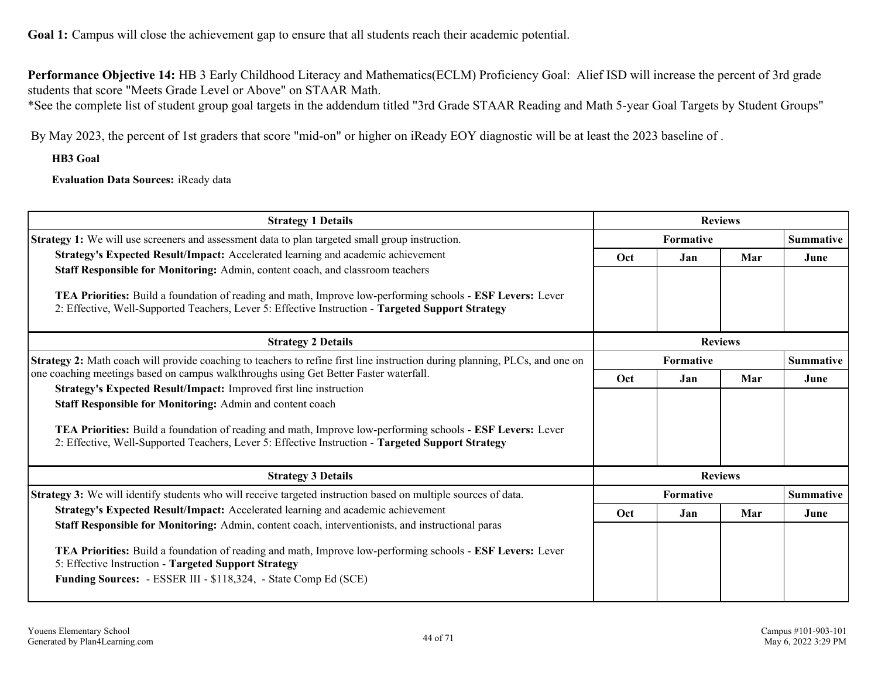**Performance Objective 14:** HB 3 Early Childhood Literacy and Mathematics(ECLM) Proficiency Goal: Alief ISD will increase the percent of 3rd grade students that score "Meets Grade Level or Above" on STAAR Math.

\*See the complete list of student group goal targets in the addendum titled "3rd Grade STAAR Reading and Math 5-year Goal Targets by Student Groups"

By May 2023, the percent of 1st graders that score "mid-on" or higher on iReady EOY diagnostic will be at least the 2023 baseline of .

**HB3 Goal**

**Evaluation Data Sources:** iReady data

| <b>Strategy 1 Details</b>                                                                                                                                                                                                                                                                                                                          |                  |                  | <b>Reviews</b> |                  |
|----------------------------------------------------------------------------------------------------------------------------------------------------------------------------------------------------------------------------------------------------------------------------------------------------------------------------------------------------|------------------|------------------|----------------|------------------|
| <b>Strategy 1:</b> We will use screeners and assessment data to plan targeted small group instruction.                                                                                                                                                                                                                                             |                  | Formative        |                |                  |
| Strategy's Expected Result/Impact: Accelerated learning and academic achievement                                                                                                                                                                                                                                                                   | Oct              | Jan              | Mar            | June             |
| Staff Responsible for Monitoring: Admin, content coach, and classroom teachers<br>TEA Priorities: Build a foundation of reading and math, Improve low-performing schools - ESF Levers: Lever<br>2: Effective, Well-Supported Teachers, Lever 5: Effective Instruction - Targeted Support Strategy                                                  |                  |                  |                |                  |
| <b>Strategy 2 Details</b>                                                                                                                                                                                                                                                                                                                          | <b>Reviews</b>   |                  |                |                  |
| <b>Strategy 2:</b> Math coach will provide coaching to teachers to refine first line instruction during planning, PLCs, and one on                                                                                                                                                                                                                 | <b>Formative</b> |                  |                | <b>Summative</b> |
| one coaching meetings based on campus walkthroughs using Get Better Faster waterfall.                                                                                                                                                                                                                                                              | Oct              | Jan              | Mar            | June             |
| Strategy's Expected Result/Impact: Improved first line instruction<br>Staff Responsible for Monitoring: Admin and content coach<br>TEA Priorities: Build a foundation of reading and math, Improve low-performing schools - ESF Levers: Lever<br>2: Effective, Well-Supported Teachers, Lever 5: Effective Instruction - Targeted Support Strategy |                  |                  |                |                  |
| <b>Strategy 3 Details</b>                                                                                                                                                                                                                                                                                                                          | <b>Reviews</b>   |                  |                |                  |
| Strategy 3: We will identify students who will receive targeted instruction based on multiple sources of data.                                                                                                                                                                                                                                     |                  | <b>Formative</b> |                | <b>Summative</b> |
| Strategy's Expected Result/Impact: Accelerated learning and academic achievement                                                                                                                                                                                                                                                                   | <b>Oct</b>       | Jan              | Mar            | June             |
| Staff Responsible for Monitoring: Admin, content coach, interventionists, and instructional paras<br>TEA Priorities: Build a foundation of reading and math, Improve low-performing schools - ESF Levers: Lever<br>5: Effective Instruction - Targeted Support Strategy<br>Funding Sources: - ESSER III - \$118,324, - State Comp Ed (SCE)         |                  |                  |                |                  |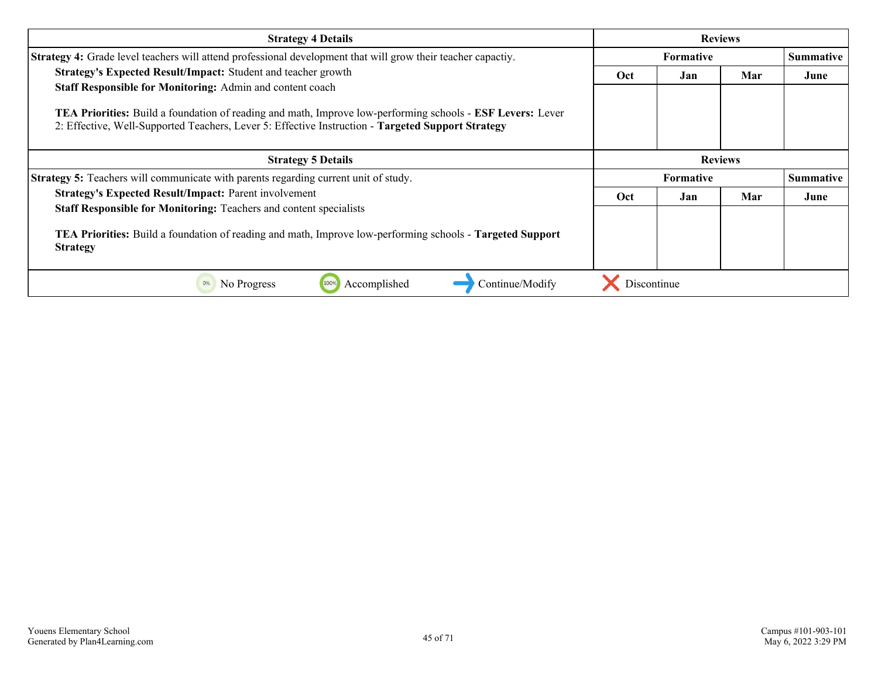| <b>Strategy 4 Details</b>                                                                                               |                  | <b>Reviews</b> |                |                  |  |
|-------------------------------------------------------------------------------------------------------------------------|------------------|----------------|----------------|------------------|--|
| Strategy 4: Grade level teachers will attend professional development that will grow their teacher capactiy.            | <b>Formative</b> |                |                | <b>Summative</b> |  |
| Strategy's Expected Result/Impact: Student and teacher growth                                                           | Oct              | Jan            | Mar            | June             |  |
| Staff Responsible for Monitoring: Admin and content coach                                                               |                  |                |                |                  |  |
| TEA Priorities: Build a foundation of reading and math, Improve low-performing schools - ESF Levers: Lever              |                  |                |                |                  |  |
| 2: Effective, Well-Supported Teachers, Lever 5: Effective Instruction - Targeted Support Strategy                       |                  |                |                |                  |  |
| <b>Strategy 5 Details</b>                                                                                               |                  |                | <b>Reviews</b> |                  |  |
| Strategy 5: Teachers will communicate with parents regarding current unit of study.                                     | Formative        |                |                | <b>Summative</b> |  |
| <b>Strategy's Expected Result/Impact: Parent involvement</b>                                                            | <b>Oct</b>       | Jan            | Mar            | June             |  |
| Staff Responsible for Monitoring: Teachers and content specialists                                                      |                  |                |                |                  |  |
| <b>TEA Priorities:</b> Build a foundation of reading and math, Improve low-performing schools - <b>Targeted Support</b> |                  |                |                |                  |  |
| <b>Strategy</b>                                                                                                         |                  |                |                |                  |  |
|                                                                                                                         |                  |                |                |                  |  |
| Accomplished<br>Continue/Modify<br>0%<br>No Progress                                                                    | Discontinue      |                |                |                  |  |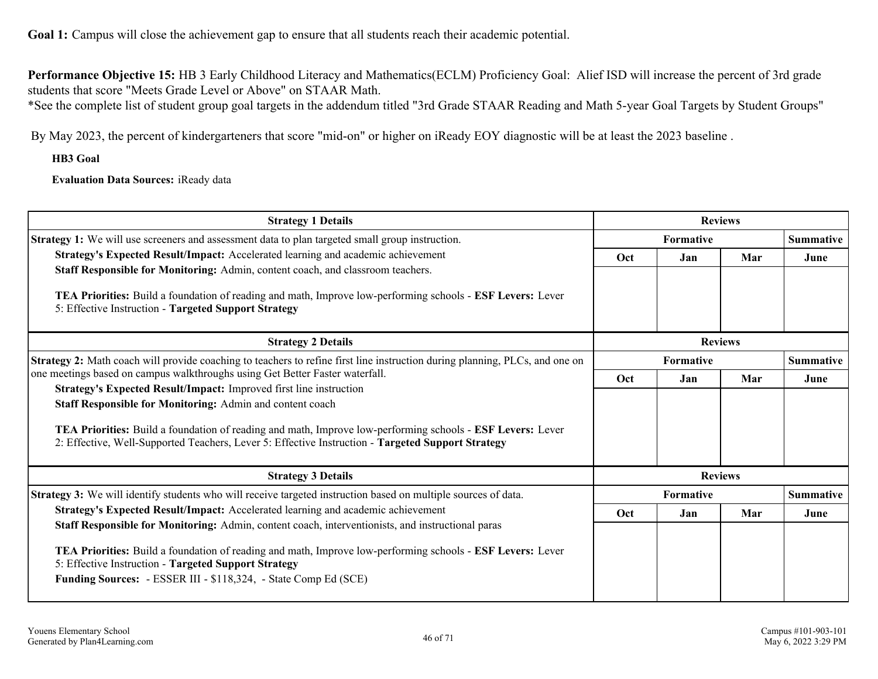**Performance Objective 15:** HB 3 Early Childhood Literacy and Mathematics(ECLM) Proficiency Goal: Alief ISD will increase the percent of 3rd grade students that score "Meets Grade Level or Above" on STAAR Math.

\*See the complete list of student group goal targets in the addendum titled "3rd Grade STAAR Reading and Math 5-year Goal Targets by Student Groups"

By May 2023, the percent of kindergarteners that score "mid-on" or higher on iReady EOY diagnostic will be at least the 2023 baseline .

**HB3 Goal**

**Evaluation Data Sources:** iReady data

| <b>Strategy 1 Details</b>                                                                                                                                                                                                                                                                |                | <b>Reviews</b>   |                |                  |
|------------------------------------------------------------------------------------------------------------------------------------------------------------------------------------------------------------------------------------------------------------------------------------------|----------------|------------------|----------------|------------------|
| Strategy 1: We will use screeners and assessment data to plan targeted small group instruction.                                                                                                                                                                                          | Formative      |                  |                | Summative        |
| Strategy's Expected Result/Impact: Accelerated learning and academic achievement                                                                                                                                                                                                         | <b>Oct</b>     | Jan              | Mar            | June             |
| Staff Responsible for Monitoring: Admin, content coach, and classroom teachers.<br>TEA Priorities: Build a foundation of reading and math, Improve low-performing schools - ESF Levers: Lever<br>5: Effective Instruction - Targeted Support Strategy                                    |                |                  |                |                  |
| <b>Strategy 2 Details</b>                                                                                                                                                                                                                                                                | <b>Reviews</b> |                  |                |                  |
| <b>Strategy 2:</b> Math coach will provide coaching to teachers to refine first line instruction during planning, PLCs, and one on<br>one meetings based on campus walkthroughs using Get Better Faster waterfall.<br>Strategy's Expected Result/Impact: Improved first line instruction |                | <b>Summative</b> |                |                  |
|                                                                                                                                                                                                                                                                                          | <b>Oct</b>     | Jan              | Mar            | June             |
| Staff Responsible for Monitoring: Admin and content coach                                                                                                                                                                                                                                |                |                  |                |                  |
| TEA Priorities: Build a foundation of reading and math, Improve low-performing schools - ESF Levers: Lever<br>2: Effective, Well-Supported Teachers, Lever 5: Effective Instruction - Targeted Support Strategy                                                                          |                |                  |                |                  |
| <b>Strategy 3 Details</b>                                                                                                                                                                                                                                                                |                |                  | <b>Reviews</b> |                  |
| <b>Strategy 3:</b> We will identify students who will receive targeted instruction based on multiple sources of data.                                                                                                                                                                    |                | <b>Formative</b> |                | <b>Summative</b> |
| Strategy's Expected Result/Impact: Accelerated learning and academic achievement<br>Staff Responsible for Monitoring: Admin, content coach, interventionists, and instructional paras                                                                                                    | Oct            | Jan              | Mar            | June             |
| TEA Priorities: Build a foundation of reading and math, Improve low-performing schools - ESF Levers: Lever<br>5: Effective Instruction - Targeted Support Strategy<br>Funding Sources: - ESSER III - \$118,324, - State Comp Ed (SCE)                                                    |                |                  |                |                  |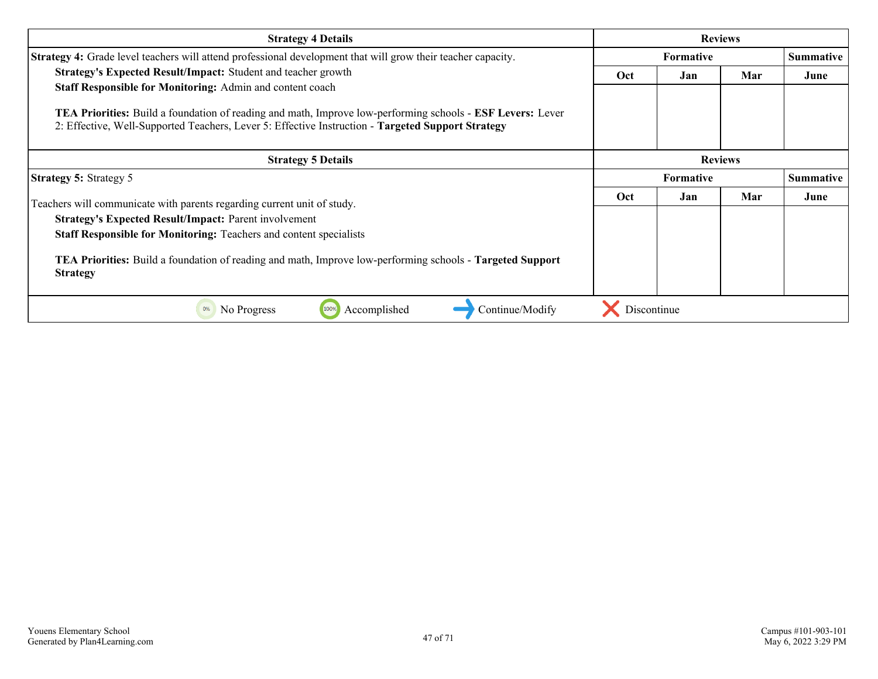| <b>Strategy 4 Details</b>                                                                                                                                                                                       |                  | <b>Reviews</b> |                |                  |  |
|-----------------------------------------------------------------------------------------------------------------------------------------------------------------------------------------------------------------|------------------|----------------|----------------|------------------|--|
| <b>Strategy 4:</b> Grade level teachers will attend professional development that will grow their teacher capacity.                                                                                             | <b>Formative</b> |                |                | <b>Summative</b> |  |
| Strategy's Expected Result/Impact: Student and teacher growth                                                                                                                                                   | Oct              | Jan.           | Mar            | June             |  |
| Staff Responsible for Monitoring: Admin and content coach                                                                                                                                                       |                  |                |                |                  |  |
| TEA Priorities: Build a foundation of reading and math, Improve low-performing schools - ESF Levers: Lever<br>2: Effective, Well-Supported Teachers, Lever 5: Effective Instruction - Targeted Support Strategy |                  |                |                |                  |  |
| <b>Strategy 5 Details</b>                                                                                                                                                                                       |                  |                | <b>Reviews</b> |                  |  |
| <b>Strategy 5: Strategy 5</b>                                                                                                                                                                                   | Formative        |                |                | <b>Summative</b> |  |
| Teachers will communicate with parents regarding current unit of study.                                                                                                                                         | Oct.             | Jan.           | Mar            | June             |  |
| <b>Strategy's Expected Result/Impact: Parent involvement</b>                                                                                                                                                    |                  |                |                |                  |  |
| <b>Staff Responsible for Monitoring: Teachers and content specialists</b>                                                                                                                                       |                  |                |                |                  |  |
| <b>TEA Priorities:</b> Build a foundation of reading and math, Improve low-performing schools - <b>Targeted Support</b><br><b>Strategy</b>                                                                      |                  |                |                |                  |  |
| Accomplished<br>Continue/Modify<br>0%<br>No Progress                                                                                                                                                            | Discontinue      |                |                |                  |  |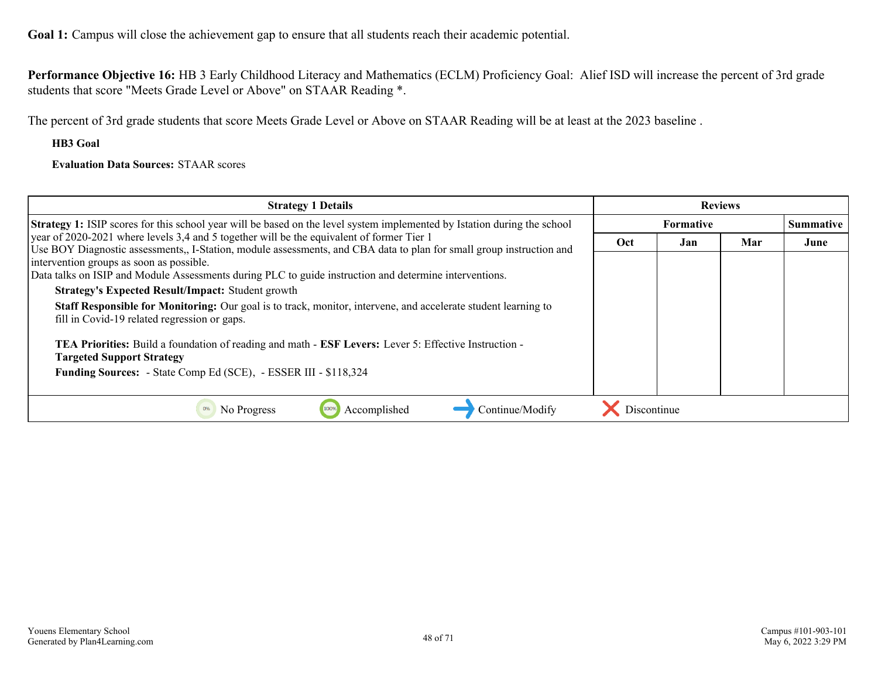**Performance Objective 16:** HB 3 Early Childhood Literacy and Mathematics (ECLM) Proficiency Goal: Alief ISD will increase the percent of 3rd grade students that score "Meets Grade Level or Above" on STAAR Reading \*.

The percent of 3rd grade students that score Meets Grade Level or Above on STAAR Reading will be at least at the 2023 baseline .

**HB3 Goal**

**Evaluation Data Sources:** STAAR scores

| <b>Strategy 1 Details</b>                                                                                                                                                                                                                                                                                                                                                                                                                                                                                                                                                                                                                                                                                                                         | <b>Reviews</b> |                  |     |      |
|---------------------------------------------------------------------------------------------------------------------------------------------------------------------------------------------------------------------------------------------------------------------------------------------------------------------------------------------------------------------------------------------------------------------------------------------------------------------------------------------------------------------------------------------------------------------------------------------------------------------------------------------------------------------------------------------------------------------------------------------------|----------------|------------------|-----|------|
| <b>Strategy 1:</b> ISIP scores for this school year will be based on the level system implemented by Istation during the school                                                                                                                                                                                                                                                                                                                                                                                                                                                                                                                                                                                                                   |                | <b>Summative</b> |     |      |
| year of 2020-2021 where levels 3,4 and 5 together will be the equivalent of former Tier 1<br>Use BOY Diagnostic assessments, I-Station, module assessments, and CBA data to plan for small group instruction and<br>intervention groups as soon as possible.<br>Data talks on ISIP and Module Assessments during PLC to guide instruction and determine interventions.<br><b>Strategy's Expected Result/Impact: Student growth</b><br>Staff Responsible for Monitoring: Our goal is to track, monitor, intervene, and accelerate student learning to<br>fill in Covid-19 related regression or gaps.<br>TEA Priorities: Build a foundation of reading and math - ESF Levers: Lever 5: Effective Instruction -<br><b>Targeted Support Strategy</b> | <b>Oct</b>     | Jan              | Mar | June |
| Funding Sources: - State Comp Ed (SCE), - ESSER III - \$118,324                                                                                                                                                                                                                                                                                                                                                                                                                                                                                                                                                                                                                                                                                   |                |                  |     |      |
| Continue/Modify<br>Accomplished<br>No Progress                                                                                                                                                                                                                                                                                                                                                                                                                                                                                                                                                                                                                                                                                                    | Discontinue    |                  |     |      |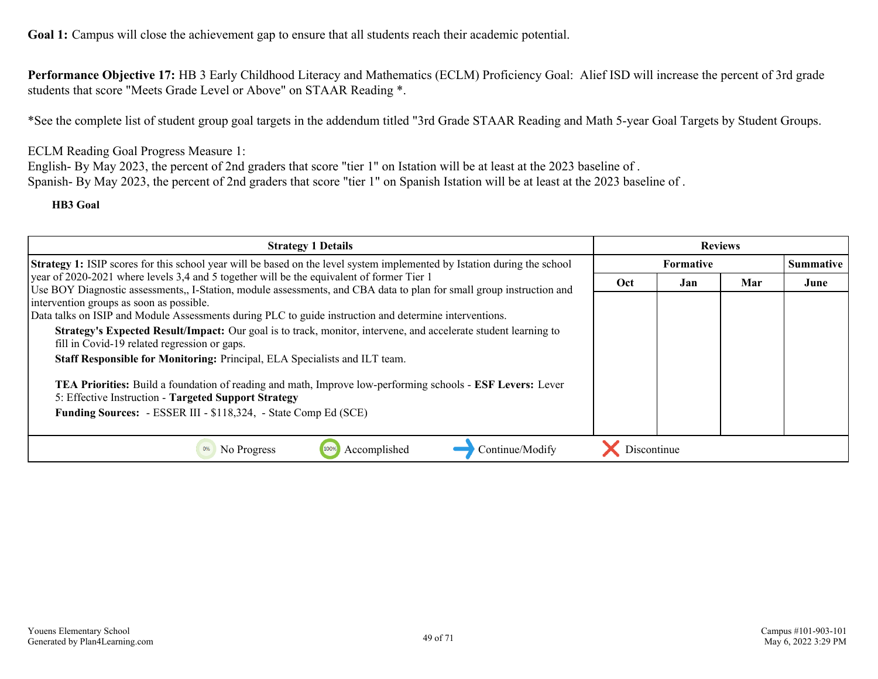**Performance Objective 17:** HB 3 Early Childhood Literacy and Mathematics (ECLM) Proficiency Goal: Alief ISD will increase the percent of 3rd grade students that score "Meets Grade Level or Above" on STAAR Reading \*.

\*See the complete list of student group goal targets in the addendum titled "3rd Grade STAAR Reading and Math 5-year Goal Targets by Student Groups.

ECLM Reading Goal Progress Measure 1:

English- By May 2023, the percent of 2nd graders that score "tier 1" on Istation will be at least at the 2023 baseline of . Spanish- By May 2023, the percent of 2nd graders that score "tier 1" on Spanish Istation will be at least at the 2023 baseline of .

**HB3 Goal**

| <b>Strategy 1 Details</b>                                                                                                                                                                                        | <b>Reviews</b> |           |     |                  |
|------------------------------------------------------------------------------------------------------------------------------------------------------------------------------------------------------------------|----------------|-----------|-----|------------------|
| <b>Strategy 1:</b> ISIP scores for this school year will be based on the level system implemented by Istation during the school                                                                                  |                | Formative |     | <b>Summative</b> |
| year of 2020-2021 where levels 3,4 and 5 together will be the equivalent of former Tier 1<br>Use BOY Diagnostic assessments, I-Station, module assessments, and CBA data to plan for small group instruction and | Oct            | Jan       | Mar | June             |
| intervention groups as soon as possible.                                                                                                                                                                         |                |           |     |                  |
| Data talks on ISIP and Module Assessments during PLC to guide instruction and determine interventions.                                                                                                           |                |           |     |                  |
| Strategy's Expected Result/Impact: Our goal is to track, monitor, intervene, and accelerate student learning to<br>fill in Covid-19 related regression or gaps.                                                  |                |           |     |                  |
| Staff Responsible for Monitoring: Principal, ELA Specialists and ILT team.                                                                                                                                       |                |           |     |                  |
| TEA Priorities: Build a foundation of reading and math, Improve low-performing schools - ESF Levers: Lever<br>5: Effective Instruction - Targeted Support Strategy                                               |                |           |     |                  |
| Funding Sources: - ESSER III - \$118,324, - State Comp Ed (SCE)                                                                                                                                                  |                |           |     |                  |
|                                                                                                                                                                                                                  |                |           |     |                  |
| Accomplished<br>Continue/Modify<br>No Progress                                                                                                                                                                   | Discontinue    |           |     |                  |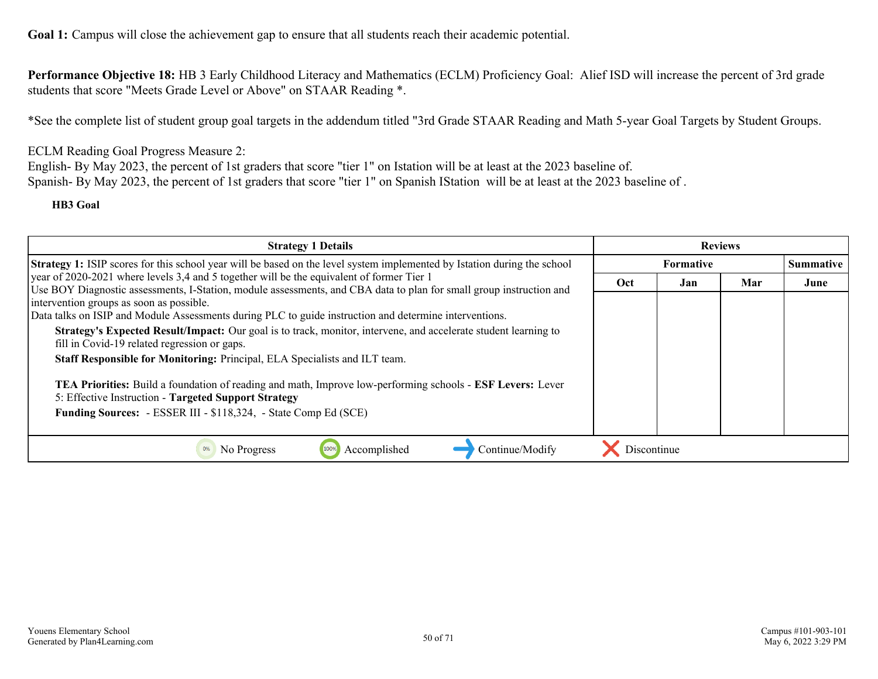**Performance Objective 18:** HB 3 Early Childhood Literacy and Mathematics (ECLM) Proficiency Goal: Alief ISD will increase the percent of 3rd grade students that score "Meets Grade Level or Above" on STAAR Reading \*.

\*See the complete list of student group goal targets in the addendum titled "3rd Grade STAAR Reading and Math 5-year Goal Targets by Student Groups.

## ECLM Reading Goal Progress Measure 2:

English- By May 2023, the percent of 1st graders that score "tier 1" on Istation will be at least at the 2023 baseline of. Spanish- By May 2023, the percent of 1st graders that score "tier 1" on Spanish IStation will be at least at the 2023 baseline of .

### **HB3 Goal**

| <b>Strategy 1 Details</b>                                                                                                                                                                                        | <b>Reviews</b> |                  |     |      |
|------------------------------------------------------------------------------------------------------------------------------------------------------------------------------------------------------------------|----------------|------------------|-----|------|
| <b>Strategy 1:</b> ISIP scores for this school year will be based on the level system implemented by Istation during the school                                                                                  |                | <b>Summative</b> |     |      |
| year of 2020-2021 where levels 3,4 and 5 together will be the equivalent of former Tier 1<br>Use BOY Diagnostic assessments, I-Station, module assessments, and CBA data to plan for small group instruction and | Oct            | Jan              | Mar | June |
| intervention groups as soon as possible.                                                                                                                                                                         |                |                  |     |      |
| Data talks on ISIP and Module Assessments during PLC to guide instruction and determine interventions.                                                                                                           |                |                  |     |      |
| Strategy's Expected Result/Impact: Our goal is to track, monitor, intervene, and accelerate student learning to<br>fill in Covid-19 related regression or gaps.                                                  |                |                  |     |      |
| Staff Responsible for Monitoring: Principal, ELA Specialists and ILT team.                                                                                                                                       |                |                  |     |      |
| TEA Priorities: Build a foundation of reading and math, Improve low-performing schools - ESF Levers: Lever<br>5: Effective Instruction - Targeted Support Strategy                                               |                |                  |     |      |
| Funding Sources: - ESSER III - \$118,324, - State Comp Ed (SCE)                                                                                                                                                  |                |                  |     |      |
|                                                                                                                                                                                                                  |                |                  |     |      |
| Accomplished<br>Continue/Modify<br>No Progress                                                                                                                                                                   | Discontinue    |                  |     |      |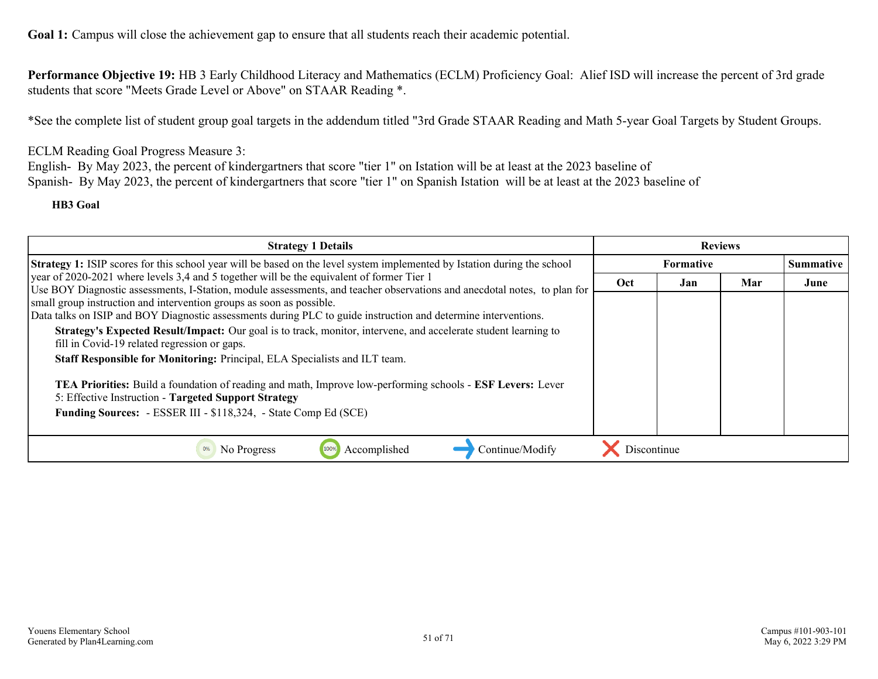**Performance Objective 19:** HB 3 Early Childhood Literacy and Mathematics (ECLM) Proficiency Goal: Alief ISD will increase the percent of 3rd grade students that score "Meets Grade Level or Above" on STAAR Reading \*.

\*See the complete list of student group goal targets in the addendum titled "3rd Grade STAAR Reading and Math 5-year Goal Targets by Student Groups.

### ECLM Reading Goal Progress Measure 3:

English- By May 2023, the percent of kindergartners that score "tier 1" on Istation will be at least at the 2023 baseline of Spanish- By May 2023, the percent of kindergartners that score "tier 1" on Spanish Istation will be at least at the 2023 baseline of

### **HB3 Goal**

| <b>Strategy 1 Details</b>                                                                                                                                                                                             | <b>Reviews</b> |                  |     |           |
|-----------------------------------------------------------------------------------------------------------------------------------------------------------------------------------------------------------------------|----------------|------------------|-----|-----------|
| <b>Strategy 1:</b> ISIP scores for this school year will be based on the level system implemented by Istation during the school                                                                                       |                | <b>Formative</b> |     | Summative |
| year of 2020-2021 where levels 3,4 and 5 together will be the equivalent of former Tier 1<br>Use BOY Diagnostic assessments, I-Station, module assessments, and teacher observations and anecdotal notes, to plan for | Oct            | Jan              | Mar | June      |
| small group instruction and intervention groups as soon as possible.                                                                                                                                                  |                |                  |     |           |
| Data talks on ISIP and BOY Diagnostic assessments during PLC to guide instruction and determine interventions.                                                                                                        |                |                  |     |           |
| Strategy's Expected Result/Impact: Our goal is to track, monitor, intervene, and accelerate student learning to<br>fill in Covid-19 related regression or gaps.                                                       |                |                  |     |           |
| Staff Responsible for Monitoring: Principal, ELA Specialists and ILT team.                                                                                                                                            |                |                  |     |           |
| <b>TEA Priorities:</b> Build a foundation of reading and math, Improve low-performing schools - <b>ESF Levers:</b> Lever<br>5: Effective Instruction - Targeted Support Strategy                                      |                |                  |     |           |
| Funding Sources: - ESSER III - \$118,324, - State Comp Ed (SCE)                                                                                                                                                       |                |                  |     |           |
|                                                                                                                                                                                                                       |                |                  |     |           |
| Accomplished<br>Continue/Modify<br>No Progress                                                                                                                                                                        | Discontinue    |                  |     |           |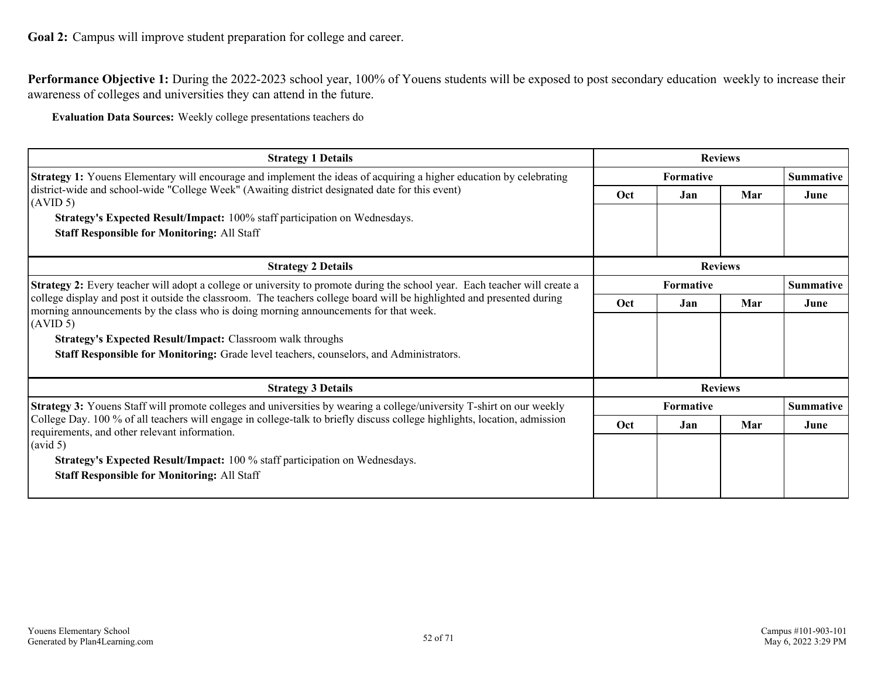<span id="page-51-0"></span>**Performance Objective 1:** During the 2022-2023 school year, 100% of Youens students will be exposed to post secondary education weekly to increase their awareness of colleges and universities they can attend in the future.

**Evaluation Data Sources:** Weekly college presentations teachers do

| <b>Strategy 1 Details</b>                                                                                                                                                                                                                                                                                                                    | <b>Reviews</b>   |                  |                  |                  |
|----------------------------------------------------------------------------------------------------------------------------------------------------------------------------------------------------------------------------------------------------------------------------------------------------------------------------------------------|------------------|------------------|------------------|------------------|
| <b>Strategy 1:</b> Youens Elementary will encourage and implement the ideas of acquiring a higher education by celebrating                                                                                                                                                                                                                   |                  |                  | <b>Summative</b> |                  |
| district-wide and school-wide "College Week" (Awaiting district designated date for this event)<br>(AVID 5)                                                                                                                                                                                                                                  | <b>Oct</b>       | Jan              | Mar              | June             |
| Strategy's Expected Result/Impact: 100% staff participation on Wednesdays.                                                                                                                                                                                                                                                                   |                  |                  |                  |                  |
| <b>Staff Responsible for Monitoring: All Staff</b>                                                                                                                                                                                                                                                                                           |                  |                  |                  |                  |
| <b>Strategy 2 Details</b>                                                                                                                                                                                                                                                                                                                    |                  |                  | <b>Reviews</b>   |                  |
| Strategy 2: Every teacher will adopt a college or university to promote during the school year. Each teacher will create a<br>college display and post it outside the classroom. The teachers college board will be highlighted and presented during<br>morning announcements by the class who is doing morning announcements for that week. | <b>Formative</b> |                  |                  | <b>Summative</b> |
|                                                                                                                                                                                                                                                                                                                                              | <b>Oct</b>       | Jan              | Mar              | June             |
| (AVID 5)                                                                                                                                                                                                                                                                                                                                     |                  |                  |                  |                  |
| <b>Strategy's Expected Result/Impact: Classroom walk throughs</b>                                                                                                                                                                                                                                                                            |                  |                  |                  |                  |
| Staff Responsible for Monitoring: Grade level teachers, counselors, and Administrators.                                                                                                                                                                                                                                                      |                  |                  |                  |                  |
| <b>Strategy 3 Details</b>                                                                                                                                                                                                                                                                                                                    |                  |                  | <b>Reviews</b>   |                  |
| <b>Strategy 3:</b> Youens Staff will promote colleges and universities by wearing a college/university T-shirt on our weekly                                                                                                                                                                                                                 |                  | <b>Formative</b> |                  | <b>Summative</b> |
| College Day. 100 % of all teachers will engage in college-talk to briefly discuss college highlights, location, admission<br>requirements, and other relevant information.                                                                                                                                                                   | <b>Oct</b>       | Jan              | Mar              | June             |
| $\vert$ (avid 5)                                                                                                                                                                                                                                                                                                                             |                  |                  |                  |                  |
| Strategy's Expected Result/Impact: 100 % staff participation on Wednesdays.                                                                                                                                                                                                                                                                  |                  |                  |                  |                  |
| <b>Staff Responsible for Monitoring: All Staff</b>                                                                                                                                                                                                                                                                                           |                  |                  |                  |                  |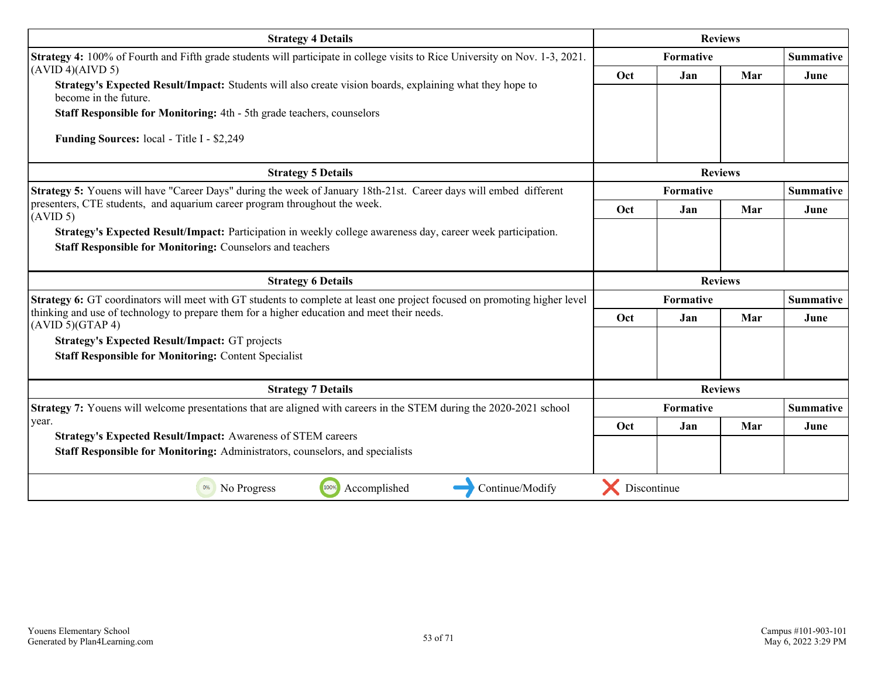| <b>Strategy 4 Details</b>                                                                                                           |             | <b>Reviews</b>   |                |                  |  |
|-------------------------------------------------------------------------------------------------------------------------------------|-------------|------------------|----------------|------------------|--|
| <b>Strategy 4:</b> 100% of Fourth and Fifth grade students will participate in college visits to Rice University on Nov. 1-3, 2021. |             | <b>Formative</b> |                |                  |  |
| (AVID 4)(AIVD 5)                                                                                                                    | Oct         | Jan              | Mar            | June             |  |
| Strategy's Expected Result/Impact: Students will also create vision boards, explaining what they hope to<br>become in the future.   |             |                  |                |                  |  |
| Staff Responsible for Monitoring: 4th - 5th grade teachers, counselors                                                              |             |                  |                |                  |  |
| <b>Funding Sources:</b> local - Title I - \$2,249                                                                                   |             |                  |                |                  |  |
| <b>Strategy 5 Details</b>                                                                                                           |             |                  |                |                  |  |
| Strategy 5: Youens will have "Career Days" during the week of January 18th-21st. Career days will embed different                   |             | Formative        |                | <b>Summative</b> |  |
| presenters, CTE students, and aquarium career program throughout the week.<br>(AVID 5)                                              | Oct         | Jan              | Mar            | June             |  |
| Strategy's Expected Result/Impact: Participation in weekly college awareness day, career week participation.                        |             |                  |                |                  |  |
| <b>Staff Responsible for Monitoring: Counselors and teachers</b>                                                                    |             |                  |                |                  |  |
| <b>Strategy 6 Details</b>                                                                                                           |             |                  | <b>Reviews</b> |                  |  |
| Strategy 6: GT coordinators will meet with GT students to complete at least one project focused on promoting higher level           |             | <b>Summative</b> |                |                  |  |
| thinking and use of technology to prepare them for a higher education and meet their needs.<br>(AVID 5)(GTAP 4)                     | Oct         | Jan              | Mar            | June             |  |
| <b>Strategy's Expected Result/Impact: GT projects</b>                                                                               |             |                  |                |                  |  |
| <b>Staff Responsible for Monitoring: Content Specialist</b>                                                                         |             |                  |                |                  |  |
| <b>Strategy 7 Details</b>                                                                                                           |             | <b>Reviews</b>   |                |                  |  |
| Strategy 7: Youens will welcome presentations that are aligned with careers in the STEM during the 2020-2021 school                 |             | <b>Formative</b> |                | <b>Summative</b> |  |
| year.                                                                                                                               | Oct         | Jan              | Mar            | June             |  |
| <b>Strategy's Expected Result/Impact: Awareness of STEM careers</b>                                                                 |             |                  |                |                  |  |
| Staff Responsible for Monitoring: Administrators, counselors, and specialists                                                       |             |                  |                |                  |  |
| 0%<br>100%<br>Accomplished<br>Continue/Modify<br>No Progress                                                                        | Discontinue |                  |                |                  |  |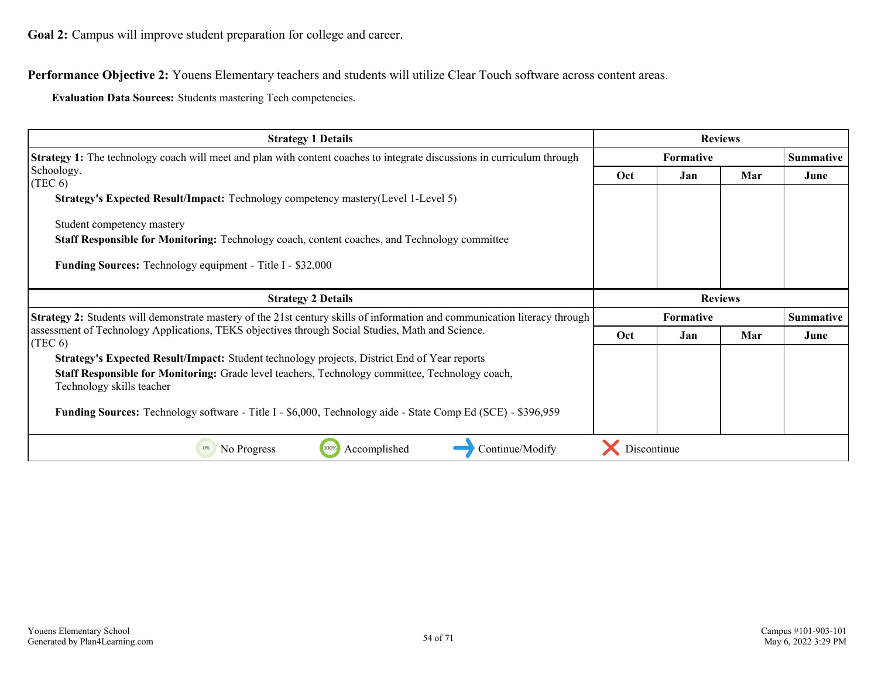# **Performance Objective 2:** Youens Elementary teachers and students will utilize Clear Touch software across content areas.

**Evaluation Data Sources:** Students mastering Tech competencies.

| <b>Strategy 1 Details</b>                                                                                                           | <b>Reviews</b> |                  |                  |      |
|-------------------------------------------------------------------------------------------------------------------------------------|----------------|------------------|------------------|------|
| <b>Strategy 1:</b> The technology coach will meet and plan with content coaches to integrate discussions in curriculum through      |                | <b>Formative</b> |                  |      |
| Schoology.<br>$(\text{TEC }6)$                                                                                                      | Oct            | Jan              | Mar              | June |
| Strategy's Expected Result/Impact: Technology competency mastery(Level 1-Level 5)                                                   |                |                  |                  |      |
| Student competency mastery                                                                                                          |                |                  |                  |      |
| <b>Staff Responsible for Monitoring:</b> Technology coach, content coaches, and Technology committee                                |                |                  |                  |      |
| <b>Funding Sources:</b> Technology equipment - Title I - \$32,000                                                                   |                |                  |                  |      |
| <b>Strategy 2 Details</b>                                                                                                           | <b>Reviews</b> |                  |                  |      |
| <b>Strategy 2:</b> Students will demonstrate mastery of the 21st century skills of information and communication literacy through   |                | <b>Formative</b> | <b>Summative</b> |      |
| assessment of Technology Applications, TEKS objectives through Social Studies, Math and Science.<br>$(\text{TEC } 6)$               | <b>Oct</b>     | Jan              | Mar              | June |
| Strategy's Expected Result/Impact: Student technology projects, District End of Year reports                                        |                |                  |                  |      |
| <b>Staff Responsible for Monitoring:</b> Grade level teachers, Technology committee, Technology coach,<br>Technology skills teacher |                |                  |                  |      |
| <b>Funding Sources:</b> Technology software - Title I - \$6,000, Technology aide - State Comp Ed (SCE) - \$396,959                  |                |                  |                  |      |
| No Progress<br>100%<br>Accomplished<br>Continue/Modify<br>0%                                                                        | Discontinue    |                  |                  |      |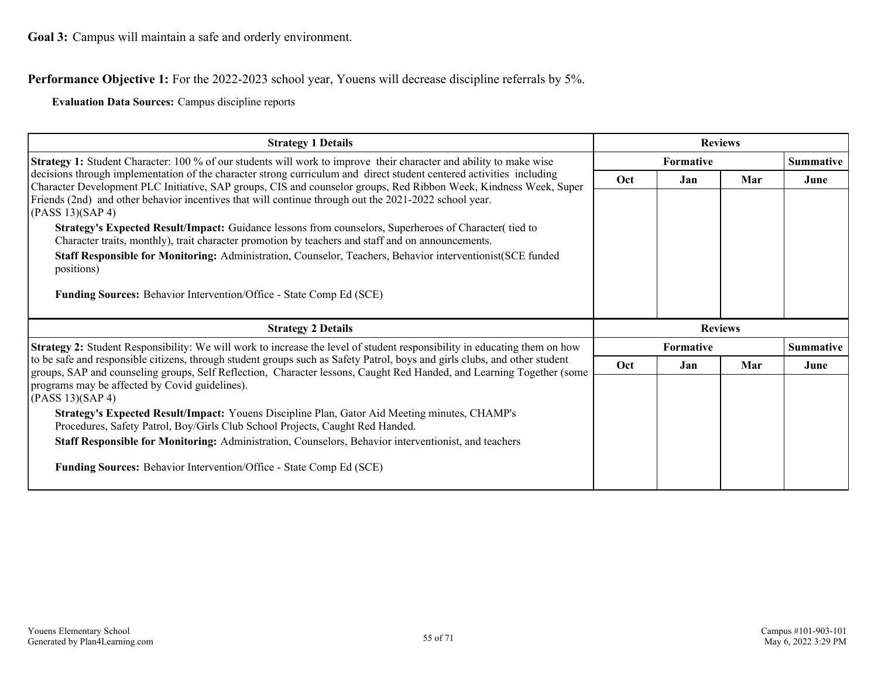<span id="page-54-0"></span>**Performance Objective 1:** For the 2022-2023 school year, Youens will decrease discipline referrals by 5%.

**Evaluation Data Sources:** Campus discipline reports

| <b>Strategy 1 Details</b>                                                                                                                                                                                                                           | <b>Reviews</b> |                  |     |      |
|-----------------------------------------------------------------------------------------------------------------------------------------------------------------------------------------------------------------------------------------------------|----------------|------------------|-----|------|
| Strategy 1: Student Character: 100 % of our students will work to improve their character and ability to make wise                                                                                                                                  |                | <b>Summative</b> |     |      |
| decisions through implementation of the character strong curriculum and direct student centered activities including<br>Character Development PLC Initiative, SAP groups, CIS and counselor groups, Red Ribbon Week, Kindness Week, Super           | Oct            | Jan              | Mar | June |
| Friends (2nd) and other behavior incentives that will continue through out the 2021-2022 school year.<br>(PASS 13)(SAP 4)                                                                                                                           |                |                  |     |      |
| Strategy's Expected Result/Impact: Guidance lessons from counselors, Superheroes of Character( tied to<br>Character traits, monthly), trait character promotion by teachers and staff and on announcements.                                         |                |                  |     |      |
| Staff Responsible for Monitoring: Administration, Counselor, Teachers, Behavior interventionist(SCE funded<br>positions)                                                                                                                            |                |                  |     |      |
| <b>Funding Sources:</b> Behavior Intervention/Office - State Comp Ed (SCE)                                                                                                                                                                          |                |                  |     |      |
| <b>Strategy 2 Details</b>                                                                                                                                                                                                                           | <b>Reviews</b> |                  |     |      |
| <b>Strategy 2:</b> Student Responsibility: We will work to increase the level of student responsibility in educating them on how                                                                                                                    |                | <b>Summative</b> |     |      |
| to be safe and responsible citizens, through student groups such as Safety Patrol, boys and girls clubs, and other student<br>groups, SAP and counseling groups, Self Reflection, Character lessons, Caught Red Handed, and Learning Together (some | Oct            | Jan              | Mar | June |
| programs may be affected by Covid guidelines).<br>(PASS 13)(SAP 4)                                                                                                                                                                                  |                |                  |     |      |
| Strategy's Expected Result/Impact: Youens Discipline Plan, Gator Aid Meeting minutes, CHAMP's<br>Procedures, Safety Patrol, Boy/Girls Club School Projects, Caught Red Handed.                                                                      |                |                  |     |      |
| Staff Responsible for Monitoring: Administration, Counselors, Behavior interventionist, and teachers                                                                                                                                                |                |                  |     |      |
| <b>Funding Sources:</b> Behavior Intervention/Office - State Comp Ed (SCE)                                                                                                                                                                          |                |                  |     |      |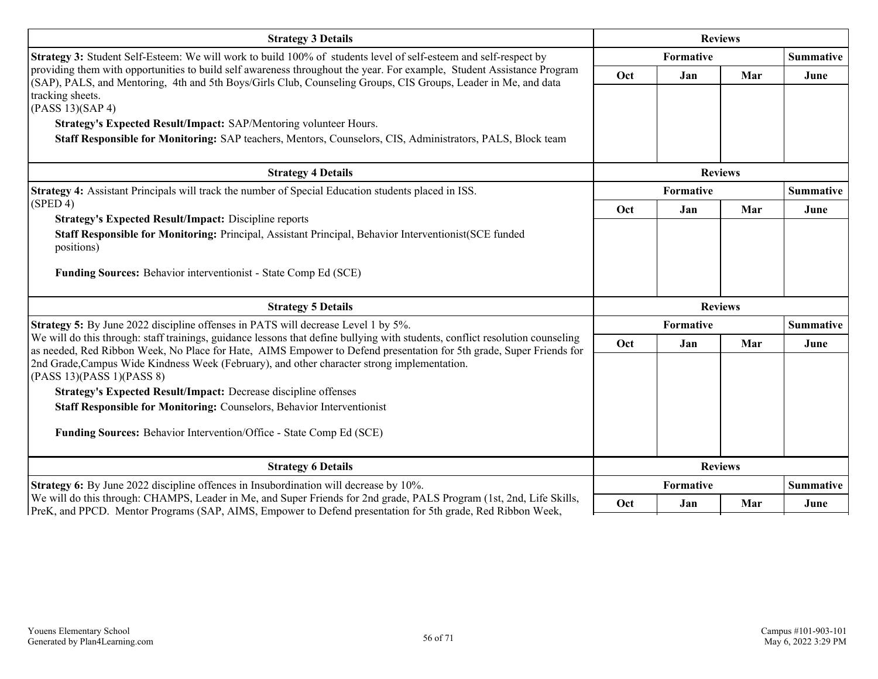| <b>Strategy 3 Details</b>                                                                                                                                                                                                                                    | <b>Reviews</b> |                  |                |                  |
|--------------------------------------------------------------------------------------------------------------------------------------------------------------------------------------------------------------------------------------------------------------|----------------|------------------|----------------|------------------|
| Strategy 3: Student Self-Esteem: We will work to build 100% of students level of self-esteem and self-respect by                                                                                                                                             |                | Formative        |                | <b>Summative</b> |
| providing them with opportunities to build self awareness throughout the year. For example, Student Assistance Program<br>(SAP), PALS, and Mentoring, 4th and 5th Boys/Girls Club, Counseling Groups, CIS Groups, Leader in Me, and data<br>tracking sheets. | Oct            | Jan              | Mar            | June             |
| (PASS 13)(SAP 4)                                                                                                                                                                                                                                             |                |                  |                |                  |
| Strategy's Expected Result/Impact: SAP/Mentoring volunteer Hours.                                                                                                                                                                                            |                |                  |                |                  |
| Staff Responsible for Monitoring: SAP teachers, Mentors, Counselors, CIS, Administrators, PALS, Block team                                                                                                                                                   |                |                  |                |                  |
| <b>Strategy 4 Details</b>                                                                                                                                                                                                                                    |                |                  |                |                  |
| Strategy 4: Assistant Principals will track the number of Special Education students placed in ISS.                                                                                                                                                          |                | Formative        |                | Summative        |
| (SPED 4)                                                                                                                                                                                                                                                     | Oct            | Jan              | Mar            | June             |
| <b>Strategy's Expected Result/Impact: Discipline reports</b>                                                                                                                                                                                                 |                |                  |                |                  |
| Staff Responsible for Monitoring: Principal, Assistant Principal, Behavior Interventionist(SCE funded<br>positions)                                                                                                                                          |                |                  |                |                  |
| Funding Sources: Behavior interventionist - State Comp Ed (SCE)                                                                                                                                                                                              |                |                  |                |                  |
| <b>Strategy 5 Details</b>                                                                                                                                                                                                                                    |                |                  | <b>Reviews</b> |                  |
| Strategy 5: By June 2022 discipline offenses in PATS will decrease Level 1 by 5%.                                                                                                                                                                            |                | <b>Summative</b> |                |                  |
| We will do this through: staff trainings, guidance lessons that define bullying with students, conflict resolution counseling<br>as needed, Red Ribbon Week, No Place for Hate, AIMS Empower to Defend presentation for 5th grade, Super Friends for         | Oct            | Jan              | Mar            | June             |
| 2nd Grade, Campus Wide Kindness Week (February), and other character strong implementation.<br>(PASS 13)(PASS 1)(PASS 8)                                                                                                                                     |                |                  |                |                  |
| Strategy's Expected Result/Impact: Decrease discipline offenses                                                                                                                                                                                              |                |                  |                |                  |
| Staff Responsible for Monitoring: Counselors, Behavior Interventionist                                                                                                                                                                                       |                |                  |                |                  |
| Funding Sources: Behavior Intervention/Office - State Comp Ed (SCE)                                                                                                                                                                                          |                |                  |                |                  |
| <b>Strategy 6 Details</b>                                                                                                                                                                                                                                    | <b>Reviews</b> |                  |                |                  |
| Strategy 6: By June 2022 discipline offences in Insubordination will decrease by 10%.                                                                                                                                                                        |                | Formative        |                | Summative        |
| We will do this through: CHAMPS, Leader in Me, and Super Friends for 2nd grade, PALS Program (1st, 2nd, Life Skills,<br>PreK, and PPCD. Mentor Programs (SAP, AIMS, Empower to Defend presentation for 5th grade, Red Ribbon Week,                           | Oct            | Jan              | Mar            | June             |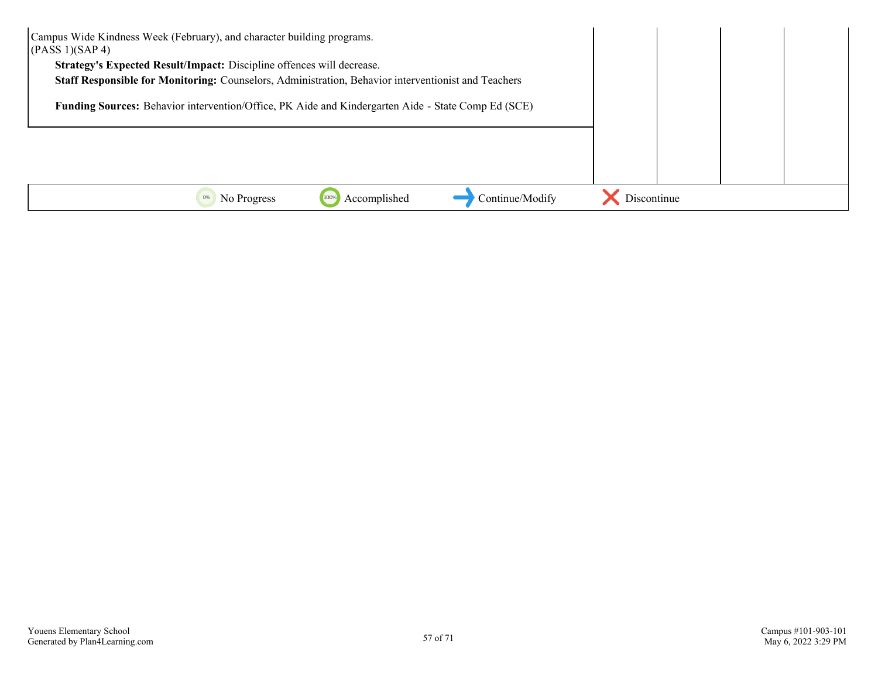| Campus Wide Kindness Week (February), and character building programs.<br>(PASS 1)(SAP 4)<br>Strategy's Expected Result/Impact: Discipline offences will decrease.<br>Staff Responsible for Monitoring: Counselors, Administration, Behavior interventionist and Teachers |             |  |  |
|---------------------------------------------------------------------------------------------------------------------------------------------------------------------------------------------------------------------------------------------------------------------------|-------------|--|--|
| Funding Sources: Behavior intervention/Office, PK Aide and Kindergarten Aide - State Comp Ed (SCE)                                                                                                                                                                        |             |  |  |
|                                                                                                                                                                                                                                                                           |             |  |  |
|                                                                                                                                                                                                                                                                           |             |  |  |
| Continue/Modify<br>Accomplished<br>No Progress                                                                                                                                                                                                                            | Discontinue |  |  |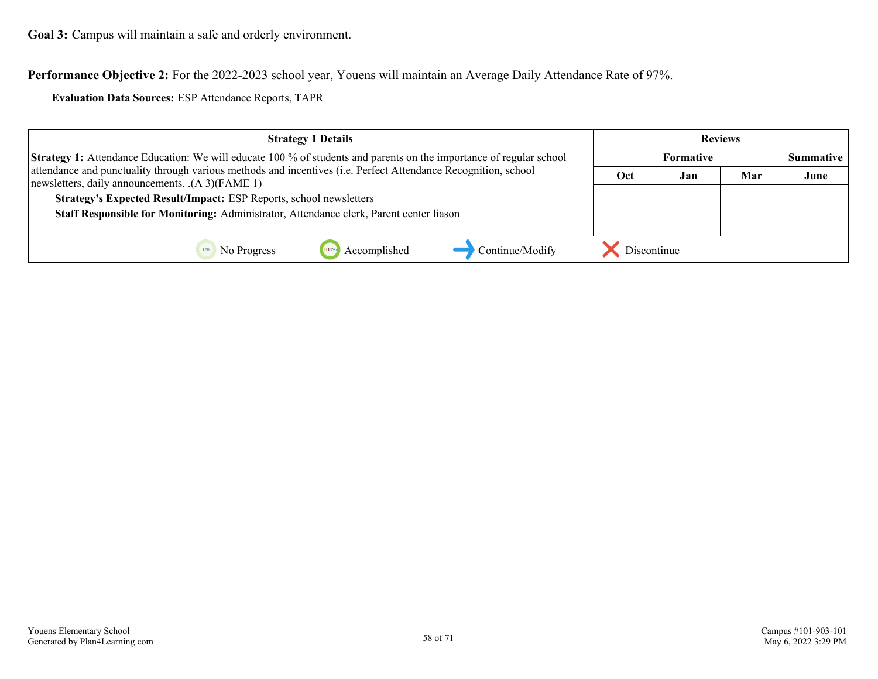**Performance Objective 2:** For the 2022-2023 school year, Youens will maintain an Average Daily Attendance Rate of 97%.

**Evaluation Data Sources:** ESP Attendance Reports, TAPR

| <b>Strategy 1 Details</b>                                                                                                                                          |                                      |     | <b>Reviews</b> |      |
|--------------------------------------------------------------------------------------------------------------------------------------------------------------------|--------------------------------------|-----|----------------|------|
| <b>Strategy 1:</b> Attendance Education: We will educate 100 % of students and parents on the importance of regular school                                         | <b>Summative</b><br><b>Formative</b> |     |                |      |
| attendance and punctuality through various methods and incentives (i.e. Perfect Attendance Recognition, school<br>newsletters, daily announcements. .(A 3)(FAME 1) | Oct                                  | Jan | Mar            | June |
| Strategy's Expected Result/Impact: ESP Reports, school newsletters                                                                                                 |                                      |     |                |      |
| Staff Responsible for Monitoring: Administrator, Attendance clerk, Parent center liason                                                                            |                                      |     |                |      |
|                                                                                                                                                                    |                                      |     |                |      |
| Accomplished<br>Continue/Modify<br>No Progress                                                                                                                     | Discontinue                          |     |                |      |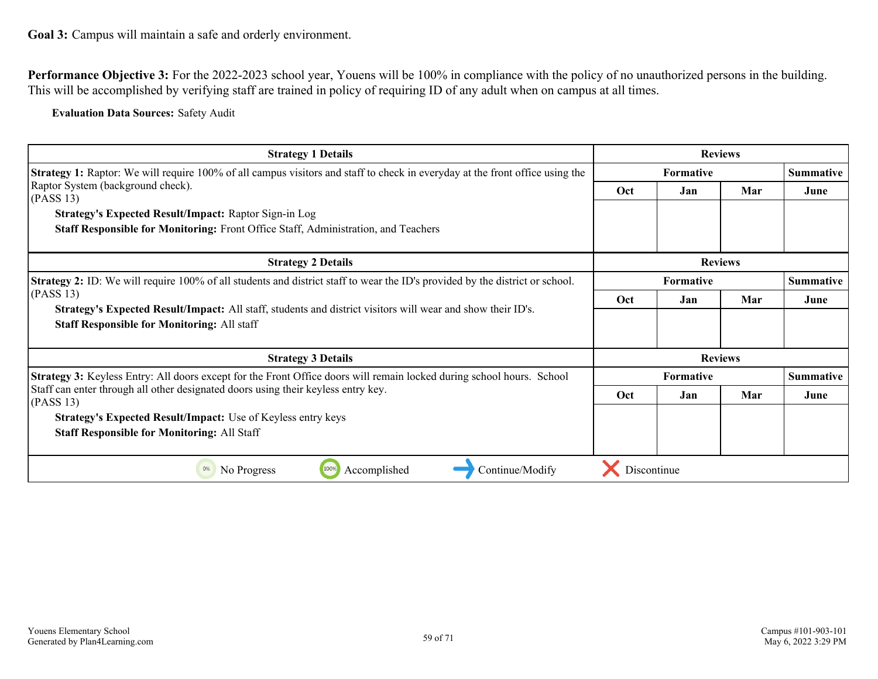**Performance Objective 3:** For the 2022-2023 school year, Youens will be 100% in compliance with the policy of no unauthorized persons in the building. This will be accomplished by verifying staff are trained in policy of requiring ID of any adult when on campus at all times.

**Evaluation Data Sources:** Safety Audit

| <b>Strategy 1 Details</b>                                                                                                                                         | <b>Reviews</b>                |                  |                |                  |
|-------------------------------------------------------------------------------------------------------------------------------------------------------------------|-------------------------------|------------------|----------------|------------------|
| <b>Strategy 1:</b> Raptor: We will require 100% of all campus visitors and staff to check in everyday at the front office using the                               |                               | <b>Summative</b> |                |                  |
| Raptor System (background check).<br>(PASS 13)                                                                                                                    | <b>Oct</b>                    | Jan              | Mar            | June             |
| <b>Strategy's Expected Result/Impact: Raptor Sign-in Log</b>                                                                                                      |                               |                  |                |                  |
| Staff Responsible for Monitoring: Front Office Staff, Administration, and Teachers                                                                                |                               |                  |                |                  |
| <b>Strategy 2 Details</b>                                                                                                                                         |                               |                  | <b>Reviews</b> |                  |
| Strategy 2: ID: We will require 100% of all students and district staff to wear the ID's provided by the district or school.                                      | Formative<br><b>Summative</b> |                  |                |                  |
| (PASS 13)                                                                                                                                                         | <b>Oct</b>                    | Jan              | Mar            | June             |
| Strategy's Expected Result/Impact: All staff, students and district visitors will wear and show their ID's.<br><b>Staff Responsible for Monitoring: All staff</b> |                               |                  |                |                  |
| <b>Strategy 3 Details</b>                                                                                                                                         | <b>Reviews</b>                |                  |                |                  |
| Strategy 3: Keyless Entry: All doors except for the Front Office doors will remain locked during school hours. School                                             |                               | Formative        |                | <b>Summative</b> |
| Staff can enter through all other designated doors using their keyless entry key.<br>(PASS 13)                                                                    | <b>Oct</b>                    | Jan              | Mar            | June             |
| <b>Strategy's Expected Result/Impact:</b> Use of Keyless entry keys                                                                                               |                               |                  |                |                  |
| <b>Staff Responsible for Monitoring: All Staff</b>                                                                                                                |                               |                  |                |                  |
| 100%<br>Accomplished<br>Continue/Modify<br>No Progress                                                                                                            | Discontinue                   |                  |                |                  |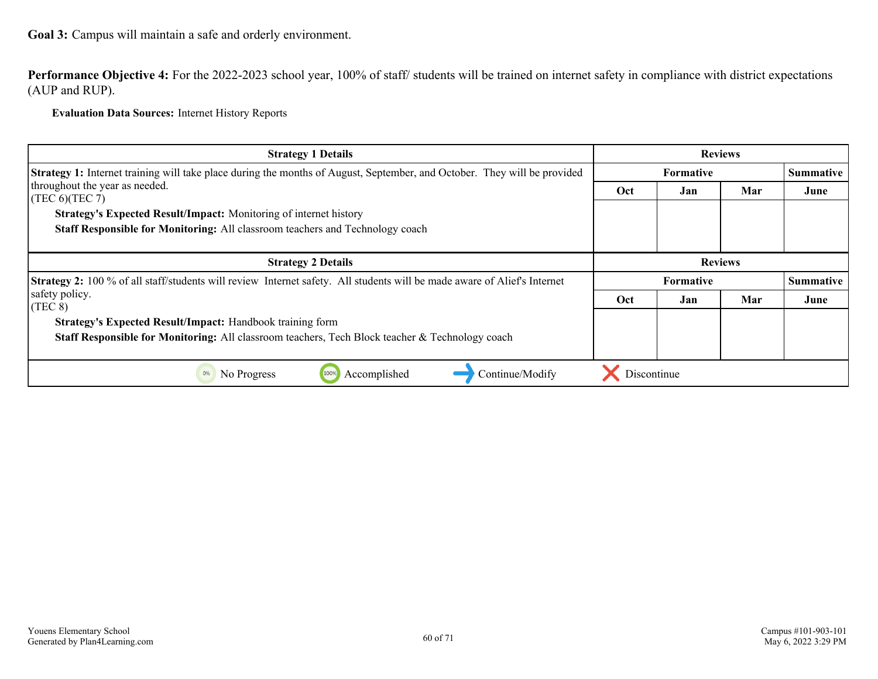**Goal 3:** Campus will maintain a safe and orderly environment.

**Performance Objective 4:** For the 2022-2023 school year, 100% of staff/ students will be trained on internet safety in compliance with district expectations (AUP and RUP).

**Evaluation Data Sources:** Internet History Reports

| <b>Strategy 1 Details</b>                                                                                                       | <b>Reviews</b>   |                  |                |                  |
|---------------------------------------------------------------------------------------------------------------------------------|------------------|------------------|----------------|------------------|
| <b>Strategy 1:</b> Internet training will take place during the months of August, September, and October. They will be provided |                  | <b>Summative</b> |                |                  |
| throughout the year as needed.<br>(TEC 6)(TEC 7)                                                                                | Oct              | Jan              | Mar            | June             |
| Strategy's Expected Result/Impact: Monitoring of internet history                                                               |                  |                  |                |                  |
| Staff Responsible for Monitoring: All classroom teachers and Technology coach                                                   |                  |                  |                |                  |
| <b>Strategy 2 Details</b>                                                                                                       |                  |                  | <b>Reviews</b> |                  |
| <b>Strategy 2:</b> 100 % of all staff/students will review Internet safety. All students will be made aware of Alief's Internet | <b>Formative</b> |                  |                | <b>Summative</b> |
| safety policy.<br>(TEC <sub>8</sub> )                                                                                           | Oct              | Jan              | Mar            | June             |
| <b>Strategy's Expected Result/Impact: Handbook training form</b>                                                                |                  |                  |                |                  |
| Staff Responsible for Monitoring: All classroom teachers, Tech Block teacher & Technology coach                                 |                  |                  |                |                  |
|                                                                                                                                 |                  |                  |                |                  |
| Continue/Modify<br>Accomplished<br>0%<br>No Progress<br>100%                                                                    | Discontinue      |                  |                |                  |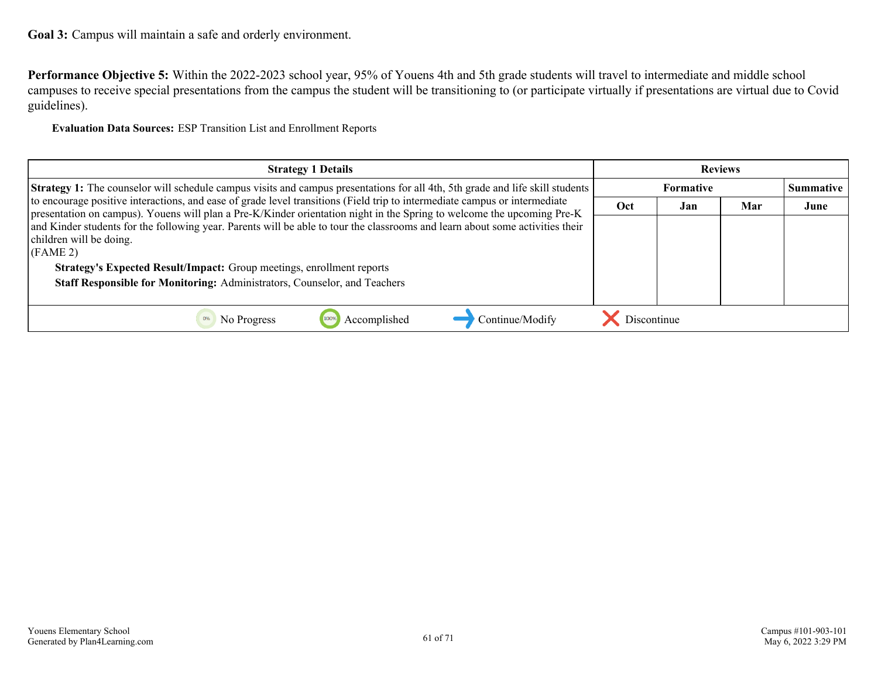**Goal 3:** Campus will maintain a safe and orderly environment.

**Performance Objective 5:** Within the 2022-2023 school year, 95% of Youens 4th and 5th grade students will travel to intermediate and middle school campuses to receive special presentations from the campus the student will be transitioning to (or participate virtually if presentations are virtual due to Covid guidelines).

**Evaluation Data Sources:** ESP Transition List and Enrollment Reports

| <b>Strategy 1 Details</b>                                                                                                                                                                                                                                                                                                         | <b>Reviews</b> |                  |     |      |
|-----------------------------------------------------------------------------------------------------------------------------------------------------------------------------------------------------------------------------------------------------------------------------------------------------------------------------------|----------------|------------------|-----|------|
| <b>Strategy 1:</b> The counselor will schedule campus visits and campus presentations for all 4th, 5th grade and life skill students                                                                                                                                                                                              |                | <b>Summative</b> |     |      |
| to encourage positive interactions, and ease of grade level transitions (Field trip to intermediate campus or intermediate<br>presentation on campus). Youens will plan a Pre-K/Kinder orientation night in the Spring to welcome the upcoming Pre-K                                                                              | Oct            | Jan              | Mar | June |
| and Kinder students for the following year. Parents will be able to tour the classrooms and learn about some activities their<br>children will be doing.<br>(FAME 2)<br><b>Strategy's Expected Result/Impact:</b> Group meetings, enrollment reports<br>Staff Responsible for Monitoring: Administrators, Counselor, and Teachers |                |                  |     |      |
| Continue/Modify<br>Accomplished<br>No Progress                                                                                                                                                                                                                                                                                    | Discontinue    |                  |     |      |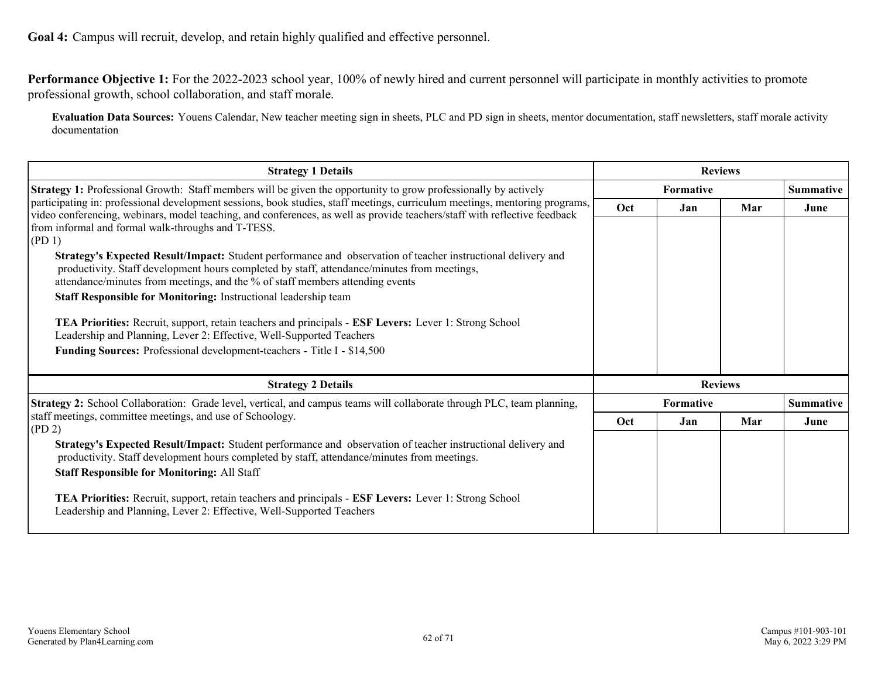<span id="page-61-0"></span>**Goal 4:** Campus will recruit, develop, and retain highly qualified and effective personnel.

**Performance Objective 1:** For the 2022-2023 school year, 100% of newly hired and current personnel will participate in monthly activities to promote professional growth, school collaboration, and staff morale.

**Evaluation Data Sources:** Youens Calendar, New teacher meeting sign in sheets, PLC and PD sign in sheets, mentor documentation, staff newsletters, staff morale activity documentation

| <b>Strategy 1 Details</b>                                                                                                                                                                                                                                                                                                    |                | <b>Reviews</b> |     |                  |
|------------------------------------------------------------------------------------------------------------------------------------------------------------------------------------------------------------------------------------------------------------------------------------------------------------------------------|----------------|----------------|-----|------------------|
| <b>Strategy 1:</b> Professional Growth: Staff members will be given the opportunity to grow professionally by actively                                                                                                                                                                                                       | Formative      |                |     | <b>Summative</b> |
| participating in: professional development sessions, book studies, staff meetings, curriculum meetings, mentoring programs,<br>video conferencing, webinars, model teaching, and conferences, as well as provide teachers/staff with reflective feedback<br>from informal and formal walk-throughs and T-TESS.<br>$ $ (PD 1) | Oct            | Jan            | Mar | June             |
| Strategy's Expected Result/Impact: Student performance and observation of teacher instructional delivery and<br>productivity. Staff development hours completed by staff, attendance/minutes from meetings,<br>attendance/minutes from meetings, and the % of staff members attending events                                 |                |                |     |                  |
| Staff Responsible for Monitoring: Instructional leadership team                                                                                                                                                                                                                                                              |                |                |     |                  |
| TEA Priorities: Recruit, support, retain teachers and principals - ESF Levers: Lever 1: Strong School<br>Leadership and Planning, Lever 2: Effective, Well-Supported Teachers                                                                                                                                                |                |                |     |                  |
| Funding Sources: Professional development-teachers - Title I - \$14,500                                                                                                                                                                                                                                                      |                |                |     |                  |
| <b>Strategy 2 Details</b>                                                                                                                                                                                                                                                                                                    | <b>Reviews</b> |                |     |                  |
| Strategy 2: School Collaboration: Grade level, vertical, and campus teams will collaborate through PLC, team planning,                                                                                                                                                                                                       | Formative      |                |     | <b>Summative</b> |
| staff meetings, committee meetings, and use of Schoology.<br>$(\text{PD } 2)$                                                                                                                                                                                                                                                | Oct            | Jan            | Mar | June             |
| Strategy's Expected Result/Impact: Student performance and observation of teacher instructional delivery and<br>productivity. Staff development hours completed by staff, attendance/minutes from meetings.                                                                                                                  |                |                |     |                  |
| <b>Staff Responsible for Monitoring: All Staff</b>                                                                                                                                                                                                                                                                           |                |                |     |                  |
| TEA Priorities: Recruit, support, retain teachers and principals - ESF Levers: Lever 1: Strong School<br>Leadership and Planning, Lever 2: Effective, Well-Supported Teachers                                                                                                                                                |                |                |     |                  |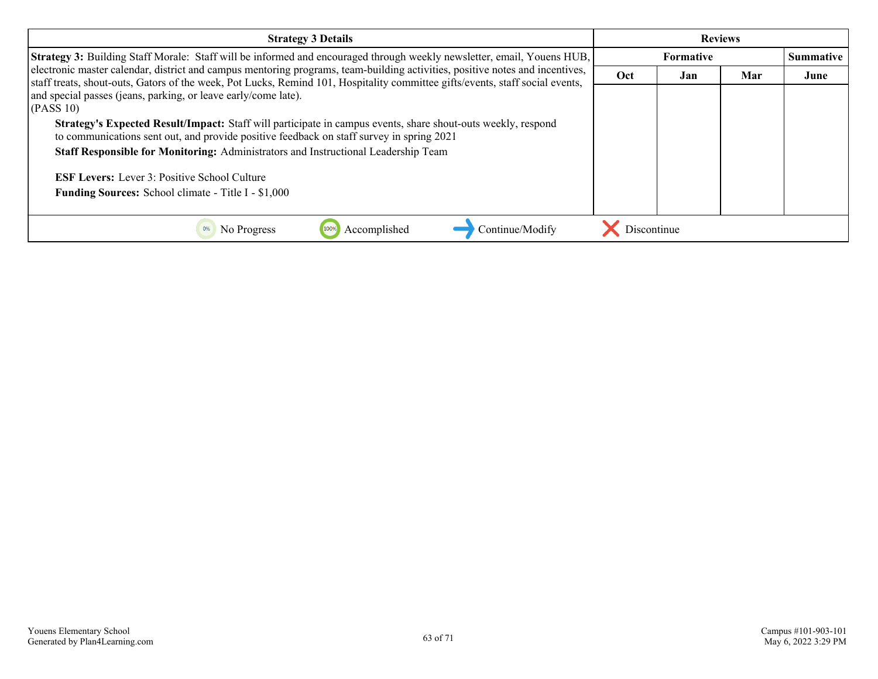| <b>Strategy 3 Details</b>                                                                                                                                                                                                                                     |             | <b>Reviews</b>   |     |      |
|---------------------------------------------------------------------------------------------------------------------------------------------------------------------------------------------------------------------------------------------------------------|-------------|------------------|-----|------|
| Strategy 3: Building Staff Morale: Staff will be informed and encouraged through weekly newsletter, email, Youens HUB,                                                                                                                                        |             | <b>Summative</b> |     |      |
| electronic master calendar, district and campus mentoring programs, team-building activities, positive notes and incentives,<br>staff treats, shout-outs, Gators of the week, Pot Lucks, Remind 101, Hospitality committee gifts/events, staff social events, | Oct         | Jan              | Mar | June |
| and special passes (jeans, parking, or leave early/come late).<br>(PASS 10)                                                                                                                                                                                   |             |                  |     |      |
| Strategy's Expected Result/Impact: Staff will participate in campus events, share shout-outs weekly, respond<br>to communications sent out, and provide positive feedback on staff survey in spring 2021                                                      |             |                  |     |      |
| Staff Responsible for Monitoring: Administrators and Instructional Leadership Team                                                                                                                                                                            |             |                  |     |      |
| <b>ESF Levers:</b> Lever 3: Positive School Culture                                                                                                                                                                                                           |             |                  |     |      |
| <b>Funding Sources:</b> School climate - Title I - \$1,000                                                                                                                                                                                                    |             |                  |     |      |
|                                                                                                                                                                                                                                                               |             |                  |     |      |
| Continue/Modify<br>Accomplished<br>No Progress                                                                                                                                                                                                                | Discontinue |                  |     |      |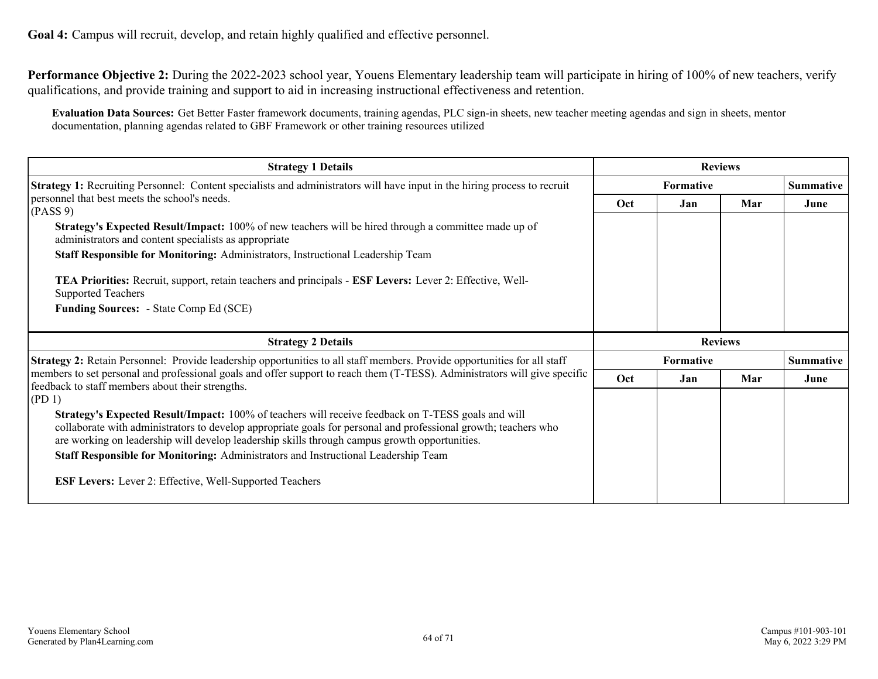**Goal 4:** Campus will recruit, develop, and retain highly qualified and effective personnel.

**Performance Objective 2:** During the 2022-2023 school year, Youens Elementary leadership team will participate in hiring of 100% of new teachers, verify qualifications, and provide training and support to aid in increasing instructional effectiveness and retention.

**Evaluation Data Sources:** Get Better Faster framework documents, training agendas, PLC sign-in sheets, new teacher meeting agendas and sign in sheets, mentor documentation, planning agendas related to GBF Framework or other training resources utilized

| <b>Strategy 1 Details</b>                                                                                                                                                                                                                                                                                              |            |                  | <b>Reviews</b> |                  |
|------------------------------------------------------------------------------------------------------------------------------------------------------------------------------------------------------------------------------------------------------------------------------------------------------------------------|------------|------------------|----------------|------------------|
| Strategy 1: Recruiting Personnel: Content specialists and administrators will have input in the hiring process to recruit                                                                                                                                                                                              |            | <b>Summative</b> |                |                  |
| personnel that best meets the school's needs.<br>(PASS 9)                                                                                                                                                                                                                                                              | <b>Oct</b> | Jan              | Mar            | June             |
| <b>Strategy's Expected Result/Impact:</b> 100% of new teachers will be hired through a committee made up of<br>administrators and content specialists as appropriate                                                                                                                                                   |            |                  |                |                  |
| Staff Responsible for Monitoring: Administrators, Instructional Leadership Team                                                                                                                                                                                                                                        |            |                  |                |                  |
| <b>TEA Priorities:</b> Recruit, support, retain teachers and principals - <b>ESF Levers:</b> Lever 2: Effective, Well-<br><b>Supported Teachers</b>                                                                                                                                                                    |            |                  |                |                  |
| <b>Funding Sources:</b> - State Comp Ed (SCE)                                                                                                                                                                                                                                                                          |            |                  |                |                  |
|                                                                                                                                                                                                                                                                                                                        |            |                  |                |                  |
| <b>Strategy 2 Details</b>                                                                                                                                                                                                                                                                                              |            |                  | <b>Reviews</b> |                  |
| Strategy 2: Retain Personnel: Provide leadership opportunities to all staff members. Provide opportunities for all staff                                                                                                                                                                                               |            | <b>Formative</b> |                | <b>Summative</b> |
| members to set personal and professional goals and offer support to reach them (T-TESS). Administrators will give specific<br>feedback to staff members about their strengths.<br>$ $ (PD 1)                                                                                                                           | Oct        | Jan              | Mar            | June             |
| Strategy's Expected Result/Impact: 100% of teachers will receive feedback on T-TESS goals and will<br>collaborate with administrators to develop appropriate goals for personal and professional growth; teachers who<br>are working on leadership will develop leadership skills through campus growth opportunities. |            |                  |                |                  |
| Staff Responsible for Monitoring: Administrators and Instructional Leadership Team                                                                                                                                                                                                                                     |            |                  |                |                  |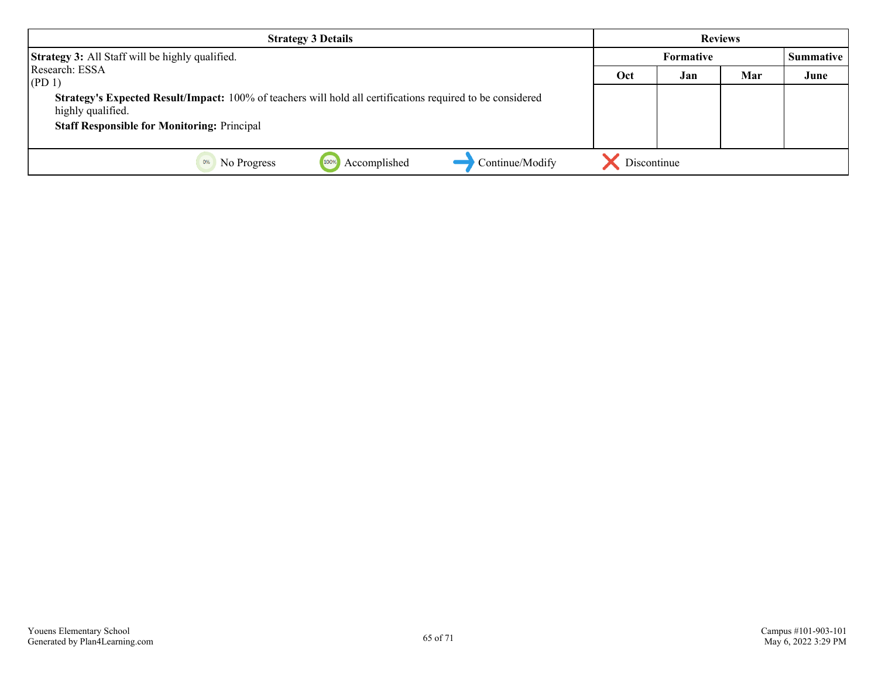| <b>Strategy 3 Details</b>                                                                                                       | <b>Reviews</b>   |     |     |           |
|---------------------------------------------------------------------------------------------------------------------------------|------------------|-----|-----|-----------|
| <b>Strategy 3:</b> All Staff will be highly qualified.                                                                          | <b>Formative</b> |     |     | Summative |
| Research: ESSA<br>$ $ (PD 1)                                                                                                    | Oct              | Jan | Mar | June      |
| Strategy's Expected Result/Impact: 100% of teachers will hold all certifications required to be considered<br>highly qualified. |                  |     |     |           |
| <b>Staff Responsible for Monitoring: Principal</b>                                                                              |                  |     |     |           |
| Continue/Modify<br>Accomplished<br>No Progress<br>0%<br>1009                                                                    | Discontinue      |     |     |           |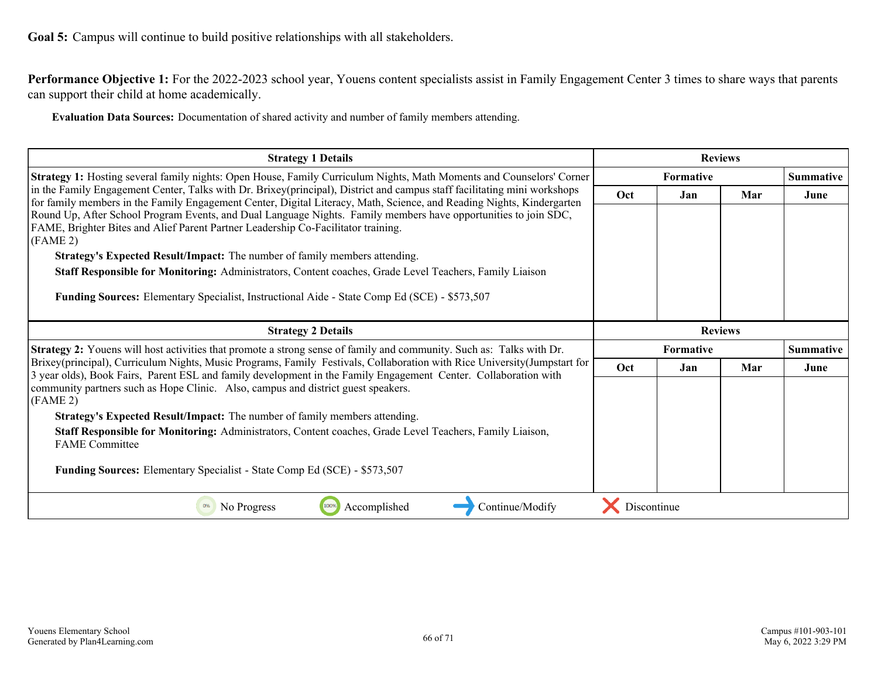<span id="page-65-0"></span>**Performance Objective 1:** For the 2022-2023 school year, Youens content specialists assist in Family Engagement Center 3 times to share ways that parents can support their child at home academically.

**Evaluation Data Sources:** Documentation of shared activity and number of family members attending.

| <b>Strategy 1 Details</b>                                                                                                                                                                                                                         | <b>Reviews</b>   |                  |     |                  |
|---------------------------------------------------------------------------------------------------------------------------------------------------------------------------------------------------------------------------------------------------|------------------|------------------|-----|------------------|
| Strategy 1: Hosting several family nights: Open House, Family Curriculum Nights, Math Moments and Counselors' Corner                                                                                                                              |                  | <b>Summative</b> |     |                  |
| in the Family Engagement Center, Talks with Dr. Brixey(principal), District and campus staff facilitating mini workshops<br>for family members in the Family Engagement Center, Digital Literacy, Math, Science, and Reading Nights, Kindergarten | Oct              | Jan              | Mar | June             |
| Round Up, After School Program Events, and Dual Language Nights. Family members have opportunities to join SDC,<br>FAME, Brighter Bites and Alief Parent Partner Leadership Co-Facilitator training.<br>(FAME 2)                                  |                  |                  |     |                  |
| Strategy's Expected Result/Impact: The number of family members attending.                                                                                                                                                                        |                  |                  |     |                  |
| Staff Responsible for Monitoring: Administrators, Content coaches, Grade Level Teachers, Family Liaison                                                                                                                                           |                  |                  |     |                  |
| Funding Sources: Elementary Specialist, Instructional Aide - State Comp Ed (SCE) - \$573,507                                                                                                                                                      |                  |                  |     |                  |
| <b>Strategy 2 Details</b>                                                                                                                                                                                                                         |                  | <b>Reviews</b>   |     |                  |
| Strategy 2: Youens will host activities that promote a strong sense of family and community. Such as: Talks with Dr.                                                                                                                              | <b>Formative</b> |                  |     | <b>Summative</b> |
| Brixey(principal), Curriculum Nights, Music Programs, Family Festivals, Collaboration with Rice University(Jumpstart for<br>3 year olds), Book Fairs, Parent ESL and family development in the Family Engagement Center. Collaboration with       | Oct              | Jan              | Mar | June             |
| community partners such as Hope Clinic. Also, campus and district guest speakers.<br>(FAME 2)                                                                                                                                                     |                  |                  |     |                  |
| Strategy's Expected Result/Impact: The number of family members attending.                                                                                                                                                                        |                  |                  |     |                  |
| Staff Responsible for Monitoring: Administrators, Content coaches, Grade Level Teachers, Family Liaison,<br><b>FAME</b> Committee                                                                                                                 |                  |                  |     |                  |
| <b>Funding Sources:</b> Elementary Specialist - State Comp Ed (SCE) - \$573,507                                                                                                                                                                   |                  |                  |     |                  |
| Continue/Modify<br>Accomplished<br>No Progress<br>100%                                                                                                                                                                                            | Discontinue      |                  |     |                  |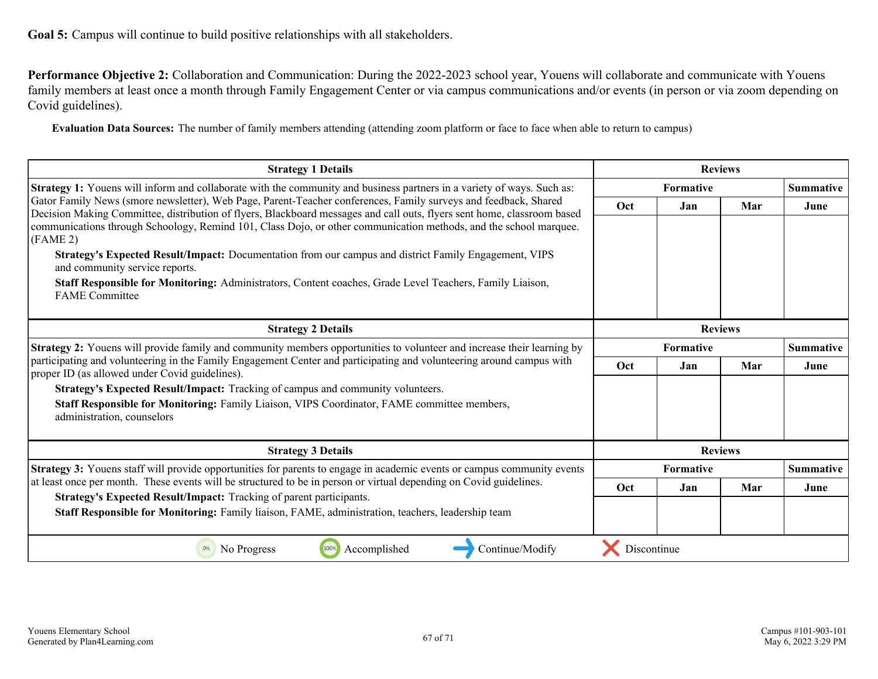**Goal 5:** Campus will continue to build positive relationships with all stakeholders.

**Performance Objective 2:** Collaboration and Communication: During the 2022-2023 school year, Youens will collaborate and communicate with Youens family members at least once a month through Family Engagement Center or via campus communications and/or events (in person or via zoom depending on Covid guidelines).

**Evaluation Data Sources:** The number of family members attending (attending zoom platform or face to face when able to return to campus)

| <b>Strategy 1 Details</b>                                                                                                                                                                                                                  | <b>Reviews</b> |           |                |                  |
|--------------------------------------------------------------------------------------------------------------------------------------------------------------------------------------------------------------------------------------------|----------------|-----------|----------------|------------------|
| <b>Strategy 1:</b> Youens will inform and collaborate with the community and business partners in a variety of ways. Such as:                                                                                                              | Formative      |           |                | <b>Summative</b> |
| Gator Family News (smore newsletter), Web Page, Parent-Teacher conferences, Family surveys and feedback, Shared<br>Decision Making Committee, distribution of flyers, Blackboard messages and call outs, flyers sent home, classroom based | Oct            | Jan       | Mar            | June             |
| communications through Schoology, Remind 101, Class Dojo, or other communication methods, and the school marquee.<br>(FAME 2)                                                                                                              |                |           |                |                  |
| Strategy's Expected Result/Impact: Documentation from our campus and district Family Engagement, VIPS<br>and community service reports.                                                                                                    |                |           |                |                  |
| Staff Responsible for Monitoring: Administrators, Content coaches, Grade Level Teachers, Family Liaison,<br><b>FAME</b> Committee                                                                                                          |                |           |                |                  |
| <b>Strategy 2 Details</b>                                                                                                                                                                                                                  | <b>Reviews</b> |           |                |                  |
| <b>Strategy 2:</b> Youens will provide family and community members opportunities to volunteer and increase their learning by                                                                                                              | Formative      |           |                | <b>Summative</b> |
| participating and volunteering in the Family Engagement Center and participating and volunteering around campus with<br>proper ID (as allowed under Covid guidelines).                                                                     | Oct            | Jan       | Mar            | June             |
| Strategy's Expected Result/Impact: Tracking of campus and community volunteers.                                                                                                                                                            |                |           |                |                  |
| Staff Responsible for Monitoring: Family Liaison, VIPS Coordinator, FAME committee members,<br>administration, counselors                                                                                                                  |                |           |                |                  |
| <b>Strategy 3 Details</b>                                                                                                                                                                                                                  |                |           | <b>Reviews</b> |                  |
| Strategy 3: Youens staff will provide opportunities for parents to engage in academic events or campus community events                                                                                                                    |                | Formative |                | <b>Summative</b> |
| at least once per month. These events will be structured to be in person or virtual depending on Covid guidelines.                                                                                                                         | <b>Oct</b>     | Jan       | Mar            | June             |
| Strategy's Expected Result/Impact: Tracking of parent participants.<br>Staff Responsible for Monitoring: Family liaison, FAME, administration, teachers, leadership team                                                                   |                |           |                |                  |
| 100%<br>Accomplished<br>Continue/Modify<br>0%<br>No Progress                                                                                                                                                                               | Discontinue    |           |                |                  |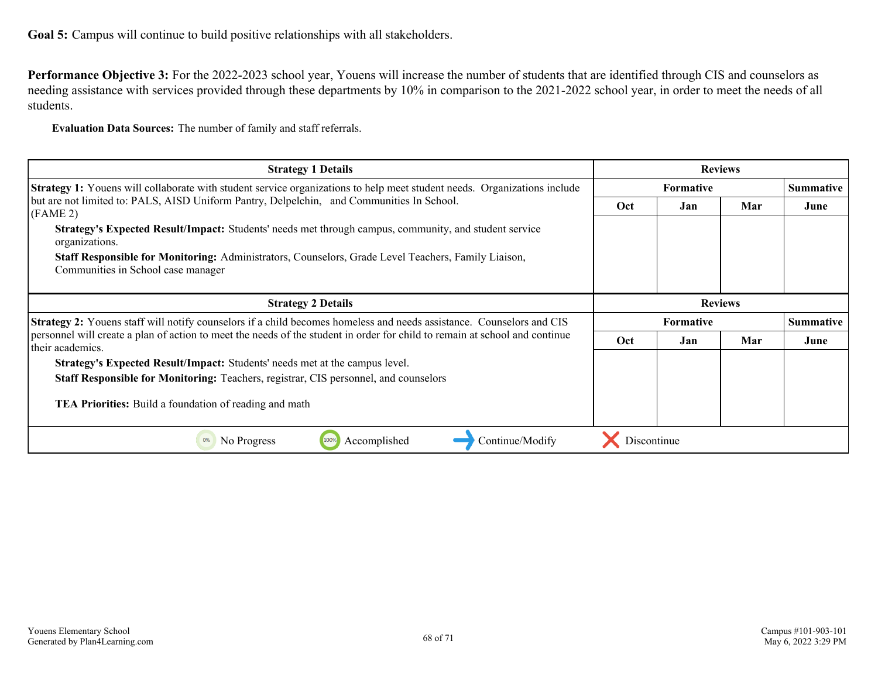**Goal 5:** Campus will continue to build positive relationships with all stakeholders.

**Performance Objective 3:** For the 2022-2023 school year, Youens will increase the number of students that are identified through CIS and counselors as needing assistance with services provided through these departments by 10% in comparison to the 2021-2022 school year, in order to meet the needs of all students.

**Evaluation Data Sources:** The number of family and staff referrals.

| <b>Strategy 1 Details</b>                                                                                                                       | <b>Reviews</b>   |                  |                |                  |
|-------------------------------------------------------------------------------------------------------------------------------------------------|------------------|------------------|----------------|------------------|
| <b>Strategy 1:</b> Youens will collaborate with student service organizations to help meet student needs. Organizations include                 |                  | <b>Summative</b> |                |                  |
| but are not limited to: PALS, AISD Uniform Pantry, Delpelchin, and Communities In School.<br>(FAME 2)                                           | <b>Oct</b>       | Jan              | Mar            | June             |
| Strategy's Expected Result/Impact: Students' needs met through campus, community, and student service<br>organizations.                         |                  |                  |                |                  |
| Staff Responsible for Monitoring: Administrators, Counselors, Grade Level Teachers, Family Liaison,<br>Communities in School case manager       |                  |                  |                |                  |
| <b>Strategy 2 Details</b>                                                                                                                       |                  |                  | <b>Reviews</b> |                  |
| <b>Strategy 2:</b> Youens staff will notify counselors if a child becomes homeless and needs assistance. Counselors and CIS                     | <b>Formative</b> |                  |                | <b>Summative</b> |
| personnel will create a plan of action to meet the needs of the student in order for child to remain at school and continue<br>their academics. | <b>Oct</b>       | Jan              | Mar            | June             |
| Strategy's Expected Result/Impact: Students' needs met at the campus level.                                                                     |                  |                  |                |                  |
| Staff Responsible for Monitoring: Teachers, registrar, CIS personnel, and counselors                                                            |                  |                  |                |                  |
| <b>TEA Priorities:</b> Build a foundation of reading and math                                                                                   |                  |                  |                |                  |
| Accomplished<br>Continue/Modify<br>0%<br>No Progress<br>100%                                                                                    | Discontinue      |                  |                |                  |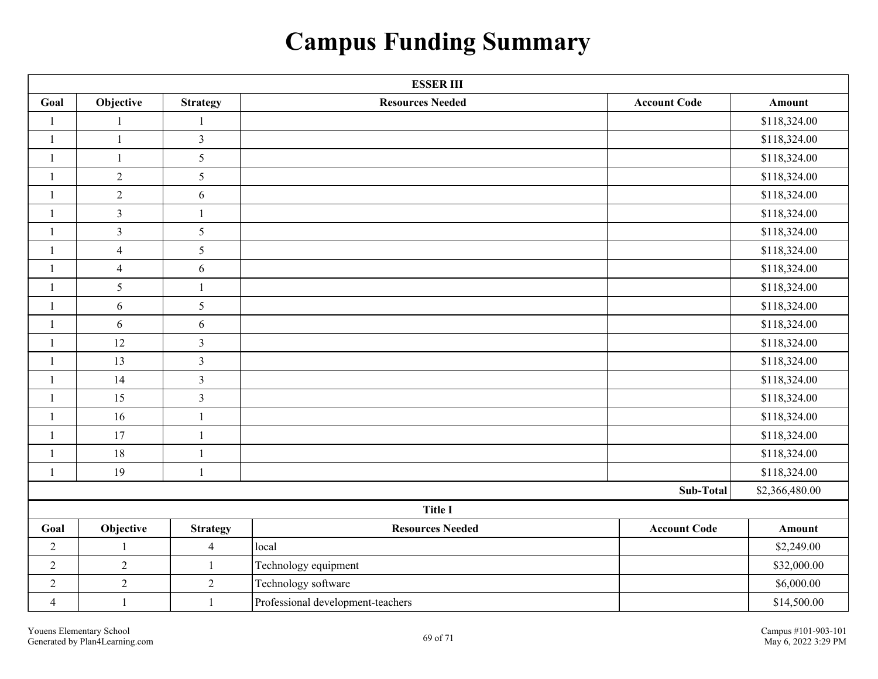# **Campus Funding Summary**

<span id="page-68-0"></span>

| <b>ESSER III</b> |                |                 |                                   |                     |                |  |  |
|------------------|----------------|-----------------|-----------------------------------|---------------------|----------------|--|--|
| Goal             | Objective      | <b>Strategy</b> | <b>Resources Needed</b>           | <b>Account Code</b> | <b>Amount</b>  |  |  |
| $\mathbf{1}$     | $\mathbf{1}$   | $\mathbf{1}$    |                                   |                     | \$118,324.00   |  |  |
| $\mathbf{1}$     | $\,1$          | $\mathfrak{Z}$  |                                   |                     | \$118,324.00   |  |  |
| $\mathbf{1}$     | $\mathbf{1}$   | $\mathfrak{S}$  |                                   |                     | \$118,324.00   |  |  |
| $\mathbf{1}$     | $\sqrt{2}$     | $\mathfrak{S}$  |                                   |                     | \$118,324.00   |  |  |
| $\mathbf{1}$     | $\sqrt{2}$     | $\sqrt{6}$      |                                   |                     | \$118,324.00   |  |  |
| $\mathbf{1}$     | $\mathfrak{Z}$ | $\mathbf{1}$    |                                   |                     | \$118,324.00   |  |  |
| $\mathbf{1}$     | $\mathfrak{Z}$ | $\mathfrak{S}$  |                                   |                     | \$118,324.00   |  |  |
| $\mathbf{1}$     | $\overline{4}$ | 5               |                                   |                     | \$118,324.00   |  |  |
| 1                | $\overline{4}$ | 6               |                                   |                     | \$118,324.00   |  |  |
| $\mathbf{1}$     | 5              | $\mathbf{1}$    |                                   |                     | \$118,324.00   |  |  |
| $\mathbf{1}$     | $\sqrt{6}$     | 5               |                                   |                     | \$118,324.00   |  |  |
| $\mathbf{1}$     | 6              | $\sqrt{6}$      |                                   |                     | \$118,324.00   |  |  |
| $\mathbf{1}$     | 12             | $\mathfrak{Z}$  |                                   |                     | \$118,324.00   |  |  |
| $\mathbf{1}$     | 13             | $\mathfrak{Z}$  |                                   |                     | \$118,324.00   |  |  |
| $\mathbf{1}$     | 14             | $\mathfrak{Z}$  |                                   |                     | \$118,324.00   |  |  |
| $\mathbf{1}$     | 15             | $\overline{3}$  |                                   |                     | \$118,324.00   |  |  |
| $\mathbf{1}$     | 16             | $\mathbf{1}$    |                                   |                     | \$118,324.00   |  |  |
| $\mathbf{1}$     | 17             | $\mathbf{1}$    |                                   |                     | \$118,324.00   |  |  |
| $\mathbf{1}$     | 18             | $\mathbf{1}$    |                                   |                     | \$118,324.00   |  |  |
| $\mathbf{1}$     | 19             | $\mathbf{1}$    |                                   |                     | \$118,324.00   |  |  |
|                  |                |                 |                                   | Sub-Total           | \$2,366,480.00 |  |  |
|                  | Title I        |                 |                                   |                     |                |  |  |
| Goal             | Objective      | <b>Strategy</b> | <b>Resources Needed</b>           | <b>Account Code</b> | Amount         |  |  |
| $\sqrt{2}$       | $\mathbf{1}$   | $\overline{4}$  | local                             |                     | \$2,249.00     |  |  |
| $\sqrt{2}$       | $\overline{2}$ | $\mathbf{1}$    | Technology equipment              |                     | \$32,000.00    |  |  |
| $\sqrt{2}$       | $\sqrt{2}$     | $\overline{2}$  | Technology software               |                     | \$6,000.00     |  |  |
| $\overline{4}$   | 1              | $\mathbf{1}$    | Professional development-teachers |                     | \$14,500.00    |  |  |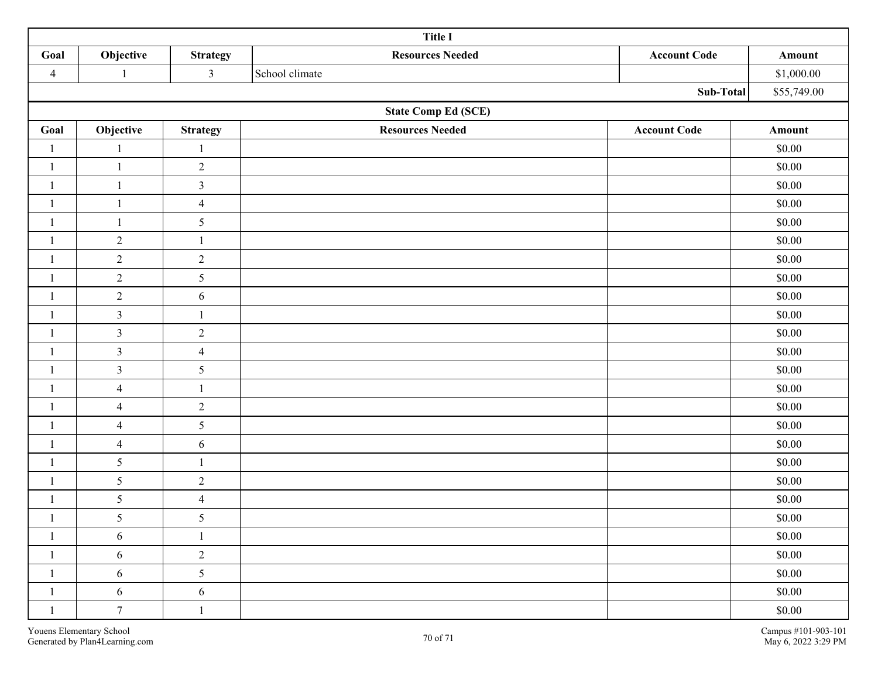| <b>Title I</b>             |                  |                 |                                                |                          |  |  |  |  |  |
|----------------------------|------------------|-----------------|------------------------------------------------|--------------------------|--|--|--|--|--|
| Goal                       | Objective        | <b>Strategy</b> | <b>Resources Needed</b><br><b>Account Code</b> | Amount                   |  |  |  |  |  |
| $\overline{4}$             | 1                | $\mathfrak{Z}$  | School climate                                 | \$1,000.00               |  |  |  |  |  |
|                            |                  |                 |                                                | Sub-Total<br>\$55,749.00 |  |  |  |  |  |
| <b>State Comp Ed (SCE)</b> |                  |                 |                                                |                          |  |  |  |  |  |
| Goal                       | Objective        | <b>Strategy</b> | <b>Resources Needed</b><br><b>Account Code</b> | Amount                   |  |  |  |  |  |
| $\mathbf{1}$               | $\mathbf{1}$     | $\mathbf{1}$    |                                                | \$0.00                   |  |  |  |  |  |
| $\mathbf{1}$               | $\mathbf{1}$     | $\overline{2}$  |                                                | \$0.00                   |  |  |  |  |  |
| $\mathbf{1}$               | $\mathbf{1}$     | $\mathfrak{Z}$  |                                                | \$0.00                   |  |  |  |  |  |
| $\mathbf{1}$               | $\mathbf{1}$     | $\overline{4}$  |                                                | \$0.00                   |  |  |  |  |  |
| -1                         | $\mathbf{1}$     | $\mathfrak{S}$  |                                                | \$0.00                   |  |  |  |  |  |
| $\mathbf{1}$               | $\overline{2}$   | $\mathbf{1}$    |                                                | \$0.00                   |  |  |  |  |  |
| $\mathbf{1}$               | $\sqrt{2}$       | $\overline{2}$  |                                                | \$0.00                   |  |  |  |  |  |
| $\mathbf{1}$               | $\sqrt{2}$       | $\mathfrak{S}$  |                                                | \$0.00                   |  |  |  |  |  |
| $\mathbf{1}$               | $\sqrt{2}$       | $\sqrt{6}$      |                                                | \$0.00                   |  |  |  |  |  |
| $\mathbf{1}$               | $\mathfrak{Z}$   | $\mathbf{1}$    |                                                | \$0.00                   |  |  |  |  |  |
| $\mathbf{1}$               | $\mathfrak{Z}$   | $\sqrt{2}$      |                                                | \$0.00                   |  |  |  |  |  |
| $\mathbf{1}$               | $\mathfrak{Z}$   | $\overline{4}$  |                                                | \$0.00                   |  |  |  |  |  |
| $\mathbf{1}$               | $\mathfrak{Z}$   | 5               |                                                | \$0.00                   |  |  |  |  |  |
| $\mathbf{1}$               | $\overline{4}$   | $\mathbf{1}$    |                                                | \$0.00                   |  |  |  |  |  |
| -1                         | $\overline{4}$   | $\overline{2}$  |                                                | \$0.00                   |  |  |  |  |  |
| $\mathbf{1}$               | $\overline{4}$   | 5               |                                                | \$0.00                   |  |  |  |  |  |
| $\mathbf{1}$               | $\overline{4}$   | $\sqrt{6}$      |                                                | \$0.00                   |  |  |  |  |  |
| $\mathbf{1}$               | $\sqrt{5}$       | $\mathbf{1}$    |                                                | \$0.00                   |  |  |  |  |  |
| $\mathbf{1}$               | $\mathfrak{S}$   | $\overline{2}$  |                                                | \$0.00                   |  |  |  |  |  |
| $\mathbf{1}$               | $\sqrt{5}$       | $\overline{4}$  |                                                | \$0.00                   |  |  |  |  |  |
| -1                         | $\mathfrak s$    | 5               |                                                | \$0.00                   |  |  |  |  |  |
| $\mathbf{1}$               | $\sqrt{6}$       | $\mathbf{1}$    |                                                | \$0.00                   |  |  |  |  |  |
| $\mathbf{1}$               | 6                | $\overline{2}$  |                                                | \$0.00                   |  |  |  |  |  |
| $\mathbf{1}$               | $6\,$            | 5               |                                                | \$0.00                   |  |  |  |  |  |
| $\mathbf{1}$               | 6                | $6\,$           |                                                | \$0.00                   |  |  |  |  |  |
| $\mathbf{1}$               | $\boldsymbol{7}$ | $\mathbf{1}$    |                                                | \$0.00                   |  |  |  |  |  |